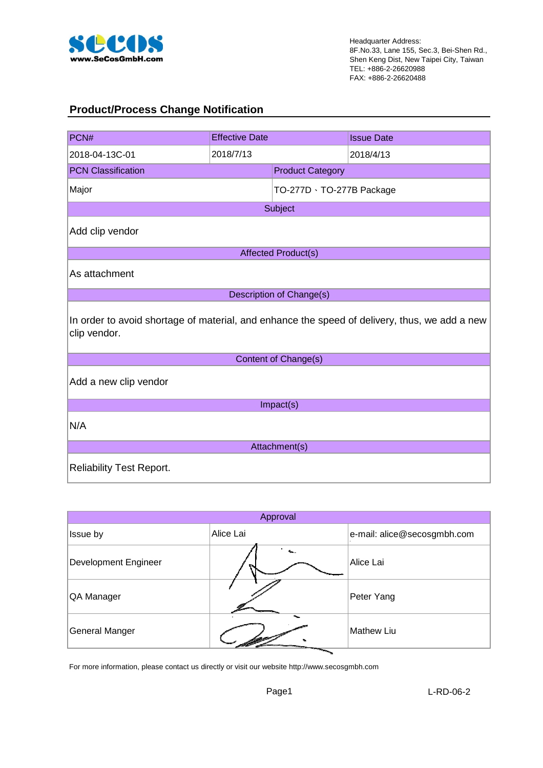

#### **Product/Process Change Notification**

| PCN#                            | <b>Effective Date</b> |                           | <b>Issue Date</b>                                                                             |  |  |
|---------------------------------|-----------------------|---------------------------|-----------------------------------------------------------------------------------------------|--|--|
| 2018-04-13C-01                  | 2018/7/13             |                           | 2018/4/13                                                                                     |  |  |
| <b>PCN Classification</b>       |                       | <b>Product Category</b>   |                                                                                               |  |  |
| Major                           |                       | TO-277D · TO-277B Package |                                                                                               |  |  |
|                                 |                       | Subject                   |                                                                                               |  |  |
| Add clip vendor                 |                       |                           |                                                                                               |  |  |
|                                 |                       | Affected Product(s)       |                                                                                               |  |  |
| As attachment                   |                       |                           |                                                                                               |  |  |
|                                 |                       | Description of Change(s)  |                                                                                               |  |  |
| clip vendor.                    |                       |                           | In order to avoid shortage of material, and enhance the speed of delivery, thus, we add a new |  |  |
|                                 |                       | Content of Change(s)      |                                                                                               |  |  |
| Add a new clip vendor           |                       |                           |                                                                                               |  |  |
|                                 |                       | Impact(s)                 |                                                                                               |  |  |
| N/A                             |                       |                           |                                                                                               |  |  |
|                                 |                       | Attachment(s)             |                                                                                               |  |  |
| <b>Reliability Test Report.</b> |                       |                           |                                                                                               |  |  |

| Approval                    |           |                             |  |  |  |  |  |  |  |
|-----------------------------|-----------|-----------------------------|--|--|--|--|--|--|--|
| Issue by                    | Alice Lai | e-mail: alice@secosgmbh.com |  |  |  |  |  |  |  |
| <b>Development Engineer</b> |           | Alice Lai                   |  |  |  |  |  |  |  |
| QA Manager                  |           | Peter Yang                  |  |  |  |  |  |  |  |
| General Manger              |           | Mathew Liu                  |  |  |  |  |  |  |  |

For more information, please contact us directly or visit our website http://www.secosgmbh.com

Page1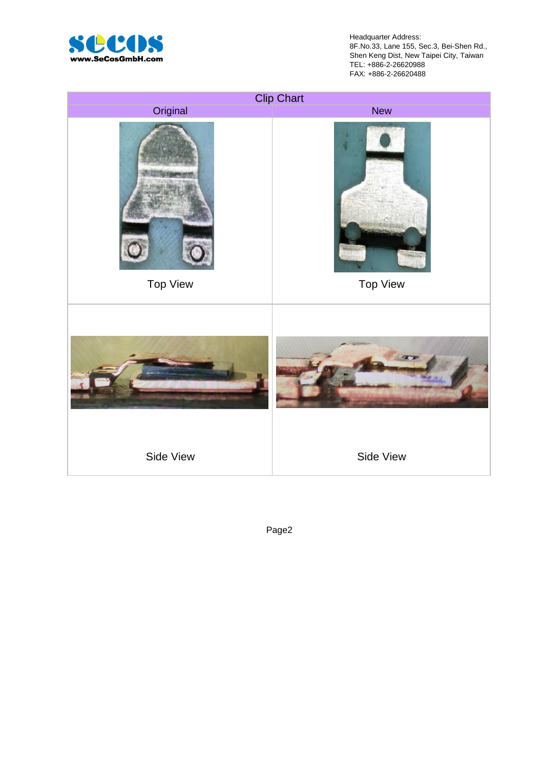

Headquarter Address: 8F.No.33, Lane 155, Sec.3, Bei-Shen Rd., Shen Keng Dist, New Taipei City, Taiwan TEL: +886-2-26620988 FAX: +886-2-26620488



Page2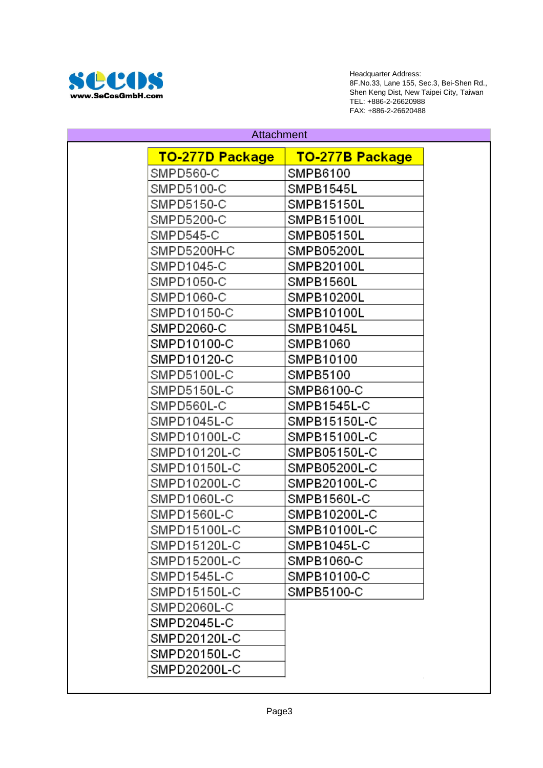

Headquarter Address: 8F.No.33, Lane 155, Sec.3, Bei-Shen Rd., Shen Keng Dist, New Taipei City, Taiwan TEL: +886-2-26620988 FAX: +886-2-26620488

| <u>TO-277D Package</u><br><u>TO-277B Package</u><br>SMPD560-C<br>SMPB6100<br>SMPD5100-C<br>SMPB1545L<br>SMPD5150-C<br>SMPB15150L<br>SMPD5200-C<br>SMPB15100L<br>SMPD545-C<br>SMPB05150L<br>SMPD5200H-C<br>SMPB05200L<br>SMPD1045-C<br>SMPB20100L<br>SMPD1050-C<br>SMPB1560L<br>SMPD1060-C<br>SMPB10200L<br>SMPD10150-C<br>SMPB10100L<br>SMPD2060-C<br>SMPB1045L<br>SMPD10100-C<br>SMPB1060<br>SMPD10120-C<br>SMPB10100<br>SMPD5100L-C<br>SMPB5100<br>SMPD5150L-C<br>SMPB6100-C<br>SMPD560L-C<br>SMPB1545L-C<br>SMPB15150L-C<br>SMPD1045L-C<br>SMPD10100L-C<br>SMPB15100L-C<br>SMPD10120L-C<br>SMPB05150L-C<br>SMPD10150L-C<br>SMPB05200L-C<br>SMPD10200L-C<br>SMPB20100L-C<br>SMPD1060L-C<br>SMPB1560L-C<br>SMPD1560L-C<br>SMPB10200L-C<br>SMPD15100L-C<br>SMPB10100L-C<br>SMPD15120L-C<br>SMPB1045L-C<br>SMPD15200L-C<br>SMPB1060-C<br>SMPB10100-C<br>SMPD1545L-C<br>SMPD15150L-C<br>SMPB5100-C<br>SMPD2060L-C<br>SMPD2045L-C<br>SMPD20120L-C<br>SMPD20150L-C<br>SMPD20200L-C | <b>Attachment</b> |  |
|--------------------------------------------------------------------------------------------------------------------------------------------------------------------------------------------------------------------------------------------------------------------------------------------------------------------------------------------------------------------------------------------------------------------------------------------------------------------------------------------------------------------------------------------------------------------------------------------------------------------------------------------------------------------------------------------------------------------------------------------------------------------------------------------------------------------------------------------------------------------------------------------------------------------------------------------------------------------------------|-------------------|--|
|                                                                                                                                                                                                                                                                                                                                                                                                                                                                                                                                                                                                                                                                                                                                                                                                                                                                                                                                                                                |                   |  |
|                                                                                                                                                                                                                                                                                                                                                                                                                                                                                                                                                                                                                                                                                                                                                                                                                                                                                                                                                                                |                   |  |
|                                                                                                                                                                                                                                                                                                                                                                                                                                                                                                                                                                                                                                                                                                                                                                                                                                                                                                                                                                                |                   |  |
|                                                                                                                                                                                                                                                                                                                                                                                                                                                                                                                                                                                                                                                                                                                                                                                                                                                                                                                                                                                |                   |  |
|                                                                                                                                                                                                                                                                                                                                                                                                                                                                                                                                                                                                                                                                                                                                                                                                                                                                                                                                                                                |                   |  |
|                                                                                                                                                                                                                                                                                                                                                                                                                                                                                                                                                                                                                                                                                                                                                                                                                                                                                                                                                                                |                   |  |
|                                                                                                                                                                                                                                                                                                                                                                                                                                                                                                                                                                                                                                                                                                                                                                                                                                                                                                                                                                                |                   |  |
|                                                                                                                                                                                                                                                                                                                                                                                                                                                                                                                                                                                                                                                                                                                                                                                                                                                                                                                                                                                |                   |  |
|                                                                                                                                                                                                                                                                                                                                                                                                                                                                                                                                                                                                                                                                                                                                                                                                                                                                                                                                                                                |                   |  |
|                                                                                                                                                                                                                                                                                                                                                                                                                                                                                                                                                                                                                                                                                                                                                                                                                                                                                                                                                                                |                   |  |
|                                                                                                                                                                                                                                                                                                                                                                                                                                                                                                                                                                                                                                                                                                                                                                                                                                                                                                                                                                                |                   |  |
|                                                                                                                                                                                                                                                                                                                                                                                                                                                                                                                                                                                                                                                                                                                                                                                                                                                                                                                                                                                |                   |  |
|                                                                                                                                                                                                                                                                                                                                                                                                                                                                                                                                                                                                                                                                                                                                                                                                                                                                                                                                                                                |                   |  |
|                                                                                                                                                                                                                                                                                                                                                                                                                                                                                                                                                                                                                                                                                                                                                                                                                                                                                                                                                                                |                   |  |
|                                                                                                                                                                                                                                                                                                                                                                                                                                                                                                                                                                                                                                                                                                                                                                                                                                                                                                                                                                                |                   |  |
|                                                                                                                                                                                                                                                                                                                                                                                                                                                                                                                                                                                                                                                                                                                                                                                                                                                                                                                                                                                |                   |  |
|                                                                                                                                                                                                                                                                                                                                                                                                                                                                                                                                                                                                                                                                                                                                                                                                                                                                                                                                                                                |                   |  |
|                                                                                                                                                                                                                                                                                                                                                                                                                                                                                                                                                                                                                                                                                                                                                                                                                                                                                                                                                                                |                   |  |
|                                                                                                                                                                                                                                                                                                                                                                                                                                                                                                                                                                                                                                                                                                                                                                                                                                                                                                                                                                                |                   |  |
|                                                                                                                                                                                                                                                                                                                                                                                                                                                                                                                                                                                                                                                                                                                                                                                                                                                                                                                                                                                |                   |  |
|                                                                                                                                                                                                                                                                                                                                                                                                                                                                                                                                                                                                                                                                                                                                                                                                                                                                                                                                                                                |                   |  |
|                                                                                                                                                                                                                                                                                                                                                                                                                                                                                                                                                                                                                                                                                                                                                                                                                                                                                                                                                                                |                   |  |
|                                                                                                                                                                                                                                                                                                                                                                                                                                                                                                                                                                                                                                                                                                                                                                                                                                                                                                                                                                                |                   |  |
|                                                                                                                                                                                                                                                                                                                                                                                                                                                                                                                                                                                                                                                                                                                                                                                                                                                                                                                                                                                |                   |  |
|                                                                                                                                                                                                                                                                                                                                                                                                                                                                                                                                                                                                                                                                                                                                                                                                                                                                                                                                                                                |                   |  |
|                                                                                                                                                                                                                                                                                                                                                                                                                                                                                                                                                                                                                                                                                                                                                                                                                                                                                                                                                                                |                   |  |
|                                                                                                                                                                                                                                                                                                                                                                                                                                                                                                                                                                                                                                                                                                                                                                                                                                                                                                                                                                                |                   |  |
|                                                                                                                                                                                                                                                                                                                                                                                                                                                                                                                                                                                                                                                                                                                                                                                                                                                                                                                                                                                |                   |  |
|                                                                                                                                                                                                                                                                                                                                                                                                                                                                                                                                                                                                                                                                                                                                                                                                                                                                                                                                                                                |                   |  |
|                                                                                                                                                                                                                                                                                                                                                                                                                                                                                                                                                                                                                                                                                                                                                                                                                                                                                                                                                                                |                   |  |
|                                                                                                                                                                                                                                                                                                                                                                                                                                                                                                                                                                                                                                                                                                                                                                                                                                                                                                                                                                                |                   |  |
|                                                                                                                                                                                                                                                                                                                                                                                                                                                                                                                                                                                                                                                                                                                                                                                                                                                                                                                                                                                |                   |  |
|                                                                                                                                                                                                                                                                                                                                                                                                                                                                                                                                                                                                                                                                                                                                                                                                                                                                                                                                                                                |                   |  |
|                                                                                                                                                                                                                                                                                                                                                                                                                                                                                                                                                                                                                                                                                                                                                                                                                                                                                                                                                                                |                   |  |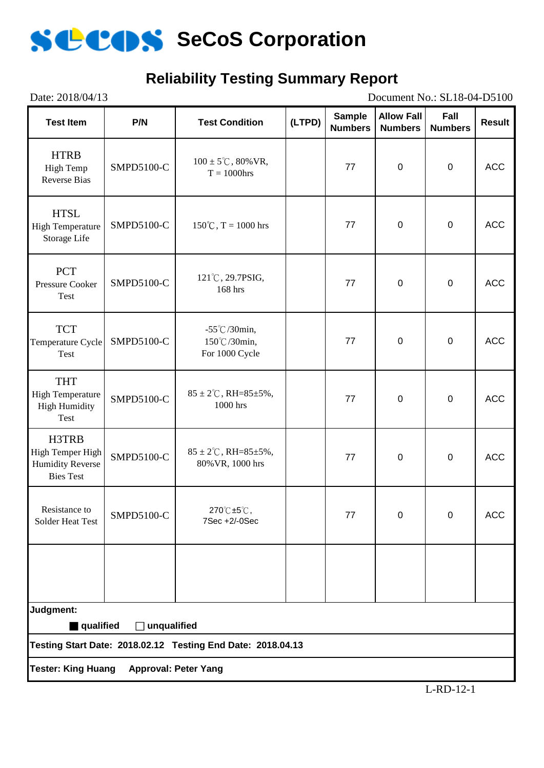

### **Reliability Testing Summary Report**

| Date: 2018/04/13<br>Document No.: SL18-04-D5100                          |                    |                                                              |        |                                 |                                     |                        |               |  |  |
|--------------------------------------------------------------------------|--------------------|--------------------------------------------------------------|--------|---------------------------------|-------------------------------------|------------------------|---------------|--|--|
| <b>Test Item</b>                                                         | P/N                | <b>Test Condition</b>                                        | (LTPD) | <b>Sample</b><br><b>Numbers</b> | <b>Allow Fall</b><br><b>Numbers</b> | Fall<br><b>Numbers</b> | <b>Result</b> |  |  |
| <b>HTRB</b><br>High Temp<br><b>Reverse Bias</b>                          | SMPD5100-C         | $100 \pm 5^{\circ}$ C, 80% VR,<br>$T = 1000$ hrs             |        | 77                              | $\overline{0}$                      | $\mathbf 0$            | <b>ACC</b>    |  |  |
| <b>HTSL</b><br><b>High Temperature</b><br>Storage Life                   | SMPD5100-C         | $150^{\circ}$ C, T = 1000 hrs                                |        | 77                              | $\mathbf 0$                         | $\mathbf 0$            | <b>ACC</b>    |  |  |
| <b>PCT</b><br><b>Pressure Cooker</b><br>Test                             | SMPD5100-C         | 121°C, 29.7PSIG,<br>168 hrs                                  |        | 77                              | $\overline{0}$                      | $\mathbf 0$            | <b>ACC</b>    |  |  |
| <b>TCT</b><br>Temperature Cycle<br>Test                                  | SMPD5100-C         | $-55^{\circ}$ C/30min,<br>150℃/30min,<br>For 1000 Cycle      |        | 77                              | $\mathbf 0$                         | $\pmb{0}$              | <b>ACC</b>    |  |  |
| <b>THT</b><br><b>High Temperature</b><br><b>High Humidity</b><br>Test    | SMPD5100-C         | $85 \pm 2^{\circ}$ C, RH= $85 \pm 5\%$ ,<br>1000 hrs         |        | 77                              | $\overline{0}$                      | $\mathbf 0$            | <b>ACC</b>    |  |  |
| H3TRB<br>High Temper High<br><b>Humidity Reverse</b><br><b>Bies Test</b> | SMPD5100-C         | $85 \pm 2^{\circ}$ C, RH= $85 \pm 5\%$ ,<br>80% VR, 1000 hrs |        | 77                              | $\overline{0}$                      | $\mathbf 0$            | <b>ACC</b>    |  |  |
| Resistance to<br>Solder Heat Test                                        | SMPD5100-C         | 270℃±5℃,<br>7Sec +2/-0Sec                                    |        | 77                              | 0                                   | $\mathbf 0$            | <b>ACC</b>    |  |  |
|                                                                          |                    |                                                              |        |                                 |                                     |                        |               |  |  |
| Judgment:                                                                |                    |                                                              |        |                                 |                                     |                        |               |  |  |
| qualified                                                                | $\Box$ unqualified | Testing Start Date: 2018.02.12 Testing End Date: 2018.04.13  |        |                                 |                                     |                        |               |  |  |
|                                                                          |                    |                                                              |        |                                 |                                     |                        |               |  |  |
| <b>Tester: King Huang</b><br><b>Approval: Peter Yang</b>                 |                    |                                                              |        |                                 |                                     |                        |               |  |  |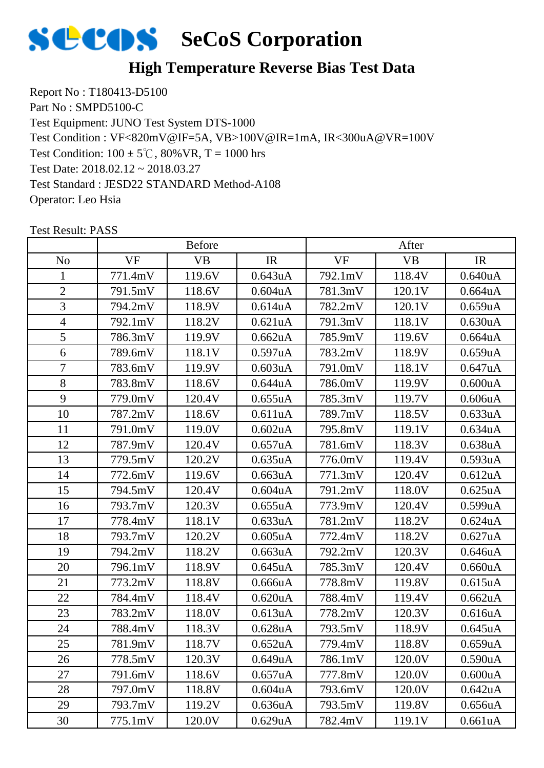

Report No : T180413-D5100 Part No : SMPD5100-C Test Equipment: JUNO Test System DTS-1000 Test Condition:  $100 \pm 5^{\circ}$ C,  $80\%$  VR, T = 1000 hrs Test Date: 2018.02.12 ~ 2018.03.27 Test Standard : JESD22 STANDARD Method-A108 Operator: Leo Hsia Test Condition : VF<820mV@IF=5A, VB>100V@IR=1mA, IR<300uA@VR=100V

|                |           | <b>Before</b> |                      |           | After     |                      |
|----------------|-----------|---------------|----------------------|-----------|-----------|----------------------|
| N <sub>o</sub> | <b>VF</b> | <b>VB</b>     | IR                   | <b>VF</b> | <b>VB</b> | IR                   |
| $\mathbf{1}$   | 771.4mV   | 119.6V        | 0.643uA              | 792.1mV   | 118.4V    | 0.640 <sub>u</sub> A |
| $\overline{2}$ | 791.5mV   | 118.6V        | $0.604$ uA           | 781.3mV   | 120.1V    | 0.664 <sub>u</sub> A |
| $\overline{3}$ | 794.2mV   | 118.9V        | 0.614 <sub>u</sub> A | 782.2mV   | 120.1V    | 0.659uA              |
| $\overline{4}$ | 792.1mV   | 118.2V        | 0.621uA              | 791.3mV   | 118.1V    | 0.630 <sub>u</sub> A |
| 5              | 786.3mV   | 119.9V        | 0.662 <sub>u</sub> A | 785.9mV   | 119.6V    | 0.664uA              |
| 6              | 789.6mV   | 118.1V        | 0.597uA              | 783.2mV   | 118.9V    | 0.659uA              |
| $\overline{7}$ | 783.6mV   | 119.9V        | 0.603uA              | 791.0mV   | 118.1V    | 0.647uA              |
| 8              | 783.8mV   | 118.6V        | 0.644uA              | 786.0mV   | 119.9V    | 0.600uA              |
| 9              | 779.0mV   | 120.4V        | 0.655uA              | 785.3mV   | 119.7V    | 0.606uA              |
| 10             | 787.2mV   | 118.6V        | 0.611uA              | 789.7mV   | 118.5V    | 0.633uA              |
| 11             | 791.0mV   | 119.0V        | $0.602$ uA           | 795.8mV   | 119.1V    | 0.634 <sub>u</sub> A |
| 12             | 787.9mV   | 120.4V        | 0.657uA              | 781.6mV   | 118.3V    | 0.638 <sub>u</sub> A |
| 13             | 779.5mV   | 120.2V        | 0.635uA              | 776.0mV   | 119.4V    | 0.593uA              |
| 14             | 772.6mV   | 119.6V        | 0.663uA              | 771.3mV   | 120.4V    | 0.612 <sub>u</sub> A |
| 15             | 794.5mV   | 120.4V        | $0.604$ u $A$        | 791.2mV   | 118.0V    | 0.625uA              |
| 16             | 793.7mV   | 120.3V        | 0.655uA              | 773.9mV   | 120.4V    | 0.599uA              |
| 17             | 778.4mV   | 118.1V        | 0.633uA              | 781.2mV   | 118.2V    | 0.624uA              |
| 18             | 793.7mV   | 120.2V        | $0.605$ uA           | 772.4mV   | 118.2V    | 0.627uA              |
| 19             | 794.2mV   | 118.2V        | 0.663uA              | 792.2mV   | 120.3V    | 0.646uA              |
| 20             | 796.1mV   | 118.9V        | 0.645uA              | 785.3mV   | 120.4V    | 0.660uA              |
| 21             | 773.2mV   | 118.8V        | 0.666uA              | 778.8mV   | 119.8V    | 0.615uA              |
| 22             | 784.4mV   | 118.4V        | 0.620 <sub>u</sub> A | 788.4mV   | 119.4V    | 0.662uA              |
| 23             | 783.2mV   | 118.0V        | 0.613uA              | 778.2mV   | 120.3V    | 0.616 <sub>u</sub> A |
| 24             | 788.4mV   | 118.3V        | 0.628uA              | 793.5mV   | 118.9V    | 0.645uA              |
| 25             | 781.9mV   | 118.7V        | 0.652 <sub>u</sub> A | 779.4mV   | 118.8V    | 0.659uA              |
| 26             | 778.5mV   | 120.3V        | 0.649uA              | 786.1mV   | 120.0V    | 0.590 <sub>u</sub> A |
| 27             | 791.6mV   | 118.6V        | 0.657uA              | 777.8mV   | 120.0V    | 0.600uA              |
| 28             | 797.0mV   | 118.8V        | 0.604uA              | 793.6mV   | 120.0V    | 0.642uA              |
| 29             | 793.7mV   | 119.2V        | 0.636 <sub>u</sub> A | 793.5mV   | 119.8V    | 0.656uA              |
| 30             | 775.1mV   | 120.0V        | 0.629uA              | 782.4mV   | 119.1V    | 0.661uA              |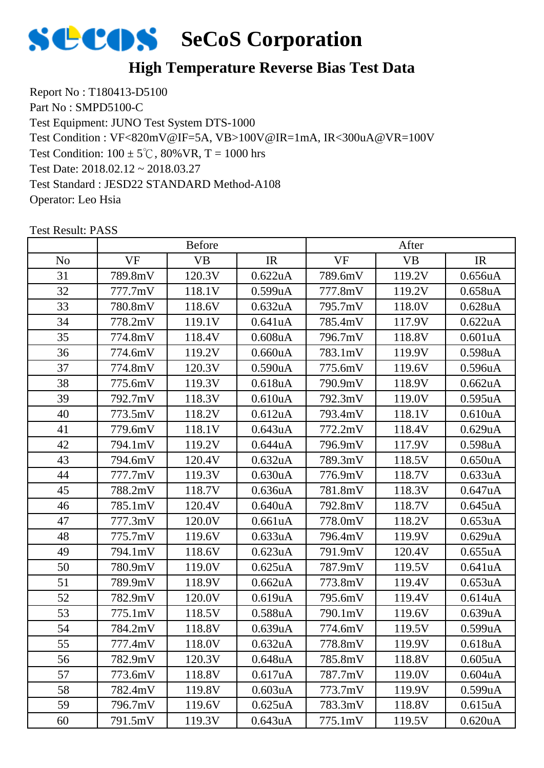

Report No : T180413-D5100 Part No : SMPD5100-C Test Equipment: JUNO Test System DTS-1000 Test Condition:  $100 \pm 5^{\circ}$ C,  $80\%$  VR, T = 1000 hrs Test Date: 2018.02.12 ~ 2018.03.27 Test Standard : JESD22 STANDARD Method-A108 Operator: Leo Hsia Test Condition : VF<820mV@IF=5A, VB>100V@IR=1mA, IR<300uA@VR=100V

|                |           | <b>Before</b> |                      |           | After     |                      |
|----------------|-----------|---------------|----------------------|-----------|-----------|----------------------|
| N <sub>o</sub> | <b>VF</b> | <b>VB</b>     | IR                   | <b>VF</b> | <b>VB</b> | IR                   |
| 31             | 789.8mV   | 120.3V        | 0.622uA              | 789.6mV   | 119.2V    | 0.656uA              |
| 32             | 777.7mV   | 118.1V        | 0.599uA              | 777.8mV   | 119.2V    | 0.658 <sub>u</sub> A |
| 33             | 780.8mV   | 118.6V        | 0.632 <sub>u</sub> A | 795.7mV   | 118.0V    | $0.628$ uA           |
| 34             | 778.2mV   | 119.1V        | 0.641uA              | 785.4mV   | 117.9V    | 0.622uA              |
| 35             | 774.8mV   | 118.4V        | $0.608$ uA           | 796.7mV   | 118.8V    | 0.601uA              |
| 36             | 774.6mV   | 119.2V        | 0.660uA              | 783.1mV   | 119.9V    | 0.598 <sub>u</sub> A |
| 37             | 774.8mV   | 120.3V        | 0.590uA              | 775.6mV   | 119.6V    | 0.596uA              |
| 38             | 775.6mV   | 119.3V        | 0.618 <sub>u</sub> A | 790.9mV   | 118.9V    | 0.662 <sub>u</sub> A |
| 39             | 792.7mV   | 118.3V        | 0.610 <sub>u</sub> A | 792.3mV   | 119.0V    | 0.595uA              |
| 40             | 773.5mV   | 118.2V        | 0.612 <sub>u</sub> A | 793.4mV   | 118.1V    | 0.610uA              |
| 41             | 779.6mV   | 118.1V        | 0.643uA              | 772.2mV   | 118.4V    | 0.629uA              |
| 42             | 794.1mV   | 119.2V        | 0.644uA              | 796.9mV   | 117.9V    | 0.598uA              |
| 43             | 794.6mV   | 120.4V        | 0.632 <sub>u</sub> A | 789.3mV   | 118.5V    | 0.650 <sub>u</sub> A |
| 44             | 777.7mV   | 119.3V        | 0.630 <sub>u</sub> A | 776.9mV   | 118.7V    | 0.633uA              |
| 45             | 788.2mV   | 118.7V        | 0.636uA              | 781.8mV   | 118.3V    | 0.647uA              |
| 46             | 785.1mV   | 120.4V        | 0.640 <sub>u</sub> A | 792.8mV   | 118.7V    | 0.645 <sub>u</sub> A |
| 47             | 777.3mV   | 120.0V        | 0.661uA              | 778.0mV   | 118.2V    | 0.653uA              |
| 48             | 775.7mV   | 119.6V        | 0.633uA              | 796.4mV   | 119.9V    | 0.629uA              |
| 49             | 794.1mV   | 118.6V        | 0.623uA              | 791.9mV   | 120.4V    | 0.655uA              |
| 50             | 780.9mV   | 119.0V        | 0.625uA              | 787.9mV   | 119.5V    | 0.641uA              |
| 51             | 789.9mV   | 118.9V        | 0.662 <sub>u</sub> A | 773.8mV   | 119.4V    | 0.653 <sub>u</sub> A |
| 52             | 782.9mV   | 120.0V        | 0.619uA              | 795.6mV   | 119.4V    | 0.614 <sub>u</sub> A |
| 53             | 775.1mV   | 118.5V        | 0.588uA              | 790.1mV   | 119.6V    | 0.639uA              |
| 54             | 784.2mV   | 118.8V        | 0.639uA              | 774.6mV   | 119.5V    | 0.599uA              |
| 55             | 777.4mV   | 118.0V        | 0.632 <sub>u</sub> A | 778.8mV   | 119.9V    | 0.618 <sub>u</sub> A |
| 56             | 782.9mV   | 120.3V        | 0.648 <sub>u</sub> A | 785.8mV   | 118.8V    | 0.605 <sub>u</sub> A |
| 57             | 773.6mV   | 118.8V        | 0.617uA              | 787.7mV   | 119.0V    | 0.604uA              |
| 58             | 782.4mV   | 119.8V        | 0.603uA              | 773.7mV   | 119.9V    | 0.599uA              |
| 59             | 796.7mV   | 119.6V        | 0.625uA              | 783.3mV   | 118.8V    | 0.615 <sub>u</sub> A |
| 60             | 791.5mV   | 119.3V        | 0.643uA              | 775.1mV   | 119.5V    | 0.620 <sub>u</sub> A |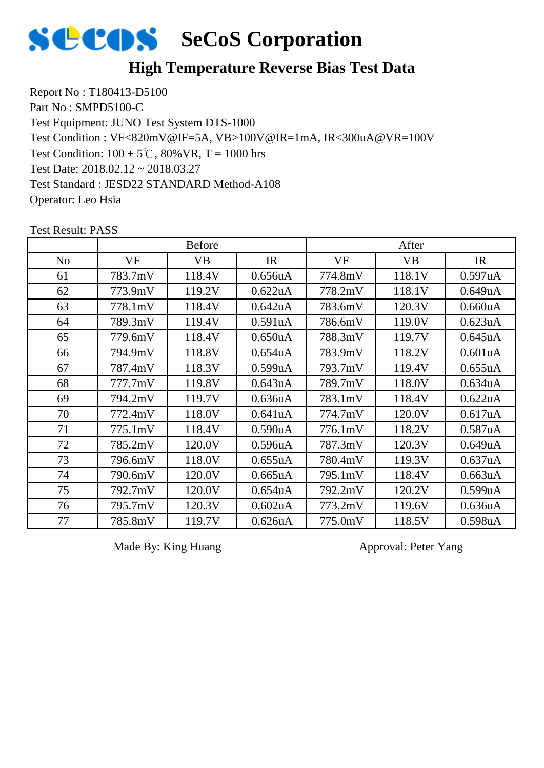

Report No : T180413-D5100 Part No : SMPD5100-C Test Equipment: JUNO Test System DTS-1000 Test Condition:  $100 \pm 5^{\circ}$ C,  $80\%$  VR, T = 1000 hrs Test Date: 2018.02.12 ~ 2018.03.27 Test Standard : JESD22 STANDARD Method-A108 Operator: Leo Hsia Test Condition : VF<820mV@IF=5A, VB>100V@IR=1mA, IR<300uA@VR=100V

|                |         | <b>Before</b> |                      |         | After     |                      |
|----------------|---------|---------------|----------------------|---------|-----------|----------------------|
| N <sub>o</sub> | VF      | <b>VB</b>     | IR                   | VF      | <b>VB</b> | IR                   |
| 61             | 783.7mV | 118.4V        | 0.656 <sub>u</sub> A | 774.8mV | 118.1V    | 0.597uA              |
| 62             | 773.9mV | 119.2V        | 0.622uA              | 778.2mV | 118.1V    | 0.649uA              |
| 63             | 778.1mV | 118.4V        | 0.642uA              | 783.6mV | 120.3V    | 0.660uA              |
| 64             | 789.3mV | 119.4V        | 0.591uA              | 786.6mV | 119.0V    | 0.623uA              |
| 65             | 779.6mV | 118.4V        | 0.650 <sub>u</sub> A | 788.3mV | 119.7V    | 0.645uA              |
| 66             | 794.9mV | 118.8V        | 0.654 <sub>u</sub> A | 783.9mV | 118.2V    | 0.601uA              |
| 67             | 787.4mV | 118.3V        | 0.599uA              | 793.7mV | 119.4V    | 0.655uA              |
| 68             | 777.7mV | 119.8V        | 0.643uA              | 789.7mV | 118.0V    | 0.634 <sub>u</sub> A |
| 69             | 794.2mV | 119.7V        | 0.636 <sub>u</sub> A | 783.1mV | 118.4V    | 0.622uA              |
| 70             | 772.4mV | 118.0V        | 0.641uA              | 774.7mV | 120.0V    | 0.617uA              |
| 71             | 775.1mV | 118.4V        | 0.590uA              | 776.1mV | 118.2V    | 0.587 <sub>u</sub> A |
| 72             | 785.2mV | 120.0V        | 0.596 <sub>u</sub> A | 787.3mV | 120.3V    | 0.649uA              |
| 73             | 796.6mV | 118.0V        | 0.655uA              | 780.4mV | 119.3V    | 0.637uA              |
| 74             | 790.6mV | 120.0V        | 0.665uA              | 795.1mV | 118.4V    | 0.663uA              |
| 75             | 792.7mV | 120.0V        | 0.654 <sub>u</sub> A | 792.2mV | 120.2V    | 0.599uA              |
| 76             | 795.7mV | 120.3V        | 0.602 <sub>u</sub> A | 773.2mV | 119.6V    | 0.636 <sub>u</sub> A |
| 77             | 785.8mV | 119.7V        | 0.626 <sub>u</sub> A | 775.0mV | 118.5V    | 0.598uA              |

Test Result: PASS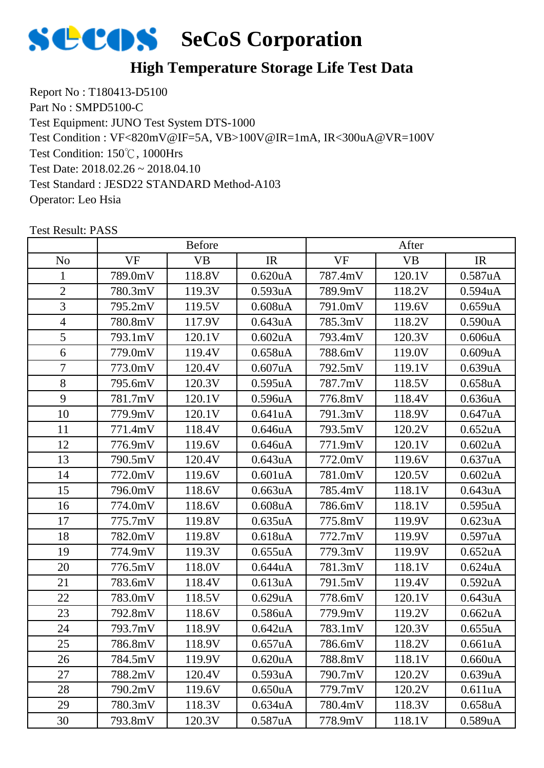

Report No : T180413-D5100 Part No : SMPD5100-C Test Equipment: JUNO Test System DTS-1000 Test Condition: 150℃, 1000Hrs Test Date: 2018.02.26 ~ 2018.04.10 Test Standard : JESD22 STANDARD Method-A103 Operator: Leo Hsia Test Condition : VF<820mV@IF=5A, VB>100V@IR=1mA, IR<300uA@VR=100V

|                |           | <b>Before</b> |                      |           | After     |                      |
|----------------|-----------|---------------|----------------------|-----------|-----------|----------------------|
| N <sub>o</sub> | <b>VF</b> | <b>VB</b>     | IR                   | <b>VF</b> | <b>VB</b> | IR                   |
| 1              | 789.0mV   | 118.8V        | $0.620$ uA           | 787.4mV   | 120.1V    | 0.587uA              |
| $\overline{2}$ | 780.3mV   | 119.3V        | 0.593uA              | 789.9mV   | 118.2V    | 0.594uA              |
| 3              | 795.2mV   | 119.5V        | $0.608$ u $A$        | 791.0mV   | 119.6V    | 0.659uA              |
| $\overline{4}$ | 780.8mV   | 117.9V        | 0.643uA              | 785.3mV   | 118.2V    | 0.590uA              |
| 5              | 793.1mV   | 120.1V        | $0.602$ uA           | 793.4mV   | 120.3V    | 0.606uA              |
| 6              | 779.0mV   | 119.4V        | 0.658 <sub>u</sub> A | 788.6mV   | 119.0V    | 0.609uA              |
| $\overline{7}$ | 773.0mV   | 120.4V        | 0.607uA              | 792.5mV   | 119.1V    | 0.639uA              |
| 8              | 795.6mV   | 120.3V        | 0.595uA              | 787.7mV   | 118.5V    | 0.658 <sub>u</sub> A |
| 9              | 781.7mV   | 120.1V        | 0.596uA              | 776.8mV   | 118.4V    | 0.636uA              |
| 10             | 779.9mV   | 120.1V        | 0.641uA              | 791.3mV   | 118.9V    | 0.647uA              |
| 11             | 771.4mV   | 118.4V        | 0.646uA              | 793.5mV   | 120.2V    | 0.652 <sub>u</sub> A |
| 12             | 776.9mV   | 119.6V        | 0.646uA              | 771.9mV   | 120.1V    | $0.602$ uA           |
| 13             | 790.5mV   | 120.4V        | 0.643uA              | 772.0mV   | 119.6V    | 0.637uA              |
| 14             | 772.0mV   | 119.6V        | 0.601uA              | 781.0mV   | 120.5V    | $0.602$ uA           |
| 15             | 796.0mV   | 118.6V        | 0.663uA              | 785.4mV   | 118.1V    | 0.643uA              |
| 16             | 774.0mV   | 118.6V        | $0.608$ u $A$        | 786.6mV   | 118.1V    | 0.595uA              |
| 17             | 775.7mV   | 119.8V        | 0.635uA              | 775.8mV   | 119.9V    | 0.623uA              |
| 18             | 782.0mV   | 119.8V        | 0.618 <sub>u</sub> A | 772.7mV   | 119.9V    | 0.597uA              |
| 19             | 774.9mV   | 119.3V        | 0.655uA              | 779.3mV   | 119.9V    | 0.652 <sub>u</sub> A |
| 20             | 776.5mV   | 118.0V        | 0.644uA              | 781.3mV   | 118.1V    | $0.624$ uA           |
| 21             | 783.6mV   | 118.4V        | 0.613uA              | 791.5mV   | 119.4V    | 0.592 <sub>u</sub> A |
| 22             | 783.0mV   | 118.5V        | 0.629uA              | 778.6mV   | 120.1V    | 0.643uA              |
| 23             | 792.8mV   | 118.6V        | 0.586uA              | 779.9mV   | 119.2V    | 0.662uA              |
| 24             | 793.7mV   | 118.9V        | 0.642uA              | 783.1mV   | 120.3V    | 0.655uA              |
| 25             | 786.8mV   | 118.9V        | 0.657uA              | 786.6mV   | 118.2V    | 0.661uA              |
| 26             | 784.5mV   | 119.9V        | 0.620 <sub>u</sub> A | 788.8mV   | 118.1V    | 0.660uA              |
| 27             | 788.2mV   | 120.4V        | 0.593uA              | 790.7mV   | 120.2V    | 0.639uA              |
| 28             | 790.2mV   | 119.6V        | 0.650uA              | 779.7mV   | 120.2V    | 0.611uA              |
| 29             | 780.3mV   | 118.3V        | 0.634 <sub>u</sub> A | 780.4mV   | 118.3V    | 0.658uA              |
| 30             | 793.8mV   | 120.3V        | 0.587uA              | 778.9mV   | 118.1V    | 0.589uA              |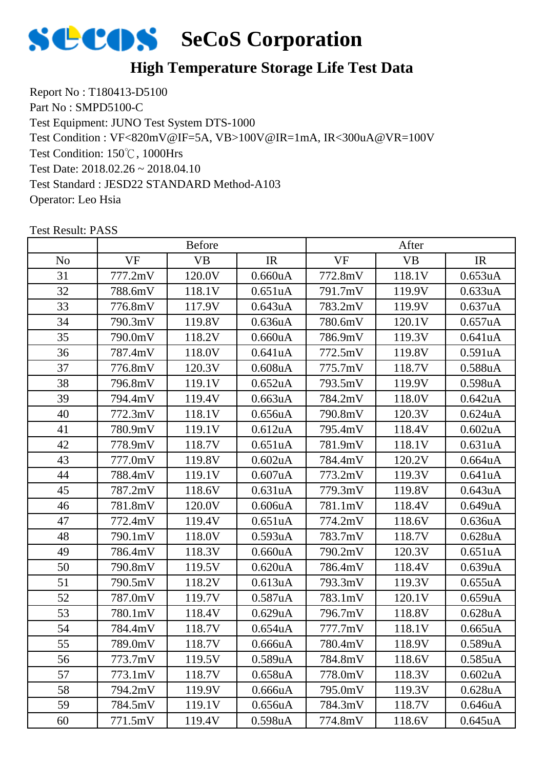

Report No : T180413-D5100 Part No : SMPD5100-C Test Equipment: JUNO Test System DTS-1000 Test Condition: 150℃, 1000Hrs Test Date: 2018.02.26 ~ 2018.04.10 Test Standard : JESD22 STANDARD Method-A103 Operator: Leo Hsia Test Condition : VF<820mV@IF=5A, VB>100V@IR=1mA, IR<300uA@VR=100V

|                |           | <b>Before</b> |                      |           | After     |                      |
|----------------|-----------|---------------|----------------------|-----------|-----------|----------------------|
| N <sub>o</sub> | <b>VF</b> | <b>VB</b>     | IR                   | <b>VF</b> | <b>VB</b> | IR                   |
| 31             | 777.2mV   | 120.0V        | 0.660uA              | 772.8mV   | 118.1V    | 0.653uA              |
| 32             | 788.6mV   | 118.1V        | 0.651 <sub>u</sub> A | 791.7mV   | 119.9V    | 0.633uA              |
| 33             | 776.8mV   | 117.9V        | 0.643uA              | 783.2mV   | 119.9V    | 0.637uA              |
| 34             | 790.3mV   | 119.8V        | 0.636 <sub>u</sub> A | 780.6mV   | 120.1V    | 0.657uA              |
| 35             | 790.0mV   | 118.2V        | $0.660$ uA           | 786.9mV   | 119.3V    | 0.641uA              |
| 36             | 787.4mV   | 118.0V        | 0.641uA              | 772.5mV   | 119.8V    | 0.591uA              |
| 37             | 776.8mV   | 120.3V        | $0.608$ u $A$        | 775.7mV   | 118.7V    | 0.588uA              |
| 38             | 796.8mV   | 119.1V        | 0.652 <sub>u</sub> A | 793.5mV   | 119.9V    | 0.598uA              |
| 39             | 794.4mV   | 119.4V        | 0.663uA              | 784.2mV   | 118.0V    | 0.642uA              |
| 40             | 772.3mV   | 118.1V        | 0.656uA              | 790.8mV   | 120.3V    | 0.624uA              |
| 41             | 780.9mV   | 119.1V        | 0.612 <sub>u</sub> A | 795.4mV   | 118.4V    | $0.602$ uA           |
| 42             | 778.9mV   | 118.7V        | 0.651uA              | 781.9mV   | 118.1V    | 0.631uA              |
| 43             | 777.0mV   | 119.8V        | $0.602$ uA           | 784.4mV   | 120.2V    | 0.664uA              |
| 44             | 788.4mV   | 119.1V        | $0.607$ uA           | 773.2mV   | 119.3V    | 0.641uA              |
| 45             | 787.2mV   | 118.6V        | 0.631uA              | 779.3mV   | 119.8V    | 0.643uA              |
| 46             | 781.8mV   | 120.0V        | 0.606uA              | 781.1mV   | 118.4V    | 0.649uA              |
| 47             | 772.4mV   | 119.4V        | 0.651 <sub>u</sub> A | 774.2mV   | 118.6V    | 0.636 <sub>u</sub> A |
| 48             | 790.1mV   | 118.0V        | 0.593uA              | 783.7mV   | 118.7V    | 0.628uA              |
| 49             | 786.4mV   | 118.3V        | 0.660uA              | 790.2mV   | 120.3V    | 0.651uA              |
| 50             | 790.8mV   | 119.5V        | 0.620 <sub>u</sub> A | 786.4mV   | 118.4V    | 0.639uA              |
| 51             | 790.5mV   | 118.2V        | 0.613uA              | 793.3mV   | 119.3V    | 0.655uA              |
| 52             | 787.0mV   | 119.7V        | 0.587uA              | 783.1mV   | 120.1V    | 0.659uA              |
| 53             | 780.1mV   | 118.4V        | 0.629uA              | 796.7mV   | 118.8V    | 0.628uA              |
| 54             | 784.4mV   | 118.7V        | 0.654uA              | 777.7mV   | 118.1V    | 0.665uA              |
| 55             | 789.0mV   | 118.7V        | 0.666uA              | 780.4mV   | 118.9V    | 0.589uA              |
| 56             | 773.7mV   | 119.5V        | 0.589uA              | 784.8mV   | 118.6V    | 0.585uA              |
| 57             | 773.1mV   | 118.7V        | 0.658 <sub>u</sub> A | 778.0mV   | 118.3V    | 0.602uA              |
| 58             | 794.2mV   | 119.9V        | 0.666uA              | 795.0mV   | 119.3V    | 0.628uA              |
| 59             | 784.5mV   | 119.1V        | 0.656uA              | 784.3mV   | 118.7V    | 0.646uA              |
| 60             | 771.5mV   | 119.4V        | 0.598uA              | 774.8mV   | 118.6V    | 0.645uA              |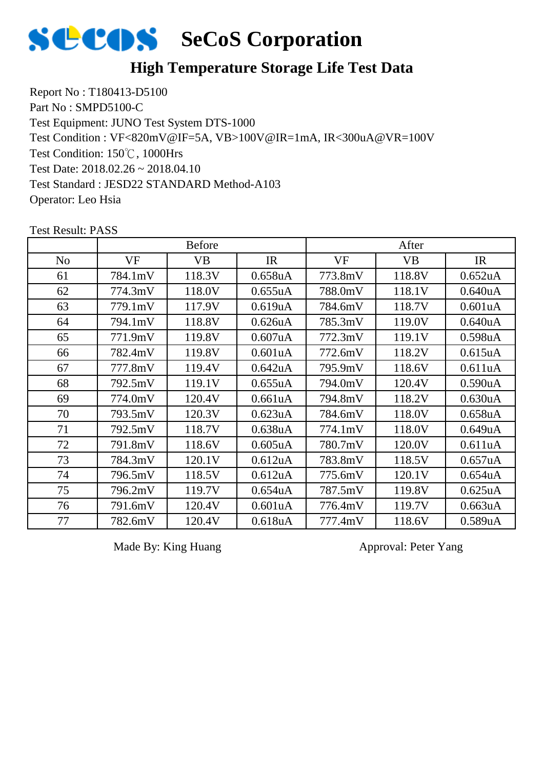

Report No : T180413-D5100 Part No : SMPD5100-C Test Equipment: JUNO Test System DTS-1000 Test Condition: 150℃, 1000Hrs Test Date: 2018.02.26 ~ 2018.04.10 Test Standard : JESD22 STANDARD Method-A103 Operator: Leo Hsia Test Condition : VF<820mV@IF=5A, VB>100V@IR=1mA, IR<300uA@VR=100V

|                |           | <b>Before</b> |                      | After     |           |                      |
|----------------|-----------|---------------|----------------------|-----------|-----------|----------------------|
| N <sub>o</sub> | <b>VF</b> | <b>VB</b>     | IR                   | <b>VF</b> | <b>VB</b> | IR                   |
| 61             | 784.1mV   | 118.3V        | 0.658 <sub>u</sub> A | 773.8mV   | 118.8V    | 0.652 <sub>u</sub> A |
| 62             | 774.3mV   | 118.0V        | 0.655uA              | 788.0mV   | 118.1V    | 0.640 <sub>u</sub> A |
| 63             | 779.1mV   | 117.9V        | 0.619uA              | 784.6mV   | 118.7V    | 0.601uA              |
| 64             | 794.1mV   | 118.8V        | 0.626 <sub>u</sub> A | 785.3mV   | 119.0V    | 0.640 <sub>u</sub> A |
| 65             | 771.9mV   | 119.8V        | 0.607uA              | 772.3mV   | 119.1V    | 0.598 <sub>u</sub> A |
| 66             | 782.4mV   | 119.8V        | 0.601uA              | 772.6mV   | 118.2V    | 0.615 <sub>u</sub> A |
| 67             | 777.8mV   | 119.4V        | 0.642uA              | 795.9mV   | 118.6V    | 0.611uA              |
| 68             | 792.5mV   | 119.1V        | 0.655uA              | 794.0mV   | 120.4V    | 0.590 <sub>u</sub> A |
| 69             | 774.0mV   | 120.4V        | 0.661uA              | 794.8mV   | 118.2V    | 0.630 <sub>u</sub> A |
| 70             | 793.5mV   | 120.3V        | 0.623uA              | 784.6mV   | 118.0V    | 0.658 <sub>u</sub> A |
| 71             | 792.5mV   | 118.7V        | 0.638uA              | 774.1mV   | 118.0V    | 0.649uA              |
| 72             | 791.8mV   | 118.6V        | 0.605 <sub>u</sub> A | 780.7mV   | 120.0V    | 0.611uA              |
| 73             | 784.3mV   | 120.1V        | 0.612 <sub>u</sub> A | 783.8mV   | 118.5V    | 0.657uA              |
| 74             | 796.5mV   | 118.5V        | 0.612 <sub>u</sub> A | 775.6mV   | 120.1V    | 0.654uA              |
| 75             | 796.2mV   | 119.7V        | 0.654 <sub>u</sub> A | 787.5mV   | 119.8V    | 0.625uA              |
| 76             | 791.6mV   | 120.4V        | 0.601uA              | 776.4mV   | 119.7V    | 0.663 <sub>u</sub> A |
| 77             | 782.6mV   | 120.4V        | 0.618 <sub>u</sub> A | 777.4mV   | 118.6V    | 0.589uA              |

Test Result: PASS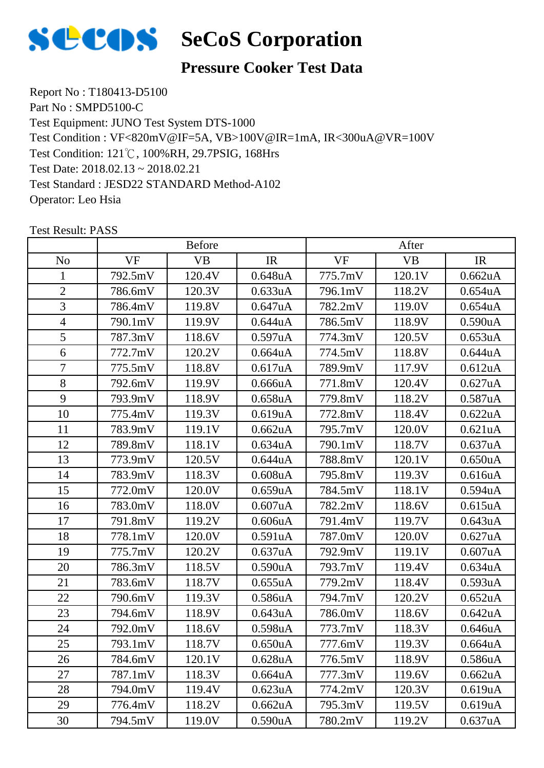

#### **Pressure Cooker Test Data**

Report No : T180413-D5100 Part No : SMPD5100-C Test Equipment: JUNO Test System DTS-1000 Test Condition: 121℃, 100%RH, 29.7PSIG, 168Hrs Test Date: 2018.02.13 ~ 2018.02.21 Test Standard : JESD22 STANDARD Method-A102 Operator: Leo Hsia Test Condition : VF<820mV@IF=5A, VB>100V@IR=1mA, IR<300uA@VR=100V

|                |           | <b>Before</b> |                      |           | After     |                      |
|----------------|-----------|---------------|----------------------|-----------|-----------|----------------------|
| N <sub>o</sub> | <b>VF</b> | <b>VB</b>     | IR                   | <b>VF</b> | <b>VB</b> | IR                   |
| 1              | 792.5mV   | 120.4V        | $0.648$ uA           | 775.7mV   | 120.1V    | 0.662uA              |
| $\overline{2}$ | 786.6mV   | 120.3V        | 0.633uA              | 796.1mV   | 118.2V    | 0.654 <sub>u</sub> A |
| 3              | 786.4mV   | 119.8V        | 0.647uA              | 782.2mV   | 119.0V    | $0.654$ uA           |
| $\overline{4}$ | 790.1mV   | 119.9V        | 0.644uA              | 786.5mV   | 118.9V    | 0.590uA              |
| 5              | 787.3mV   | 118.6V        | 0.597uA              | 774.3mV   | 120.5V    | 0.653uA              |
| 6              | 772.7mV   | 120.2V        | 0.664 <sub>u</sub> A | 774.5mV   | 118.8V    | 0.644uA              |
| 7              | 775.5mV   | 118.8V        | 0.617uA              | 789.9mV   | 117.9V    | 0.612 <sub>u</sub> A |
| 8              | 792.6mV   | 119.9V        | 0.666uA              | 771.8mV   | 120.4V    | 0.627uA              |
| 9              | 793.9mV   | 118.9V        | 0.658uA              | 779.8mV   | 118.2V    | 0.587uA              |
| 10             | 775.4mV   | 119.3V        | 0.619uA              | 772.8mV   | 118.4V    | 0.622uA              |
| 11             | 783.9mV   | 119.1V        | 0.662 <sub>u</sub> A | 795.7mV   | 120.0V    | 0.621uA              |
| 12             | 789.8mV   | 118.1V        | 0.634 <sub>u</sub> A | 790.1mV   | 118.7V    | 0.637uA              |
| 13             | 773.9mV   | 120.5V        | 0.644uA              | 788.8mV   | 120.1V    | 0.650 <sub>u</sub> A |
| 14             | 783.9mV   | 118.3V        | $0.608$ u $A$        | 795.8mV   | 119.3V    | 0.616uA              |
| 15             | 772.0mV   | 120.0V        | 0.659uA              | 784.5mV   | 118.1V    | 0.594 <sub>u</sub> A |
| 16             | 783.0mV   | 118.0V        | 0.607uA              | 782.2mV   | 118.6V    | 0.615 <sub>u</sub> A |
| 17             | 791.8mV   | 119.2V        | 0.606uA              | 791.4mV   | 119.7V    | 0.643uA              |
| 18             | 778.1mV   | 120.0V        | 0.591uA              | 787.0mV   | 120.0V    | 0.627uA              |
| 19             | 775.7mV   | 120.2V        | 0.637uA              | 792.9mV   | 119.1V    | 0.607uA              |
| 20             | 786.3mV   | 118.5V        | 0.590 <sub>u</sub> A | 793.7mV   | 119.4V    | 0.634uA              |
| 21             | 783.6mV   | 118.7V        | 0.655uA              | 779.2mV   | 118.4V    | 0.593uA              |
| 22             | 790.6mV   | 119.3V        | 0.586uA              | 794.7mV   | 120.2V    | 0.652 <sub>u</sub> A |
| 23             | 794.6mV   | 118.9V        | 0.643uA              | 786.0mV   | 118.6V    | 0.642uA              |
| 24             | 792.0mV   | 118.6V        | 0.598uA              | 773.7mV   | 118.3V    | 0.646uA              |
| 25             | 793.1mV   | 118.7V        | 0.650uA              | 777.6mV   | 119.3V    | 0.664uA              |
| 26             | 784.6mV   | 120.1V        | 0.628 <sub>u</sub> A | 776.5mV   | 118.9V    | 0.586uA              |
| 27             | 787.1mV   | 118.3V        | 0.664uA              | 777.3mV   | 119.6V    | 0.662 <sub>u</sub> A |
| 28             | 794.0mV   | 119.4V        | 0.623uA              | 774.2mV   | 120.3V    | 0.619uA              |
| 29             | 776.4mV   | 118.2V        | 0.662uA              | 795.3mV   | 119.5V    | 0.619uA              |
| 30             | 794.5mV   | 119.0V        | 0.590 <sub>u</sub> A | 780.2mV   | 119.2V    | 0.637uA              |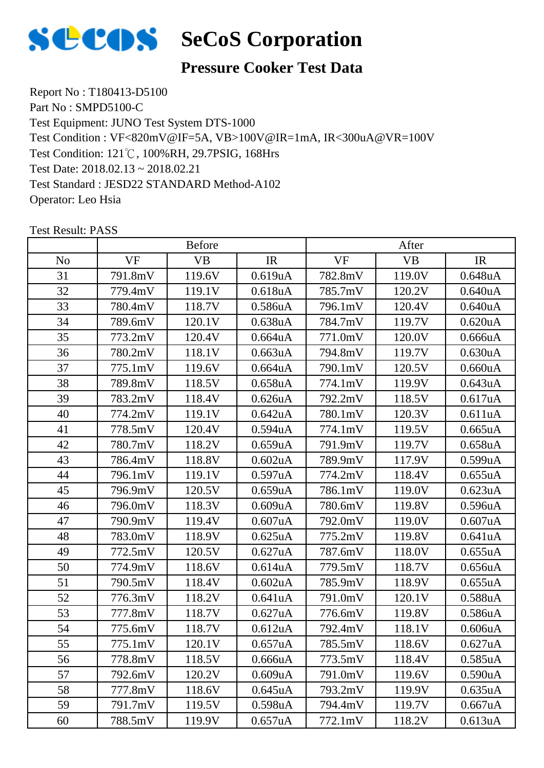

#### **Pressure Cooker Test Data**

Report No : T180413-D5100 Part No : SMPD5100-C Test Equipment: JUNO Test System DTS-1000 Test Condition: 121℃, 100%RH, 29.7PSIG, 168Hrs Test Date: 2018.02.13 ~ 2018.02.21 Test Standard : JESD22 STANDARD Method-A102 Operator: Leo Hsia Test Condition : VF<820mV@IF=5A, VB>100V@IR=1mA, IR<300uA@VR=100V

|                |           | <b>Before</b> |                      |           | After     |                      |
|----------------|-----------|---------------|----------------------|-----------|-----------|----------------------|
| N <sub>o</sub> | <b>VF</b> | VB            | IR                   | <b>VF</b> | <b>VB</b> | IR                   |
| 31             | 791.8mV   | 119.6V        | 0.619uA              | 782.8mV   | 119.0V    | 0.648uA              |
| 32             | 779.4mV   | 119.1V        | 0.618 <sub>u</sub> A | 785.7mV   | 120.2V    | 0.640 <sub>u</sub> A |
| 33             | 780.4mV   | 118.7V        | 0.586uA              | 796.1mV   | 120.4V    | 0.640 <sub>u</sub> A |
| 34             | 789.6mV   | 120.1V        | 0.638uA              | 784.7mV   | 119.7V    | 0.620 <sub>u</sub> A |
| 35             | 773.2mV   | 120.4V        | 0.664uA              | 771.0mV   | 120.0V    | 0.666uA              |
| 36             | 780.2mV   | 118.1V        | 0.663uA              | 794.8mV   | 119.7V    | 0.630 <sub>u</sub> A |
| 37             | 775.1mV   | 119.6V        | 0.664 <sub>u</sub> A | 790.1mV   | 120.5V    | 0.660uA              |
| 38             | 789.8mV   | 118.5V        | 0.658 <sub>u</sub> A | 774.1mV   | 119.9V    | 0.643uA              |
| 39             | 783.2mV   | 118.4V        | 0.626 <sub>u</sub> A | 792.2mV   | 118.5V    | 0.617uA              |
| 40             | 774.2mV   | 119.1V        | 0.642uA              | 780.1mV   | 120.3V    | 0.611uA              |
| 41             | 778.5mV   | 120.4V        | 0.594 <sub>u</sub> A | 774.1mV   | 119.5V    | 0.665uA              |
| 42             | 780.7mV   | 118.2V        | 0.659uA              | 791.9mV   | 119.7V    | 0.658 <sub>u</sub> A |
| 43             | 786.4mV   | 118.8V        | $0.602$ uA           | 789.9mV   | 117.9V    | 0.599uA              |
| 44             | 796.1mV   | 119.1V        | 0.597uA              | 774.2mV   | 118.4V    | 0.655uA              |
| 45             | 796.9mV   | 120.5V        | 0.659uA              | 786.1mV   | 119.0V    | 0.623uA              |
| 46             | 796.0mV   | 118.3V        | 0.609uA              | 780.6mV   | 119.8V    | 0.596 <sub>u</sub> A |
| 47             | 790.9mV   | 119.4V        | 0.607uA              | 792.0mV   | 119.0V    | 0.607uA              |
| 48             | 783.0mV   | 118.9V        | 0.625uA              | 775.2mV   | 119.8V    | 0.641uA              |
| 49             | 772.5mV   | 120.5V        | 0.627uA              | 787.6mV   | 118.0V    | 0.655uA              |
| 50             | 774.9mV   | 118.6V        | 0.614uA              | 779.5mV   | 118.7V    | 0.656uA              |
| 51             | 790.5mV   | 118.4V        | $0.602$ uA           | 785.9mV   | 118.9V    | 0.655uA              |
| 52             | 776.3mV   | 118.2V        | 0.641uA              | 791.0mV   | 120.1V    | 0.588uA              |
| 53             | 777.8mV   | 118.7V        | 0.627uA              | 776.6mV   | 119.8V    | 0.586uA              |
| 54             | 775.6mV   | 118.7V        | 0.612uA              | 792.4mV   | 118.1V    | 0.606uA              |
| 55             | 775.1mV   | 120.1V        | 0.657uA              | 785.5mV   | 118.6V    | 0.627uA              |
| 56             | 778.8mV   | 118.5V        | 0.666uA              | 773.5mV   | 118.4V    | 0.585uA              |
| 57             | 792.6mV   | 120.2V        | 0.609uA              | 791.0mV   | 119.6V    | 0.590 <sub>u</sub> A |
| 58             | 777.8mV   | 118.6V        | 0.645uA              | 793.2mV   | 119.9V    | 0.635uA              |
| 59             | 791.7mV   | 119.5V        | 0.598 <sub>u</sub> A | 794.4mV   | 119.7V    | 0.667uA              |
| 60             | 788.5mV   | 119.9V        | 0.657uA              | 772.1mV   | 118.2V    | 0.613uA              |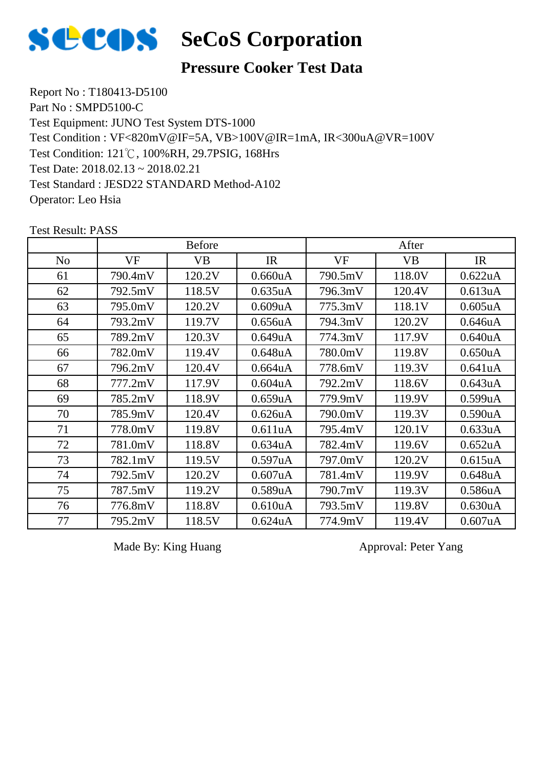

#### **Pressure Cooker Test Data**

Report No : T180413-D5100 Part No : SMPD5100-C Test Equipment: JUNO Test System DTS-1000 Test Condition: 121℃, 100%RH, 29.7PSIG, 168Hrs Test Date: 2018.02.13 ~ 2018.02.21 Test Standard : JESD22 STANDARD Method-A102 Operator: Leo Hsia Test Condition : VF<820mV@IF=5A, VB>100V@IR=1mA, IR<300uA@VR=100V

|                | <b>Before</b> |           |                      | After   |           |                      |
|----------------|---------------|-----------|----------------------|---------|-----------|----------------------|
| N <sub>o</sub> | VF            | <b>VB</b> | IR                   | VF      | <b>VB</b> | IR                   |
| 61             | 790.4mV       | 120.2V    | 0.660uA              | 790.5mV | 118.0V    | 0.622uA              |
| 62             | 792.5mV       | 118.5V    | 0.635uA              | 796.3mV | 120.4V    | 0.613 <sub>u</sub> A |
| 63             | 795.0mV       | 120.2V    | 0.609uA              | 775.3mV | 118.1V    | $0.605$ uA           |
| 64             | 793.2mV       | 119.7V    | 0.656 <sub>u</sub> A | 794.3mV | 120.2V    | 0.646uA              |
| 65             | 789.2mV       | 120.3V    | 0.649uA              | 774.3mV | 117.9V    | 0.640 <sub>u</sub> A |
| 66             | 782.0mV       | 119.4V    | 0.648uA              | 780.0mV | 119.8V    | 0.650 <sub>u</sub> A |
| 67             | 796.2mV       | 120.4V    | 0.664 <sub>u</sub> A | 778.6mV | 119.3V    | 0.641uA              |
| 68             | 777.2mV       | 117.9V    | $0.604$ u $A$        | 792.2mV | 118.6V    | 0.643uA              |
| 69             | 785.2mV       | 118.9V    | $0.659$ u $A$        | 779.9mV | 119.9V    | 0.599uA              |
| 70             | 785.9mV       | 120.4V    | 0.626 <sub>u</sub> A | 790.0mV | 119.3V    | 0.590 <sub>u</sub> A |
| 71             | 778.0mV       | 119.8V    | 0.611uA              | 795.4mV | 120.1V    | 0.633uA              |
| 72             | 781.0mV       | 118.8V    | 0.634 <sub>u</sub> A | 782.4mV | 119.6V    | 0.652 <sub>u</sub> A |
| 73             | 782.1mV       | 119.5V    | 0.597uA              | 797.0mV | 120.2V    | 0.615 <sub>u</sub> A |
| 74             | 792.5mV       | 120.2V    | 0.607uA              | 781.4mV | 119.9V    | 0.648 <sub>u</sub> A |
| 75             | 787.5mV       | 119.2V    | 0.589uA              | 790.7mV | 119.3V    | 0.586 <sub>u</sub> A |
| 76             | 776.8mV       | 118.8V    | 0.610 <sub>u</sub> A | 793.5mV | 119.8V    | 0.630 <sub>u</sub> A |
| 77             | 795.2mV       | 118.5V    | 0.624 <sub>u</sub> A | 774.9mV | 119.4V    | $0.607$ uA           |

Test Result: PASS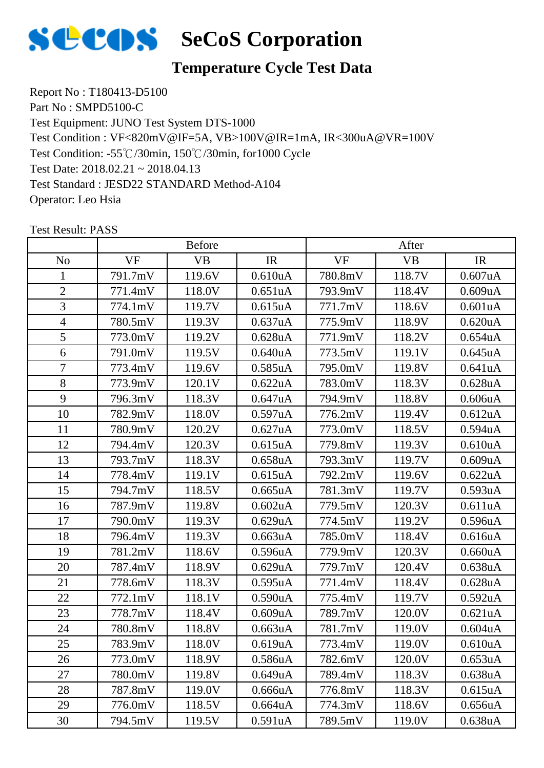

#### **Temperature Cycle Test Data**

Report No : T180413-D5100 Part No : SMPD5100-C Test Equipment: JUNO Test System DTS-1000 Test Condition: -55℃/30min, 150℃/30min, for1000 Cycle Test Date: 2018.02.21 ~ 2018.04.13 Test Standard : JESD22 STANDARD Method-A104 Operator: Leo Hsia Test Condition : VF<820mV@IF=5A, VB>100V@IR=1mA, IR<300uA@VR=100V

|                | <b>Before</b> |           |                      | After     |           |                      |
|----------------|---------------|-----------|----------------------|-----------|-----------|----------------------|
| N <sub>o</sub> | <b>VF</b>     | <b>VB</b> | IR                   | <b>VF</b> | <b>VB</b> | IR                   |
| 1              | 791.7mV       | 119.6V    | 0.610 <sub>u</sub> A | 780.8mV   | 118.7V    | 0.607uA              |
| $\overline{2}$ | 771.4mV       | 118.0V    | 0.651uA              | 793.9mV   | 118.4V    | 0.609uA              |
| $\overline{3}$ | 774.1mV       | 119.7V    | 0.615 <sub>u</sub> A | 771.7mV   | 118.6V    | 0.601uA              |
| $\overline{4}$ | 780.5mV       | 119.3V    | 0.637uA              | 775.9mV   | 118.9V    | $0.620$ uA           |
| 5              | 773.0mV       | 119.2V    | $0.628$ uA           | 771.9mV   | 118.2V    | 0.654uA              |
| 6              | 791.0mV       | 119.5V    | 0.640 <sub>u</sub> A | 773.5mV   | 119.1V    | 0.645uA              |
| $\overline{7}$ | 773.4mV       | 119.6V    | 0.585uA              | 795.0mV   | 119.8V    | 0.641uA              |
| 8              | 773.9mV       | 120.1V    | 0.622uA              | 783.0mV   | 118.3V    | 0.628uA              |
| 9              | 796.3mV       | 118.3V    | 0.647uA              | 794.9mV   | 118.8V    | 0.606uA              |
| 10             | 782.9mV       | 118.0V    | 0.597uA              | 776.2mV   | 119.4V    | 0.612uA              |
| 11             | 780.9mV       | 120.2V    | 0.627uA              | 773.0mV   | 118.5V    | 0.594 <sub>u</sub> A |
| 12             | 794.4mV       | 120.3V    | 0.615uA              | 779.8mV   | 119.3V    | 0.610 <sub>u</sub> A |
| 13             | 793.7mV       | 118.3V    | $0.658$ uA           | 793.3mV   | 119.7V    | 0.609uA              |
| 14             | 778.4mV       | 119.1V    | 0.615 <sub>u</sub> A | 792.2mV   | 119.6V    | 0.622uA              |
| 15             | 794.7mV       | 118.5V    | $0.665$ uA           | 781.3mV   | 119.7V    | 0.593uA              |
| 16             | 787.9mV       | 119.8V    | 0.602 <sub>u</sub> A | 779.5mV   | 120.3V    | 0.611uA              |
| 17             | 790.0mV       | 119.3V    | 0.629uA              | 774.5mV   | 119.2V    | 0.596uA              |
| 18             | 796.4mV       | 119.3V    | 0.663uA              | 785.0mV   | 118.4V    | 0.616 <sub>u</sub> A |
| 19             | 781.2mV       | 118.6V    | 0.596uA              | 779.9mV   | 120.3V    | 0.660uA              |
| 20             | 787.4mV       | 118.9V    | 0.629uA              | 779.7mV   | 120.4V    | 0.638uA              |
| 21             | 778.6mV       | 118.3V    | 0.595uA              | 771.4mV   | 118.4V    | 0.628 <sub>u</sub> A |
| 22             | 772.1mV       | 118.1V    | 0.590 <sub>u</sub> A | 775.4mV   | 119.7V    | 0.592uA              |
| 23             | 778.7mV       | 118.4V    | 0.609uA              | 789.7mV   | 120.0V    | 0.621uA              |
| 24             | 780.8mV       | 118.8V    | 0.663uA              | 781.7mV   | 119.0V    | $0.604$ uA           |
| 25             | 783.9mV       | 118.0V    | 0.619uA              | 773.4mV   | 119.0V    | 0.610 <sub>u</sub> A |
| 26             | 773.0mV       | 118.9V    | 0.586 <sub>u</sub> A | 782.6mV   | 120.0V    | 0.653uA              |
| 27             | 780.0mV       | 119.8V    | 0.649uA              | 789.4mV   | 118.3V    | 0.638uA              |
| 28             | 787.8mV       | 119.0V    | 0.666uA              | 776.8mV   | 118.3V    | 0.615uA              |
| 29             | 776.0mV       | 118.5V    | 0.664uA              | 774.3mV   | 118.6V    | 0.656uA              |
| 30             | 794.5mV       | 119.5V    | 0.591uA              | 789.5mV   | 119.0V    | 0.638uA              |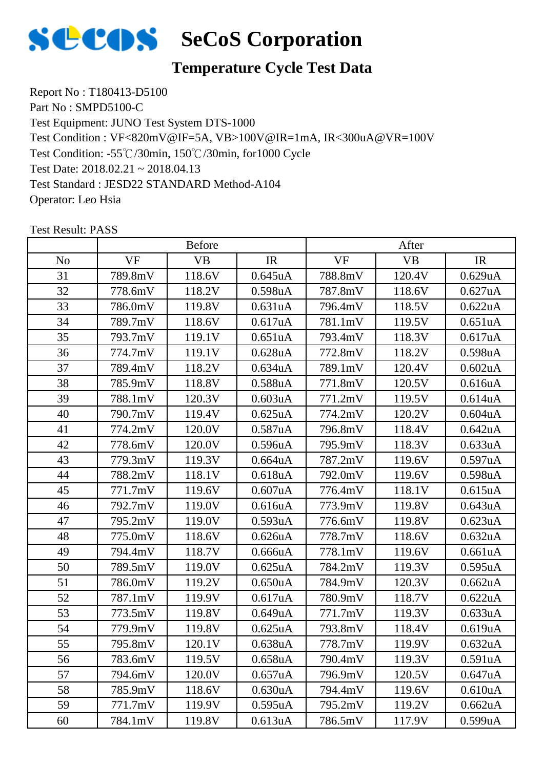

### **Temperature Cycle Test Data**

Report No : T180413-D5100 Part No : SMPD5100-C Test Equipment: JUNO Test System DTS-1000 Test Condition: -55℃/30min, 150℃/30min, for1000 Cycle Test Date: 2018.02.21 ~ 2018.04.13 Test Standard : JESD22 STANDARD Method-A104 Operator: Leo Hsia Test Condition : VF<820mV@IF=5A, VB>100V@IR=1mA, IR<300uA@VR=100V

|                | <b>Before</b> |           |                      | After     |           |                      |
|----------------|---------------|-----------|----------------------|-----------|-----------|----------------------|
| N <sub>o</sub> | <b>VF</b>     | <b>VB</b> | IR                   | <b>VF</b> | <b>VB</b> | IR                   |
| 31             | 789.8mV       | 118.6V    | 0.645uA              | 788.8mV   | 120.4V    | 0.629uA              |
| 32             | 778.6mV       | 118.2V    | 0.598uA              | 787.8mV   | 118.6V    | 0.627uA              |
| 33             | 786.0mV       | 119.8V    | 0.631uA              | 796.4mV   | 118.5V    | 0.622uA              |
| 34             | 789.7mV       | 118.6V    | 0.617uA              | 781.1mV   | 119.5V    | 0.651uA              |
| 35             | 793.7mV       | 119.1V    | 0.651uA              | 793.4mV   | 118.3V    | 0.617uA              |
| 36             | 774.7mV       | 119.1V    | 0.628 <sub>u</sub> A | 772.8mV   | 118.2V    | 0.598 <sub>u</sub> A |
| 37             | 789.4mV       | 118.2V    | 0.634uA              | 789.1mV   | 120.4V    | 0.602uA              |
| 38             | 785.9mV       | 118.8V    | 0.588uA              | 771.8mV   | 120.5V    | 0.616 <sub>u</sub> A |
| 39             | 788.1mV       | 120.3V    | 0.603uA              | 771.2mV   | 119.5V    | 0.614 <sub>u</sub> A |
| 40             | 790.7mV       | 119.4V    | 0.625uA              | 774.2mV   | 120.2V    | $0.604$ uA           |
| 41             | 774.2mV       | 120.0V    | 0.587 <sub>u</sub> A | 796.8mV   | 118.4V    | 0.642 <sub>u</sub> A |
| 42             | 778.6mV       | 120.0V    | 0.596uA              | 795.9mV   | 118.3V    | 0.633uA              |
| 43             | 779.3mV       | 119.3V    | $0.664$ uA           | 787.2mV   | 119.6V    | 0.597uA              |
| 44             | 788.2mV       | 118.1V    | 0.618 <sub>u</sub> A | 792.0mV   | 119.6V    | 0.598uA              |
| 45             | 771.7mV       | 119.6V    | 0.607uA              | 776.4mV   | 118.1V    | 0.615uA              |
| 46             | 792.7mV       | 119.0V    | 0.616 <sub>u</sub> A | 773.9mV   | 119.8V    | 0.643uA              |
| 47             | 795.2mV       | 119.0V    | 0.593uA              | 776.6mV   | 119.8V    | 0.623uA              |
| 48             | 775.0mV       | 118.6V    | 0.626 <sub>u</sub> A | 778.7mV   | 118.6V    | 0.632 <sub>u</sub> A |
| 49             | 794.4mV       | 118.7V    | 0.666uA              | 778.1mV   | 119.6V    | 0.661uA              |
| 50             | 789.5mV       | 119.0V    | 0.625uA              | 784.2mV   | 119.3V    | 0.595uA              |
| 51             | 786.0mV       | 119.2V    | 0.650 <sub>u</sub> A | 784.9mV   | 120.3V    | 0.662 <sub>u</sub> A |
| 52             | 787.1mV       | 119.9V    | 0.617uA              | 780.9mV   | 118.7V    | 0.622uA              |
| 53             | 773.5mV       | 119.8V    | 0.649uA              | 771.7mV   | 119.3V    | 0.633uA              |
| 54             | 779.9mV       | 119.8V    | $0.625$ uA           | 793.8mV   | 118.4V    | 0.619uA              |
| 55             | 795.8mV       | 120.1V    | 0.638 <sub>u</sub> A | 778.7mV   | 119.9V    | 0.632 <sub>u</sub> A |
| 56             | 783.6mV       | 119.5V    | 0.658 <sub>u</sub> A | 790.4mV   | 119.3V    | 0.591uA              |
| 57             | 794.6mV       | 120.0V    | 0.657uA              | 796.9mV   | 120.5V    | 0.647uA              |
| 58             | 785.9mV       | 118.6V    | 0.630uA              | 794.4mV   | 119.6V    | 0.610uA              |
| 59             | 771.7mV       | 119.9V    | 0.595uA              | 795.2mV   | 119.2V    | 0.662 <sub>u</sub> A |
| 60             | 784.1mV       | 119.8V    | 0.613uA              | 786.5mV   | 117.9V    | 0.599uA              |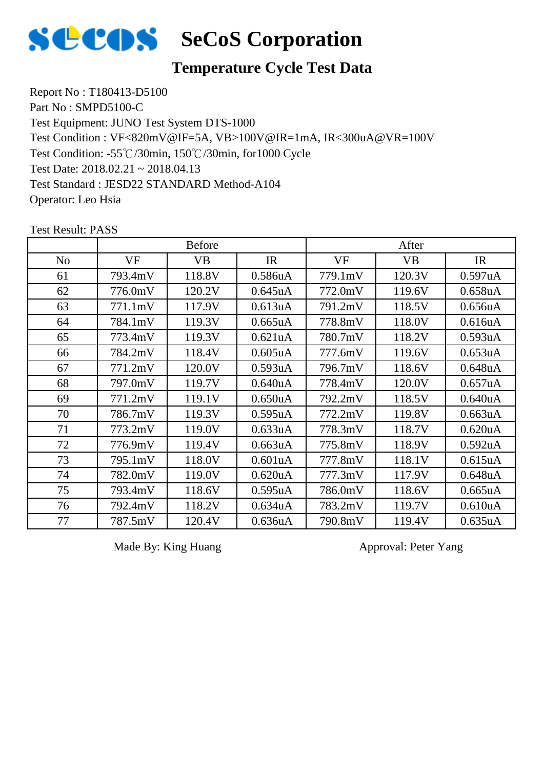

#### **Temperature Cycle Test Data**

Report No : T180413-D5100 Part No : SMPD5100-C Test Equipment: JUNO Test System DTS-1000 Test Condition: -55℃/30min, 150℃/30min, for1000 Cycle Test Date: 2018.02.21 ~ 2018.04.13 Test Standard : JESD22 STANDARD Method-A104 Operator: Leo Hsia Test Condition : VF<820mV@IF=5A, VB>100V@IR=1mA, IR<300uA@VR=100V

|                | <b>Before</b> |           |                      | After     |           |                      |
|----------------|---------------|-----------|----------------------|-----------|-----------|----------------------|
| N <sub>o</sub> | <b>VF</b>     | <b>VB</b> | IR                   | <b>VF</b> | <b>VB</b> | IR                   |
| 61             | 793.4mV       | 118.8V    | 0.586uA              | 779.1mV   | 120.3V    | 0.597uA              |
| 62             | 776.0mV       | 120.2V    | 0.645uA              | 772.0mV   | 119.6V    | 0.658 <sub>u</sub> A |
| 63             | 771.1mV       | 117.9V    | 0.613uA              | 791.2mV   | 118.5V    | 0.656uA              |
| 64             | 784.1mV       | 119.3V    | 0.665uA              | 778.8mV   | 118.0V    | 0.616 <sub>u</sub> A |
| 65             | 773.4mV       | 119.3V    | 0.621uA              | 780.7mV   | 118.2V    | 0.593uA              |
| 66             | 784.2mV       | 118.4V    | 0.605uA              | 777.6mV   | 119.6V    | 0.653uA              |
| 67             | 771.2mV       | 120.0V    | 0.593uA              | 796.7mV   | 118.6V    | 0.648uA              |
| 68             | 797.0mV       | 119.7V    | 0.640 <sub>u</sub> A | 778.4mV   | 120.0V    | 0.657uA              |
| 69             | 771.2mV       | 119.1V    | 0.650 <sub>u</sub> A | 792.2mV   | 118.5V    | 0.640 <sub>u</sub> A |
| 70             | 786.7mV       | 119.3V    | 0.595uA              | 772.2mV   | 119.8V    | 0.663uA              |
| 71             | 773.2mV       | 119.0V    | 0.633uA              | 778.3mV   | 118.7V    | 0.620uA              |
| 72             | 776.9mV       | 119.4V    | 0.663uA              | 775.8mV   | 118.9V    | 0.592uA              |
| 73             | 795.1mV       | 118.0V    | 0.601uA              | 777.8mV   | 118.1V    | 0.615 <sub>u</sub> A |
| 74             | 782.0mV       | 119.0V    | 0.620 <sub>u</sub> A | 777.3mV   | 117.9V    | 0.648uA              |
| 75             | 793.4mV       | 118.6V    | 0.595uA              | 786.0mV   | 118.6V    | 0.665uA              |
| 76             | 792.4mV       | 118.2V    | 0.634 <sub>u</sub> A | 783.2mV   | 119.7V    | 0.610 <sub>u</sub> A |
| 77             | 787.5mV       | 120.4V    | 0.636 <sub>u</sub> A | 790.8mV   | 119.4V    | 0.635uA              |

Test Result: PASS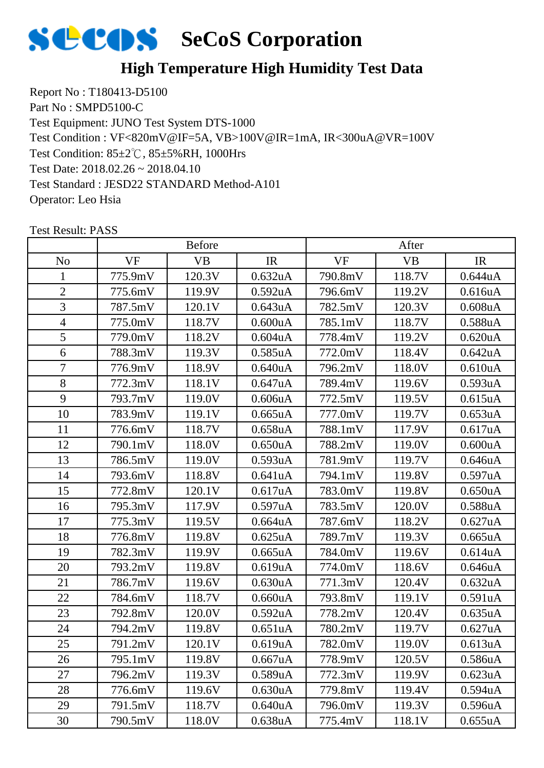

Report No : T180413-D5100 Part No : SMPD5100-C Test Equipment: JUNO Test System DTS-1000 Test Condition: 85±2℃, 85±5%RH, 1000Hrs Test Date: 2018.02.26 ~ 2018.04.10 Test Standard : JESD22 STANDARD Method-A101 Operator: Leo Hsia Test Condition : VF<820mV@IF=5A, VB>100V@IR=1mA, IR<300uA@VR=100V

|                | <b>Before</b> |           |                      | After     |           |                      |
|----------------|---------------|-----------|----------------------|-----------|-----------|----------------------|
| N <sub>o</sub> | <b>VF</b>     | <b>VB</b> | IR                   | <b>VF</b> | <b>VB</b> | IR                   |
| 1              | 775.9mV       | 120.3V    | 0.632 <sub>u</sub> A | 790.8mV   | 118.7V    | 0.644uA              |
| $\mathbf{2}$   | 775.6mV       | 119.9V    | 0.592uA              | 796.6mV   | 119.2V    | 0.616uA              |
| 3              | 787.5mV       | 120.1V    | 0.643uA              | 782.5mV   | 120.3V    | $0.608$ u $A$        |
| $\overline{4}$ | 775.0mV       | 118.7V    | 0.600uA              | 785.1mV   | 118.7V    | 0.588uA              |
| 5              | 779.0mV       | 118.2V    | $0.604$ uA           | 778.4mV   | 119.2V    | 0.620 <sub>u</sub> A |
| 6              | 788.3mV       | 119.3V    | 0.585uA              | 772.0mV   | 118.4V    | 0.642 <sub>u</sub> A |
| $\overline{7}$ | 776.9mV       | 118.9V    | 0.640 <sub>u</sub> A | 796.2mV   | 118.0V    | 0.610 <sub>u</sub> A |
| 8              | 772.3mV       | 118.1V    | 0.647uA              | 789.4mV   | 119.6V    | 0.593uA              |
| 9              | 793.7mV       | 119.0V    | 0.606uA              | 772.5mV   | 119.5V    | 0.615uA              |
| 10             | 783.9mV       | 119.1V    | 0.665uA              | 777.0mV   | 119.7V    | 0.653uA              |
| 11             | 776.6mV       | 118.7V    | 0.658 <sub>u</sub> A | 788.1mV   | 117.9V    | 0.617uA              |
| 12             | 790.1mV       | 118.0V    | 0.650 <sub>u</sub> A | 788.2mV   | 119.0V    | 0.600uA              |
| 13             | 786.5mV       | 119.0V    | 0.593uA              | 781.9mV   | 119.7V    | 0.646uA              |
| 14             | 793.6mV       | 118.8V    | 0.641uA              | 794.1mV   | 119.8V    | 0.597uA              |
| 15             | 772.8mV       | 120.1V    | 0.617uA              | 783.0mV   | 119.8V    | 0.650 <sub>u</sub> A |
| 16             | 795.3mV       | 117.9V    | 0.597uA              | 783.5mV   | 120.0V    | 0.588uA              |
| 17             | 775.3mV       | 119.5V    | 0.664uA              | 787.6mV   | 118.2V    | 0.627uA              |
| 18             | 776.8mV       | 119.8V    | 0.625uA              | 789.7mV   | 119.3V    | 0.665uA              |
| 19             | 782.3mV       | 119.9V    | 0.665uA              | 784.0mV   | 119.6V    | 0.614uA              |
| 20             | 793.2mV       | 119.8V    | 0.619uA              | 774.0mV   | 118.6V    | 0.646uA              |
| 21             | 786.7mV       | 119.6V    | 0.630 <sub>u</sub> A | 771.3mV   | 120.4V    | 0.632 <sub>u</sub> A |
| 22             | 784.6mV       | 118.7V    | 0.660uA              | 793.8mV   | 119.1V    | 0.591uA              |
| 23             | 792.8mV       | 120.0V    | 0.592 <sub>u</sub> A | 778.2mV   | 120.4V    | 0.635uA              |
| 24             | 794.2mV       | 119.8V    | 0.651uA              | 780.2mV   | 119.7V    | 0.627uA              |
| 25             | 791.2mV       | 120.1V    | 0.619uA              | 782.0mV   | 119.0V    | 0.613uA              |
| 26             | 795.1mV       | 119.8V    | 0.667uA              | 778.9mV   | 120.5V    | 0.586 <sub>u</sub> A |
| 27             | 796.2mV       | 119.3V    | 0.589uA              | 772.3mV   | 119.9V    | 0.623uA              |
| 28             | 776.6mV       | 119.6V    | 0.630 <sub>u</sub> A | 779.8mV   | 119.4V    | 0.594uA              |
| 29             | 791.5mV       | 118.7V    | 0.640 <sub>u</sub> A | 796.0mV   | 119.3V    | 0.596uA              |
| 30             | 790.5mV       | 118.0V    | 0.638uA              | 775.4mV   | 118.1V    | 0.655uA              |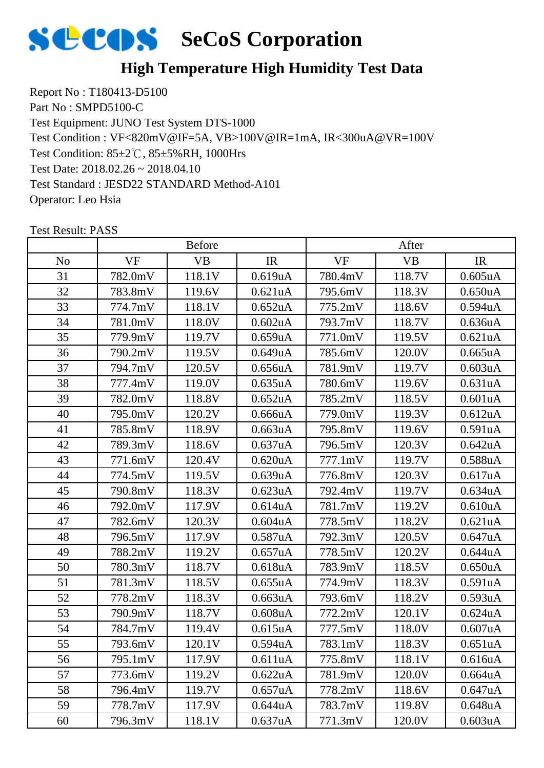

Report No : T180413-D5100 Part No : SMPD5100-C Test Equipment: JUNO Test System DTS-1000 Test Condition: 85±2℃, 85±5%RH, 1000Hrs Test Date: 2018.02.26 ~ 2018.04.10 Test Standard : JESD22 STANDARD Method-A101 Operator: Leo Hsia Test Condition : VF<820mV@IF=5A, VB>100V@IR=1mA, IR<300uA@VR=100V

|                | <b>Before</b> |           |                      | After   |           |                      |
|----------------|---------------|-----------|----------------------|---------|-----------|----------------------|
| N <sub>o</sub> | <b>VF</b>     | <b>VB</b> | IR                   | VF      | <b>VB</b> | IR                   |
| 31             | 782.0mV       | 118.1V    | 0.619uA              | 780.4mV | 118.7V    | $0.605$ uA           |
| 32             | 783.8mV       | 119.6V    | 0.621uA              | 795.6mV | 118.3V    | 0.650 <sub>u</sub> A |
| 33             | 774.7mV       | 118.1V    | 0.652 <sub>u</sub> A | 775.2mV | 118.6V    | 0.594 <sub>u</sub> A |
| 34             | 781.0mV       | 118.0V    | 0.602 <sub>u</sub> A | 793.7mV | 118.7V    | 0.636 <sub>u</sub> A |
| 35             | 779.9mV       | 119.7V    | 0.659uA              | 771.0mV | 119.5V    | 0.621 <sub>u</sub> A |
| 36             | 790.2mV       | 119.5V    | 0.649uA              | 785.6mV | 120.0V    | $0.665$ uA           |
| 37             | 794.7mV       | 120.5V    | 0.656uA              | 781.9mV | 119.7V    | 0.603uA              |
| 38             | 777.4mV       | 119.0V    | 0.635uA              | 780.6mV | 119.6V    | 0.631uA              |
| 39             | 782.0mV       | 118.8V    | 0.652 <sub>u</sub> A | 785.2mV | 118.5V    | 0.601uA              |
| 40             | 795.0mV       | 120.2V    | 0.666uA              | 779.0mV | 119.3V    | 0.612 <sub>u</sub> A |
| 41             | 785.8mV       | 118.9V    | 0.663uA              | 795.8mV | 119.6V    | 0.591uA              |
| 42             | 789.3mV       | 118.6V    | 0.637uA              | 796.5mV | 120.3V    | 0.642uA              |
| 43             | 771.6mV       | 120.4V    | 0.620 <sub>u</sub> A | 777.1mV | 119.7V    | 0.588uA              |
| 44             | 774.5mV       | 119.5V    | 0.639uA              | 776.8mV | 120.3V    | 0.617uA              |
| 45             | 790.8mV       | 118.3V    | 0.623uA              | 792.4mV | 119.7V    | 0.634uA              |
| 46             | 792.0mV       | 117.9V    | 0.614 <sub>u</sub> A | 781.7mV | 119.2V    | 0.610 <sub>u</sub> A |
| 47             | 782.6mV       | 120.3V    | $0.604$ u $A$        | 778.5mV | 118.2V    | 0.621uA              |
| 48             | 796.5mV       | 117.9V    | 0.587uA              | 792.3mV | 120.5V    | 0.647uA              |
| 49             | 788.2mV       | 119.2V    | 0.657uA              | 778.5mV | 120.2V    | 0.644uA              |
| 50             | 780.3mV       | 118.7V    | 0.618uA              | 783.9mV | 118.5V    | 0.650 <sub>u</sub> A |
| 51             | 781.3mV       | 118.5V    | 0.655uA              | 774.9mV | 118.3V    | 0.591 <sub>u</sub> A |
| 52             | 778.2mV       | 118.3V    | 0.663uA              | 793.6mV | 118.2V    | 0.593uA              |
| 53             | 790.9mV       | 118.7V    | $0.608$ u $A$        | 772.2mV | 120.1V    | 0.624uA              |
| 54             | 784.7mV       | 119.4V    | 0.615uA              | 777.5mV | 118.0V    | 0.607uA              |
| 55             | 793.6mV       | 120.1V    | 0.594uA              | 783.1mV | 118.3V    | 0.651uA              |
| 56             | 795.1mV       | 117.9V    | 0.611uA              | 775.8mV | 118.1V    | 0.616 <sub>u</sub> A |
| 57             | 773.6mV       | 119.2V    | 0.622uA              | 781.9mV | 120.0V    | 0.664 <sub>u</sub> A |
| 58             | 796.4mV       | 119.7V    | 0.657uA              | 778.2mV | 118.6V    | 0.647uA              |
| 59             | 778.7mV       | 117.9V    | 0.644uA              | 783.7mV | 119.8V    | 0.648uA              |
| 60             | 796.3mV       | 118.1V    | 0.637uA              | 771.3mV | 120.0V    | 0.603uA              |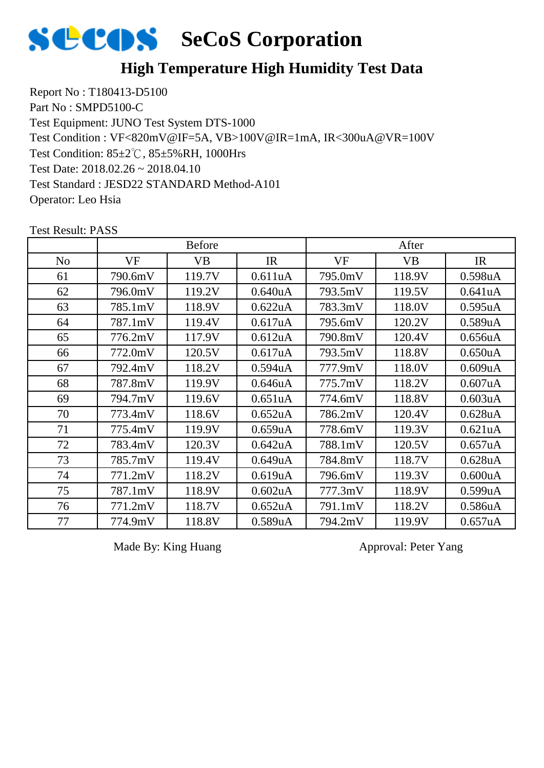

Report No : T180413-D5100 Part No : SMPD5100-C Test Equipment: JUNO Test System DTS-1000 Test Condition: 85±2℃, 85±5%RH, 1000Hrs Test Date: 2018.02.26 ~ 2018.04.10 Test Standard : JESD22 STANDARD Method-A101 Operator: Leo Hsia Test Condition : VF<820mV@IF=5A, VB>100V@IR=1mA, IR<300uA@VR=100V

|                | <b>Before</b> |        |                      | After   |           |                      |
|----------------|---------------|--------|----------------------|---------|-----------|----------------------|
| N <sub>o</sub> | VF            | VB     | IR                   | VF      | <b>VB</b> | IR                   |
| 61             | 790.6mV       | 119.7V | 0.611uA              | 795.0mV | 118.9V    | 0.598 <sub>u</sub> A |
| 62             | 796.0mV       | 119.2V | 0.640 <sub>u</sub> A | 793.5mV | 119.5V    | 0.641uA              |
| 63             | 785.1mV       | 118.9V | 0.622uA              | 783.3mV | 118.0V    | 0.595uA              |
| 64             | 787.1mV       | 119.4V | 0.617uA              | 795.6mV | 120.2V    | 0.589uA              |
| 65             | 776.2mV       | 117.9V | 0.612 <sub>u</sub> A | 790.8mV | 120.4V    | 0.656 <sub>u</sub> A |
| 66             | 772.0mV       | 120.5V | 0.617uA              | 793.5mV | 118.8V    | 0.650 <sub>u</sub> A |
| 67             | 792.4mV       | 118.2V | 0.594 <sub>u</sub> A | 777.9mV | 118.0V    | 0.609uA              |
| 68             | 787.8mV       | 119.9V | 0.646uA              | 775.7mV | 118.2V    | 0.607uA              |
| 69             | 794.7mV       | 119.6V | 0.651 <sub>u</sub> A | 774.6mV | 118.8V    | 0.603uA              |
| 70             | 773.4mV       | 118.6V | 0.652 <sub>u</sub> A | 786.2mV | 120.4V    | 0.628uA              |
| 71             | 775.4mV       | 119.9V | 0.659uA              | 778.6mV | 119.3V    | 0.621 <sub>u</sub> A |
| 72             | 783.4mV       | 120.3V | 0.642uA              | 788.1mV | 120.5V    | 0.657uA              |
| 73             | 785.7mV       | 119.4V | 0.649uA              | 784.8mV | 118.7V    | 0.628uA              |
| 74             | 771.2mV       | 118.2V | 0.619uA              | 796.6mV | 119.3V    | 0.600uA              |
| 75             | 787.1mV       | 118.9V | 0.602 <sub>u</sub> A | 777.3mV | 118.9V    | 0.599uA              |
| 76             | 771.2mV       | 118.7V | 0.652 <sub>u</sub> A | 791.1mV | 118.2V    | 0.586 <sub>u</sub> A |
| 77             | 774.9mV       | 118.8V | 0.589uA              | 794.2mV | 119.9V    | $0.657$ uA           |

Test Result: PASS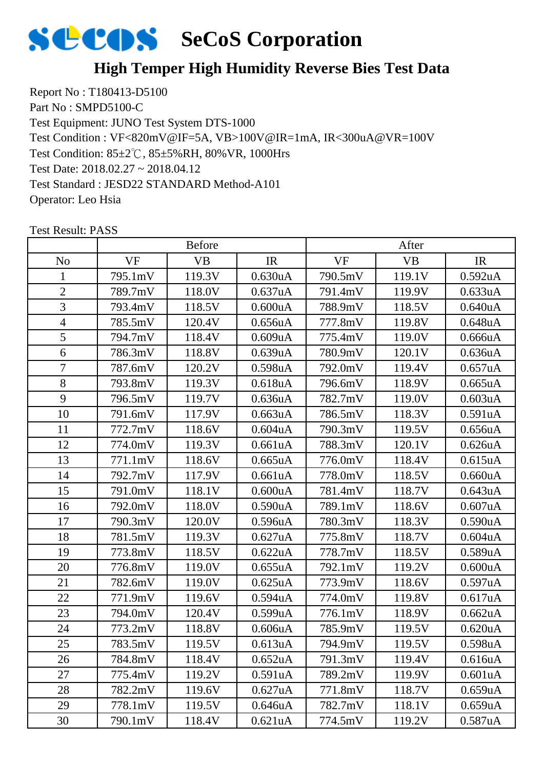#### **High Temper High Humidity Reverse Bies Test Data**

Report No : T180413-D5100 Part No : SMPD5100-C Test Equipment: JUNO Test System DTS-1000 Test Condition: 85±2℃, 85±5%RH, 80%VR, 1000Hrs Test Date: 2018.02.27 ~ 2018.04.12 Test Standard : JESD22 STANDARD Method-A101 Operator: Leo Hsia Test Condition : VF<820mV@IF=5A, VB>100V@IR=1mA, IR<300uA@VR=100V

|                | <b>Before</b> |           |                      | After     |           |                      |
|----------------|---------------|-----------|----------------------|-----------|-----------|----------------------|
| N <sub>o</sub> | <b>VF</b>     | <b>VB</b> | IR                   | <b>VF</b> | <b>VB</b> | IR                   |
| 1              | 795.1mV       | 119.3V    | 0.630 <sub>u</sub> A | 790.5mV   | 119.1V    | 0.592 <sub>u</sub> A |
| $\overline{2}$ | 789.7mV       | 118.0V    | 0.637uA              | 791.4mV   | 119.9V    | 0.633uA              |
| 3              | 793.4mV       | 118.5V    | 0.600uA              | 788.9mV   | 118.5V    | 0.640 <sub>u</sub> A |
| $\overline{4}$ | 785.5mV       | 120.4V    | 0.656uA              | 777.8mV   | 119.8V    | 0.648uA              |
| 5              | 794.7mV       | 118.4V    | 0.609uA              | 775.4mV   | 119.0V    | 0.666uA              |
| 6              | 786.3mV       | 118.8V    | 0.639uA              | 780.9mV   | 120.1V    | 0.636 <sub>u</sub> A |
| $\overline{7}$ | 787.6mV       | 120.2V    | 0.598uA              | 792.0mV   | 119.4V    | 0.657uA              |
| 8              | 793.8mV       | 119.3V    | 0.618 <sub>u</sub> A | 796.6mV   | 118.9V    | 0.665uA              |
| 9              | 796.5mV       | 119.7V    | 0.636 <sub>u</sub> A | 782.7mV   | 119.0V    | 0.603uA              |
| 10             | 791.6mV       | 117.9V    | 0.663uA              | 786.5mV   | 118.3V    | 0.591uA              |
| 11             | 772.7mV       | 118.6V    | $0.604$ uA           | 790.3mV   | 119.5V    | 0.656uA              |
| 12             | 774.0mV       | 119.3V    | 0.661uA              | 788.3mV   | 120.1V    | 0.626uA              |
| 13             | 771.1mV       | 118.6V    | $0.665$ uA           | 776.0mV   | 118.4V    | 0.615 <sub>u</sub> A |
| 14             | 792.7mV       | 117.9V    | 0.661uA              | 778.0mV   | 118.5V    | 0.660uA              |
| 15             | 791.0mV       | 118.1V    | 0.600uA              | 781.4mV   | 118.7V    | 0.643uA              |
| 16             | 792.0mV       | 118.0V    | 0.590 <sub>u</sub> A | 789.1mV   | 118.6V    | 0.607uA              |
| 17             | 790.3mV       | 120.0V    | 0.596uA              | 780.3mV   | 118.3V    | 0.590uA              |
| 18             | 781.5mV       | 119.3V    | 0.627uA              | 775.8mV   | 118.7V    | $0.604$ uA           |
| 19             | 773.8mV       | 118.5V    | 0.622uA              | 778.7mV   | 118.5V    | 0.589uA              |
| 20             | 776.8mV       | 119.0V    | 0.655uA              | 792.1mV   | 119.2V    | 0.600uA              |
| 21             | 782.6mV       | 119.0V    | 0.625uA              | 773.9mV   | 118.6V    | 0.597uA              |
| 22             | 771.9mV       | 119.6V    | 0.594uA              | 774.0mV   | 119.8V    | 0.617uA              |
| 23             | 794.0mV       | 120.4V    | 0.599uA              | 776.1mV   | 118.9V    | 0.662 <sub>u</sub> A |
| 24             | 773.2mV       | 118.8V    | 0.606uA              | 785.9mV   | 119.5V    | 0.620 <sub>u</sub> A |
| 25             | 783.5mV       | 119.5V    | 0.613uA              | 794.9mV   | 119.5V    | 0.598uA              |
| 26             | 784.8mV       | 118.4V    | 0.652 <sub>u</sub> A | 791.3mV   | 119.4V    | 0.616 <sub>u</sub> A |
| 27             | 775.4mV       | 119.2V    | 0.591uA              | 789.2mV   | 119.9V    | 0.601uA              |
| 28             | 782.2mV       | 119.6V    | 0.627uA              | 771.8mV   | 118.7V    | 0.659uA              |
| 29             | 778.1mV       | 119.5V    | 0.646 <sub>u</sub> A | 782.7mV   | 118.1V    | 0.659uA              |
| 30             | 790.1mV       | 118.4V    | 0.621uA              | 774.5mV   | 119.2V    | 0.587uA              |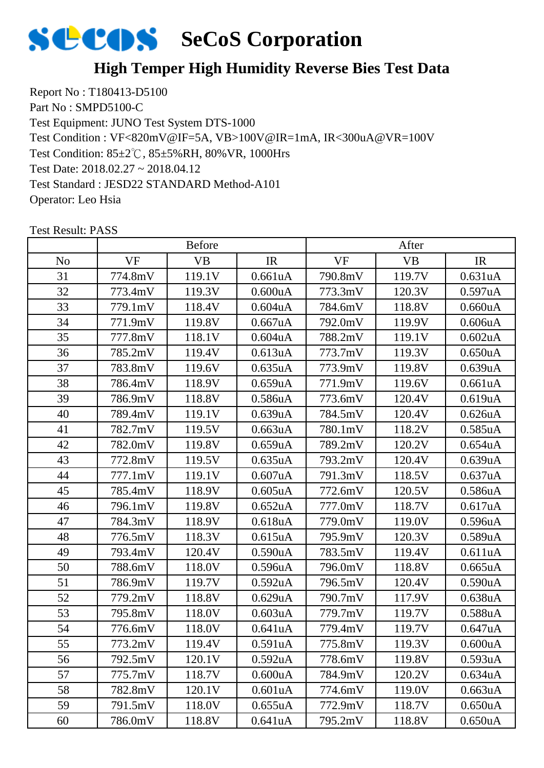# **SECOS** SeCoS Corporation

#### **High Temper High Humidity Reverse Bies Test Data**

Report No : T180413-D5100 Part No : SMPD5100-C Test Equipment: JUNO Test System DTS-1000 Test Condition: 85±2℃, 85±5%RH, 80%VR, 1000Hrs Test Date: 2018.02.27 ~ 2018.04.12 Test Standard : JESD22 STANDARD Method-A101 Operator: Leo Hsia Test Condition : VF<820mV@IF=5A, VB>100V@IR=1mA, IR<300uA@VR=100V

|     | <b>Before</b> |           |                      | After     |           |                      |
|-----|---------------|-----------|----------------------|-----------|-----------|----------------------|
| No. | <b>VF</b>     | <b>VB</b> | IR                   | <b>VF</b> | <b>VB</b> | IR                   |
| 31  | 774.8mV       | 119.1V    | 0.661uA              | 790.8mV   | 119.7V    | 0.631uA              |
| 32  | 773.4mV       | 119.3V    | 0.600uA              | 773.3mV   | 120.3V    | 0.597uA              |
| 33  | 779.1mV       | 118.4V    | $0.604$ u $A$        | 784.6mV   | 118.8V    | 0.660uA              |
| 34  | 771.9mV       | 119.8V    | $0.667$ uA           | 792.0mV   | 119.9V    | 0.606uA              |
| 35  | 777.8mV       | 118.1V    | $0.604$ u $A$        | 788.2mV   | 119.1V    | 0.602uA              |
| 36  | 785.2mV       | 119.4V    | 0.613 <sub>u</sub> A | 773.7mV   | 119.3V    | 0.650 <sub>u</sub> A |
| 37  | 783.8mV       | 119.6V    | 0.635uA              | 773.9mV   | 119.8V    | 0.639uA              |
| 38  | 786.4mV       | 118.9V    | 0.659uA              | 771.9mV   | 119.6V    | 0.661uA              |
| 39  | 786.9mV       | 118.8V    | 0.586 <sub>u</sub> A | 773.6mV   | 120.4V    | 0.619uA              |
| 40  | 789.4mV       | 119.1V    | 0.639uA              | 784.5mV   | 120.4V    | 0.626 <sub>u</sub> A |
| 41  | 782.7mV       | 119.5V    | 0.663uA              | 780.1mV   | 118.2V    | 0.585uA              |
| 42  | 782.0mV       | 119.8V    | 0.659uA              | 789.2mV   | 120.2V    | 0.654 <sub>u</sub> A |
| 43  | 772.8mV       | 119.5V    | 0.635uA              | 793.2mV   | 120.4V    | 0.639uA              |
| 44  | 777.1mV       | 119.1V    | $0.607$ uA           | 791.3mV   | 118.5V    | 0.637uA              |
| 45  | 785.4mV       | 118.9V    | $0.605$ uA           | 772.6mV   | 120.5V    | 0.586 <sub>u</sub> A |
| 46  | 796.1mV       | 119.8V    | 0.652 <sub>u</sub> A | 777.0mV   | 118.7V    | 0.617uA              |
| 47  | 784.3mV       | 118.9V    | 0.618 <sub>u</sub> A | 779.0mV   | 119.0V    | 0.596 <sub>u</sub> A |
| 48  | 776.5mV       | 118.3V    | 0.615 <sub>u</sub> A | 795.9mV   | 120.3V    | 0.589uA              |
| 49  | 793.4mV       | 120.4V    | 0.590 <sub>u</sub> A | 783.5mV   | 119.4V    | 0.611uA              |
| 50  | 788.6mV       | 118.0V    | 0.596uA              | 796.0mV   | 118.8V    | 0.665uA              |
| 51  | 786.9mV       | 119.7V    | 0.592uA              | 796.5mV   | 120.4V    | 0.590uA              |
| 52  | 779.2mV       | 118.8V    | 0.629uA              | 790.7mV   | 117.9V    | 0.638uA              |
| 53  | 795.8mV       | 118.0V    | 0.603uA              | 779.7mV   | 119.7V    | 0.588uA              |
| 54  | 776.6mV       | 118.0V    | 0.641uA              | 779.4mV   | 119.7V    | 0.647uA              |
| 55  | 773.2mV       | 119.4V    | 0.591uA              | 775.8mV   | 119.3V    | 0.600uA              |
| 56  | 792.5mV       | 120.1V    | 0.592 <sub>u</sub> A | 778.6mV   | 119.8V    | 0.593uA              |
| 57  | 775.7mV       | 118.7V    | 0.600uA              | 784.9mV   | 120.2V    | 0.634uA              |
| 58  | 782.8mV       | 120.1V    | 0.601uA              | 774.6mV   | 119.0V    | 0.663uA              |
| 59  | 791.5mV       | 118.0V    | 0.655uA              | 772.9mV   | 118.7V    | 0.650uA              |
| 60  | 786.0mV       | 118.8V    | 0.641uA              | 795.2mV   | 118.8V    | 0.650uA              |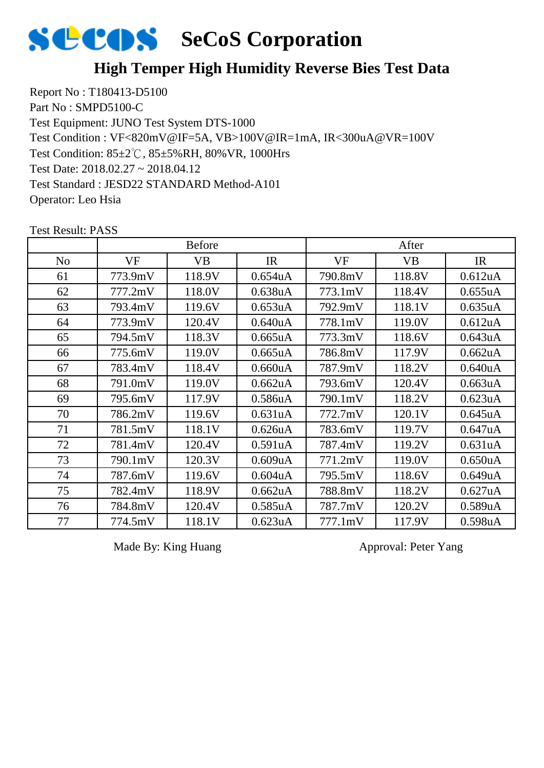

#### **High Temper High Humidity Reverse Bies Test Data**

Report No : T180413-D5100 Part No : SMPD5100-C Test Equipment: JUNO Test System DTS-1000 Test Condition: 85±2℃, 85±5%RH, 80%VR, 1000Hrs Test Date: 2018.02.27 ~ 2018.04.12 Test Standard : JESD22 STANDARD Method-A101 Operator: Leo Hsia Test Condition : VF<820mV@IF=5A, VB>100V@IR=1mA, IR<300uA@VR=100V

|                | <b>Before</b> |           |                      | After   |           |                      |
|----------------|---------------|-----------|----------------------|---------|-----------|----------------------|
| N <sub>o</sub> | VF            | <b>VB</b> | IR                   | VF      | <b>VB</b> | IR                   |
| 61             | 773.9mV       | 118.9V    | 0.654 <sub>u</sub> A | 790.8mV | 118.8V    | 0.612 <sub>u</sub> A |
| 62             | 777.2mV       | 118.0V    | 0.638 <sub>u</sub> A | 773.1mV | 118.4V    | 0.655uA              |
| 63             | 793.4mV       | 119.6V    | 0.653 <sub>u</sub> A | 792.9mV | 118.1V    | 0.635uA              |
| 64             | 773.9mV       | 120.4V    | 0.640 <sub>u</sub> A | 778.1mV | 119.0V    | 0.612 <sub>u</sub> A |
| 65             | 794.5mV       | 118.3V    | 0.665uA              | 773.3mV | 118.6V    | 0.643uA              |
| 66             | 775.6mV       | 119.0V    | $0.665$ uA           | 786.8mV | 117.9V    | 0.662uA              |
| 67             | 783.4mV       | 118.4V    | 0.660uA              | 787.9mV | 118.2V    | 0.640 <sub>u</sub> A |
| 68             | 791.0mV       | 119.0V    | 0.662uA              | 793.6mV | 120.4V    | 0.663uA              |
| 69             | 795.6mV       | 117.9V    | 0.586 <sub>u</sub> A | 790.1mV | 118.2V    | 0.623uA              |
| 70             | 786.2mV       | 119.6V    | 0.631 <sub>u</sub> A | 772.7mV | 120.1V    | 0.645uA              |
| 71             | 781.5mV       | 118.1V    | 0.626 <sub>u</sub> A | 783.6mV | 119.7V    | 0.647uA              |
| 72             | 781.4mV       | 120.4V    | 0.591uA              | 787.4mV | 119.2V    | 0.631uA              |
| 73             | 790.1mV       | 120.3V    | 0.609uA              | 771.2mV | 119.0V    | 0.650uA              |
| 74             | 787.6mV       | 119.6V    | 0.604uA              | 795.5mV | 118.6V    | 0.649uA              |
| 75             | 782.4mV       | 118.9V    | 0.662 <sub>u</sub> A | 788.8mV | 118.2V    | 0.627uA              |
| 76             | 784.8mV       | 120.4V    | 0.585 <sub>u</sub> A | 787.7mV | 120.2V    | 0.589 <sub>u</sub> A |
| 77             | 774.5mV       | 118.1V    | 0.623uA              | 777.1mV | 117.9V    | 0.598 <sub>u</sub> A |

Test Result: PASS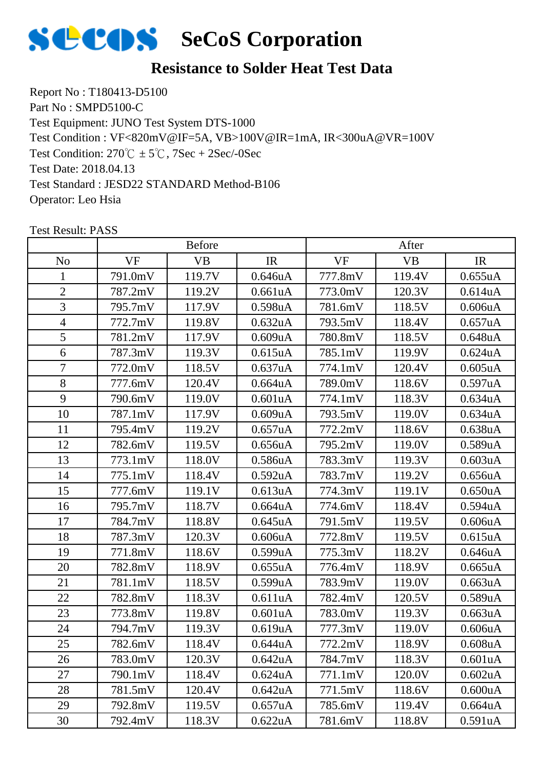

Report No : T180413-D5100 Part No : SMPD5100-C Test Equipment: JUNO Test System DTS-1000 Test Condition:  $270^{\circ}\text{C} \pm 5^{\circ}\text{C}$ ,  $7\text{Sec} + 2\text{Sec}$ /-0Sec Test Date: 2018.04.13 Test Standard : JESD22 STANDARD Method-B106 Operator: Leo Hsia Test Condition : VF<820mV@IF=5A, VB>100V@IR=1mA, IR<300uA@VR=100V

|                | <b>Before</b> |           |                      | After   |           |                      |
|----------------|---------------|-----------|----------------------|---------|-----------|----------------------|
| N <sub>o</sub> | <b>VF</b>     | <b>VB</b> | IR                   | VF      | <b>VB</b> | IR                   |
| $\mathbf{1}$   | 791.0mV       | 119.7V    | 0.646uA              | 777.8mV | 119.4V    | 0.655uA              |
| $\overline{2}$ | 787.2mV       | 119.2V    | 0.661uA              | 773.0mV | 120.3V    | 0.614 <sub>u</sub> A |
| 3              | 795.7mV       | 117.9V    | 0.598 <sub>u</sub> A | 781.6mV | 118.5V    | 0.606uA              |
| $\overline{4}$ | 772.7mV       | 119.8V    | 0.632 <sub>u</sub> A | 793.5mV | 118.4V    | 0.657uA              |
| 5              | 781.2mV       | 117.9V    | 0.609uA              | 780.8mV | 118.5V    | 0.648uA              |
| 6              | 787.3mV       | 119.3V    | 0.615 <sub>u</sub> A | 785.1mV | 119.9V    | 0.624 <sub>u</sub> A |
| $\overline{7}$ | 772.0mV       | 118.5V    | 0.637uA              | 774.1mV | 120.4V    | $0.605$ uA           |
| 8              | 777.6mV       | 120.4V    | $0.664$ uA           | 789.0mV | 118.6V    | 0.597uA              |
| 9              | 790.6mV       | 119.0V    | 0.601uA              | 774.1mV | 118.3V    | 0.634 <sub>u</sub> A |
| 10             | 787.1mV       | 117.9V    | 0.609uA              | 793.5mV | 119.0V    | 0.634 <sub>u</sub> A |
| 11             | 795.4mV       | 119.2V    | 0.657uA              | 772.2mV | 118.6V    | 0.638uA              |
| 12             | 782.6mV       | 119.5V    | 0.656uA              | 795.2mV | 119.0V    | 0.589uA              |
| 13             | 773.1mV       | 118.0V    | 0.586uA              | 783.3mV | 119.3V    | 0.603uA              |
| 14             | 775.1mV       | 118.4V    | 0.592 <sub>u</sub> A | 783.7mV | 119.2V    | 0.656uA              |
| 15             | 777.6mV       | 119.1V    | 0.613uA              | 774.3mV | 119.1V    | 0.650 <sub>u</sub> A |
| 16             | 795.7mV       | 118.7V    | 0.664uA              | 774.6mV | 118.4V    | 0.594uA              |
| 17             | 784.7mV       | 118.8V    | 0.645uA              | 791.5mV | 119.5V    | 0.606uA              |
| 18             | 787.3mV       | 120.3V    | 0.606uA              | 772.8mV | 119.5V    | 0.615 <sub>u</sub> A |
| 19             | 771.8mV       | 118.6V    | 0.599uA              | 775.3mV | 118.2V    | 0.646uA              |
| 20             | 782.8mV       | 118.9V    | 0.655uA              | 776.4mV | 118.9V    | 0.665uA              |
| 21             | 781.1mV       | 118.5V    | 0.599uA              | 783.9mV | 119.0V    | 0.663uA              |
| 22             | 782.8mV       | 118.3V    | 0.611uA              | 782.4mV | 120.5V    | 0.589uA              |
| 23             | 773.8mV       | 119.8V    | 0.601uA              | 783.0mV | 119.3V    | 0.663uA              |
| 24             | 794.7mV       | 119.3V    | 0.619uA              | 777.3mV | 119.0V    | 0.606uA              |
| 25             | 782.6mV       | 118.4V    | 0.644uA              | 772.2mV | 118.9V    | 0.608uA              |
| 26             | 783.0mV       | 120.3V    | 0.642 <sub>u</sub> A | 784.7mV | 118.3V    | 0.601uA              |
| 27             | 790.1mV       | 118.4V    | 0.624 <sub>u</sub> A | 771.1mV | 120.0V    | 0.602uA              |
| 28             | 781.5mV       | 120.4V    | 0.642uA              | 771.5mV | 118.6V    | 0.600uA              |
| 29             | 792.8mV       | 119.5V    | 0.657uA              | 785.6mV | 119.4V    | 0.664uA              |
| 30             | 792.4mV       | 118.3V    | 0.622uA              | 781.6mV | 118.8V    | 0.591uA              |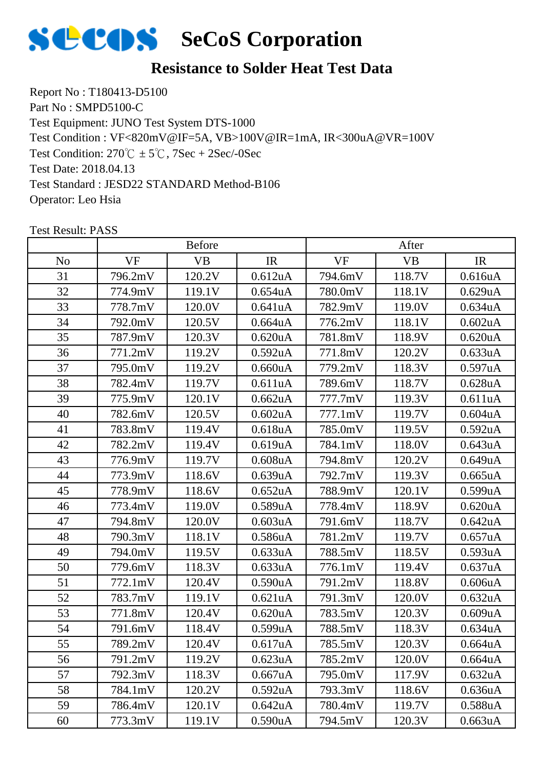

Report No : T180413-D5100 Part No : SMPD5100-C Test Equipment: JUNO Test System DTS-1000 Test Condition:  $270^{\circ}\text{C} \pm 5^{\circ}\text{C}$ ,  $7\text{Sec} + 2\text{Sec}$ /-0Sec Test Date: 2018.04.13 Test Standard : JESD22 STANDARD Method-B106 Operator: Leo Hsia Test Condition : VF<820mV@IF=5A, VB>100V@IR=1mA, IR<300uA@VR=100V

|     | <b>Before</b> |           |                      | After     |           |                      |
|-----|---------------|-----------|----------------------|-----------|-----------|----------------------|
| No. | <b>VF</b>     | <b>VB</b> | IR                   | <b>VF</b> | <b>VB</b> | IR                   |
| 31  | 796.2mV       | 120.2V    | 0.612 <sub>u</sub> A | 794.6mV   | 118.7V    | 0.616uA              |
| 32  | 774.9mV       | 119.1V    | $0.654$ uA           | 780.0mV   | 118.1V    | 0.629uA              |
| 33  | 778.7mV       | 120.0V    | 0.641uA              | 782.9mV   | 119.0V    | 0.634 <sub>u</sub> A |
| 34  | 792.0mV       | 120.5V    | $0.664$ uA           | 776.2mV   | 118.1V    | 0.602uA              |
| 35  | 787.9mV       | 120.3V    | 0.620uA              | 781.8mV   | 118.9V    | 0.620 <sub>u</sub> A |
| 36  | 771.2mV       | 119.2V    | 0.592 <sub>u</sub> A | 771.8mV   | 120.2V    | 0.633uA              |
| 37  | 795.0mV       | 119.2V    | 0.660uA              | 779.2mV   | 118.3V    | 0.597uA              |
| 38  | 782.4mV       | 119.7V    | 0.611uA              | 789.6mV   | 118.7V    | 0.628 <sub>u</sub> A |
| 39  | 775.9mV       | 120.1V    | 0.662uA              | 777.7mV   | 119.3V    | 0.611uA              |
| 40  | 782.6mV       | 120.5V    | 0.602 <sub>u</sub> A | 777.1mV   | 119.7V    | 0.604uA              |
| 41  | 783.8mV       | 119.4V    | 0.618 <sub>u</sub> A | 785.0mV   | 119.5V    | 0.592uA              |
| 42  | 782.2mV       | 119.4V    | 0.619uA              | 784.1mV   | 118.0V    | 0.643uA              |
| 43  | 776.9mV       | 119.7V    | $0.608$ u $A$        | 794.8mV   | 120.2V    | 0.649uA              |
| 44  | 773.9mV       | 118.6V    | 0.639uA              | 792.7mV   | 119.3V    | 0.665uA              |
| 45  | 778.9mV       | 118.6V    | 0.652 <sub>u</sub> A | 788.9mV   | 120.1V    | 0.599uA              |
| 46  | 773.4mV       | 119.0V    | 0.589uA              | 778.4mV   | 118.9V    | 0.620 <sub>u</sub> A |
| 47  | 794.8mV       | 120.0V    | 0.603uA              | 791.6mV   | 118.7V    | 0.642uA              |
| 48  | 790.3mV       | 118.1V    | 0.586 <sub>u</sub> A | 781.2mV   | 119.7V    | 0.657uA              |
| 49  | 794.0mV       | 119.5V    | 0.633uA              | 788.5mV   | 118.5V    | 0.593uA              |
| 50  | 779.6mV       | 118.3V    | 0.633uA              | 776.1mV   | 119.4V    | 0.637uA              |
| 51  | 772.1mV       | 120.4V    | 0.590uA              | 791.2mV   | 118.8V    | 0.606uA              |
| 52  | 783.7mV       | 119.1V    | 0.621uA              | 791.3mV   | 120.0V    | 0.632 <sub>u</sub> A |
| 53  | 771.8mV       | 120.4V    | 0.620 <sub>u</sub> A | 783.5mV   | 120.3V    | 0.609uA              |
| 54  | 791.6mV       | 118.4V    | 0.599uA              | 788.5mV   | 118.3V    | 0.634uA              |
| 55  | 789.2mV       | 120.4V    | 0.617uA              | 785.5mV   | 120.3V    | 0.664uA              |
| 56  | 791.2mV       | 119.2V    | 0.623uA              | 785.2mV   | 120.0V    | 0.664 <sub>u</sub> A |
| 57  | 792.3mV       | 118.3V    | 0.667uA              | 795.0mV   | 117.9V    | 0.632uA              |
| 58  | 784.1mV       | 120.2V    | 0.592uA              | 793.3mV   | 118.6V    | 0.636uA              |
| 59  | 786.4mV       | 120.1V    | 0.642uA              | 780.4mV   | 119.7V    | 0.588uA              |
| 60  | 773.3mV       | 119.1V    | 0.590uA              | 794.5mV   | 120.3V    | 0.663uA              |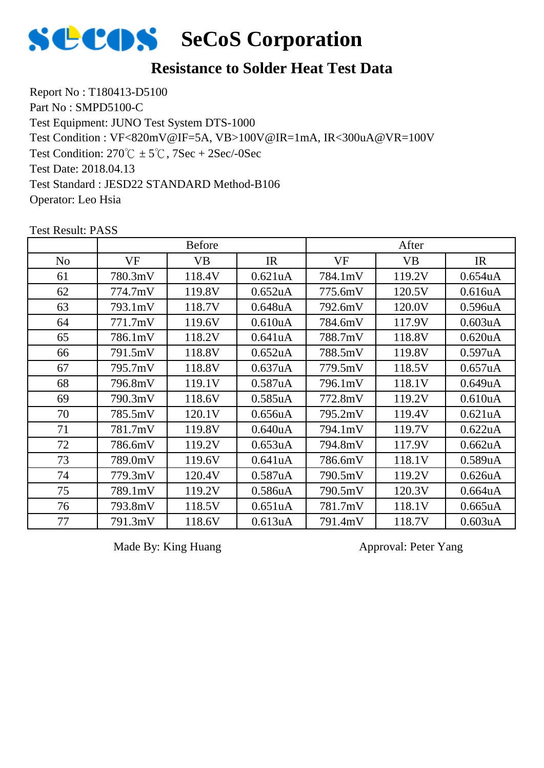

Report No : T180413-D5100 Part No : SMPD5100-C Test Equipment: JUNO Test System DTS-1000 Test Condition:  $270^{\circ}\text{C} \pm 5^{\circ}\text{C}$ ,  $7\text{Sec} + 2\text{Sec}$ /-0Sec Test Date: 2018.04.13 Test Standard : JESD22 STANDARD Method-B106 Operator: Leo Hsia Test Condition : VF<820mV@IF=5A, VB>100V@IR=1mA, IR<300uA@VR=100V

|                |           | <b>Before</b> |                      |         | After     |                      |
|----------------|-----------|---------------|----------------------|---------|-----------|----------------------|
| N <sub>0</sub> | <b>VF</b> | <b>VB</b>     | IR                   | VF      | <b>VB</b> | IR                   |
| 61             | 780.3mV   | 118.4V        | 0.621uA              | 784.1mV | 119.2V    | 0.654 <sub>u</sub> A |
| 62             | 774.7mV   | 119.8V        | 0.652 <sub>u</sub> A | 775.6mV | 120.5V    | 0.616uA              |
| 63             | 793.1mV   | 118.7V        | 0.648uA              | 792.6mV | 120.0V    | 0.596 <sub>u</sub> A |
| 64             | 771.7mV   | 119.6V        | 0.610 <sub>u</sub> A | 784.6mV | 117.9V    | 0.603uA              |
| 65             | 786.1mV   | 118.2V        | 0.641uA              | 788.7mV | 118.8V    | 0.620 <sub>u</sub> A |
| 66             | 791.5mV   | 118.8V        | 0.652 <sub>u</sub> A | 788.5mV | 119.8V    | 0.597uA              |
| 67             | 795.7mV   | 118.8V        | 0.637uA              | 779.5mV | 118.5V    | 0.657uA              |
| 68             | 796.8mV   | 119.1V        | 0.587 <sub>u</sub> A | 796.1mV | 118.1V    | 0.649uA              |
| 69             | 790.3mV   | 118.6V        | 0.585 <sub>u</sub> A | 772.8mV | 119.2V    | 0.610 <sub>u</sub> A |
| 70             | 785.5mV   | 120.1V        | 0.656uA              | 795.2mV | 119.4V    | 0.621 <sub>u</sub> A |
| 71             | 781.7mV   | 119.8V        | 0.640 <sub>u</sub> A | 794.1mV | 119.7V    | 0.622uA              |
| 72             | 786.6mV   | 119.2V        | 0.653uA              | 794.8mV | 117.9V    | 0.662uA              |
| 73             | 789.0mV   | 119.6V        | 0.641uA              | 786.6mV | 118.1V    | 0.589uA              |
| 74             | 779.3mV   | 120.4V        | 0.587uA              | 790.5mV | 119.2V    | 0.626 <sub>u</sub> A |
| 75             | 789.1mV   | 119.2V        | 0.586uA              | 790.5mV | 120.3V    | $0.664u$ A           |
| 76             | 793.8mV   | 118.5V        | 0.651 <sub>u</sub> A | 781.7mV | 118.1V    | 0.665uA              |
| 77             | 791.3mV   | 118.6V        | 0.613uA              | 791.4mV | 118.7V    | 0.603 <sub>u</sub> A |

Test Result: PASS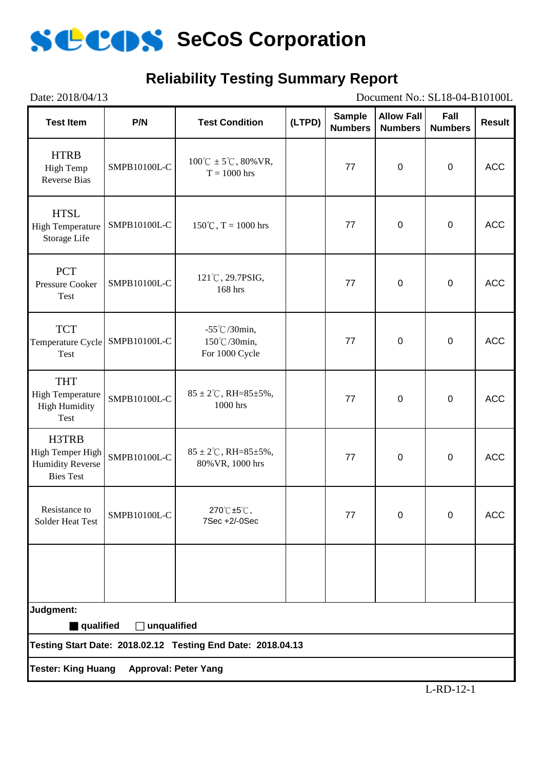

## **Reliability Testing Summary Report**

| Date: 2018/04/13<br>Document No.: SL18-04-B10100L                        |                             |                                                              |        |                                 |                                     |                        |               |  |
|--------------------------------------------------------------------------|-----------------------------|--------------------------------------------------------------|--------|---------------------------------|-------------------------------------|------------------------|---------------|--|
| <b>Test Item</b>                                                         | P/N                         | <b>Test Condition</b>                                        | (LTPD) | <b>Sample</b><br><b>Numbers</b> | <b>Allow Fall</b><br><b>Numbers</b> | Fall<br><b>Numbers</b> | <b>Result</b> |  |
| <b>HTRB</b><br>High Temp<br><b>Reverse Bias</b>                          | SMPB10100L-C                | $100^{\circ}C \pm 5^{\circ}C$ , 80% VR,<br>$T = 1000$ hrs    |        | 77                              | $\mathbf 0$                         | $\mathbf 0$            | <b>ACC</b>    |  |
| <b>HTSL</b><br><b>High Temperature</b><br>Storage Life                   | SMPB10100L-C                | $150^{\circ}$ C, T = 1000 hrs                                |        | 77                              | $\mathbf 0$                         | $\mathbf 0$            | <b>ACC</b>    |  |
| <b>PCT</b><br>Pressure Cooker<br><b>Test</b>                             | SMPB10100L-C                | 121°C, 29.7PSIG,<br>168 hrs                                  |        | 77                              | $\mathbf 0$                         | $\mathbf 0$            | <b>ACC</b>    |  |
| <b>TCT</b><br>Temperature Cycle SMPB10100L-C<br><b>Test</b>              |                             | $-55^{\circ}$ C/30min,<br>150°C/30min,<br>For 1000 Cycle     |        | 77                              | $\overline{0}$                      | $\mathbf 0$            | <b>ACC</b>    |  |
| <b>THT</b><br><b>High Temperature</b><br><b>High Humidity</b><br>Test    | SMPB10100L-C                | $85 \pm 2^{\circ}$ C, RH= $85 \pm 5\%$ ,<br>1000 hrs         |        | 77                              | $\mathbf 0$                         | $\mathbf 0$            | <b>ACC</b>    |  |
| H3TRB<br>High Temper High<br><b>Humidity Reverse</b><br><b>Bies Test</b> | SMPB10100L-C                | $85 \pm 2^{\circ}$ C, RH= $85 \pm 5\%$ ,<br>80% VR, 1000 hrs |        | 77                              | $\mathbf 0$                         | $\mathbf 0$            | <b>ACC</b>    |  |
| Resistance to<br>Solder Heat Test                                        | SMPB10100L-C                | 270℃±5℃,<br>7Sec +2/-0Sec                                    |        | 77                              | $\mathbf 0$                         | $\overline{0}$         | <b>ACC</b>    |  |
|                                                                          |                             |                                                              |        |                                 |                                     |                        |               |  |
| Judgment:                                                                |                             |                                                              |        |                                 |                                     |                        |               |  |
| qualified                                                                | $\Box$ unqualified          |                                                              |        |                                 |                                     |                        |               |  |
|                                                                          |                             | Testing Start Date: 2018.02.12 Testing End Date: 2018.04.13  |        |                                 |                                     |                        |               |  |
| <b>Tester: King Huang</b>                                                | <b>Approval: Peter Yang</b> |                                                              |        |                                 |                                     |                        |               |  |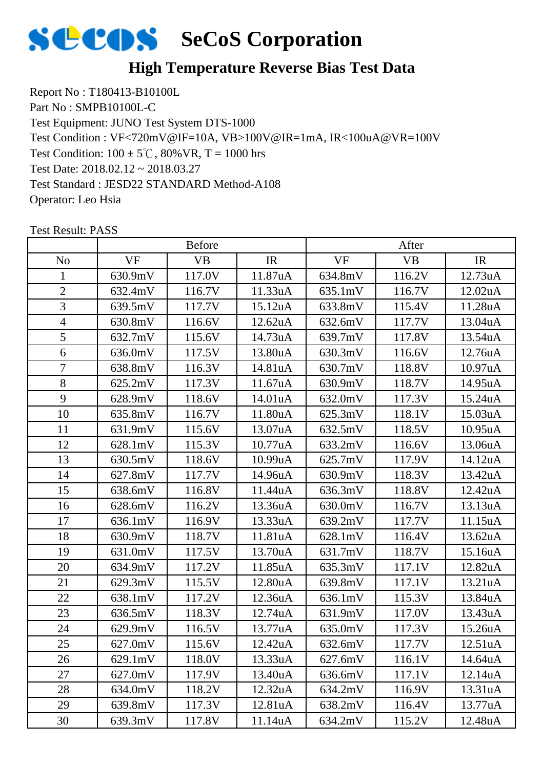

Report No : T180413-B10100L Part No : SMPB10100L-C Test Equipment: JUNO Test System DTS-1000 Test Condition:  $100 \pm 5^{\circ}$ C,  $80\%$  VR, T = 1000 hrs Test Date: 2018.02.12 ~ 2018.03.27 Test Standard : JESD22 STANDARD Method-A108 Operator: Leo Hsia Test Condition : VF<720mV@IF=10A, VB>100V@IR=1mA, IR<100uA@VR=100V

|                | <b>Before</b> |           |         | After     |           |                      |  |
|----------------|---------------|-----------|---------|-----------|-----------|----------------------|--|
| N <sub>o</sub> | <b>VF</b>     | <b>VB</b> | IR      | <b>VF</b> | <b>VB</b> | IR                   |  |
| 1              | 630.9mV       | 117.0V    | 11.87uA | 634.8mV   | 116.2V    | 12.73uA              |  |
| $\overline{2}$ | 632.4mV       | 116.7V    | 11.33uA | 635.1mV   | 116.7V    | 12.02uA              |  |
| 3              | 639.5mV       | 117.7V    | 15.12uA | 633.8mV   | 115.4V    | 11.28uA              |  |
| $\overline{4}$ | 630.8mV       | 116.6V    | 12.62uA | 632.6mV   | 117.7V    | 13.04uA              |  |
| 5              | 632.7mV       | 115.6V    | 14.73uA | 639.7mV   | 117.8V    | 13.54uA              |  |
| 6              | 636.0mV       | 117.5V    | 13.80uA | 630.3mV   | 116.6V    | 12.76uA              |  |
| $\overline{7}$ | 638.8mV       | 116.3V    | 14.81uA | 630.7mV   | 118.8V    | 10.97uA              |  |
| 8              | 625.2mV       | 117.3V    | 11.67uA | 630.9mV   | 118.7V    | 14.95uA              |  |
| 9              | 628.9mV       | 118.6V    | 14.01uA | 632.0mV   | 117.3V    | 15.24uA              |  |
| 10             | 635.8mV       | 116.7V    | 11.80uA | 625.3mV   | 118.1V    | 15.03uA              |  |
| 11             | 631.9mV       | 115.6V    | 13.07uA | 632.5mV   | 118.5V    | 10.95uA              |  |
| 12             | 628.1mV       | 115.3V    | 10.77uA | 633.2mV   | 116.6V    | 13.06uA              |  |
| 13             | 630.5mV       | 118.6V    | 10.99uA | 625.7mV   | 117.9V    | 14.12uA              |  |
| 14             | 627.8mV       | 117.7V    | 14.96uA | 630.9mV   | 118.3V    | 13.42uA              |  |
| 15             | 638.6mV       | 116.8V    | 11.44uA | 636.3mV   | 118.8V    | 12.42uA              |  |
| 16             | 628.6mV       | 116.2V    | 13.36uA | 630.0mV   | 116.7V    | 13.13uA              |  |
| 17             | 636.1mV       | 116.9V    | 13.33uA | 639.2mV   | 117.7V    | 11.15uA              |  |
| 18             | 630.9mV       | 118.7V    | 11.81uA | 628.1mV   | 116.4V    | 13.62uA              |  |
| 19             | 631.0mV       | 117.5V    | 13.70uA | 631.7mV   | 118.7V    | 15.16uA              |  |
| 20             | 634.9mV       | 117.2V    | 11.85uA | 635.3mV   | 117.1V    | 12.82uA              |  |
| 21             | 629.3mV       | 115.5V    | 12.80uA | 639.8mV   | 117.1V    | 13.21uA              |  |
| 22             | 638.1mV       | 117.2V    | 12.36uA | 636.1mV   | 115.3V    | 13.84uA              |  |
| 23             | 636.5mV       | 118.3V    | 12.74uA | 631.9mV   | 117.0V    | 13.43uA              |  |
| 24             | 629.9mV       | 116.5V    | 13.77uA | 635.0mV   | 117.3V    | 15.26uA              |  |
| 25             | 627.0mV       | 115.6V    | 12.42uA | 632.6mV   | 117.7V    | 12.51uA              |  |
| 26             | 629.1mV       | 118.0V    | 13.33uA | 627.6mV   | 116.1V    | 14.64uA              |  |
| 27             | 627.0mV       | 117.9V    | 13.40uA | 636.6mV   | 117.1V    | 12.14 <sub>u</sub> A |  |
| 28             | 634.0mV       | 118.2V    | 12.32uA | 634.2mV   | 116.9V    | 13.31uA              |  |
| 29             | 639.8mV       | 117.3V    | 12.81uA | 638.2mV   | 116.4V    | 13.77uA              |  |
| 30             | 639.3mV       | 117.8V    | 11.14uA | 634.2mV   | 115.2V    | 12.48uA              |  |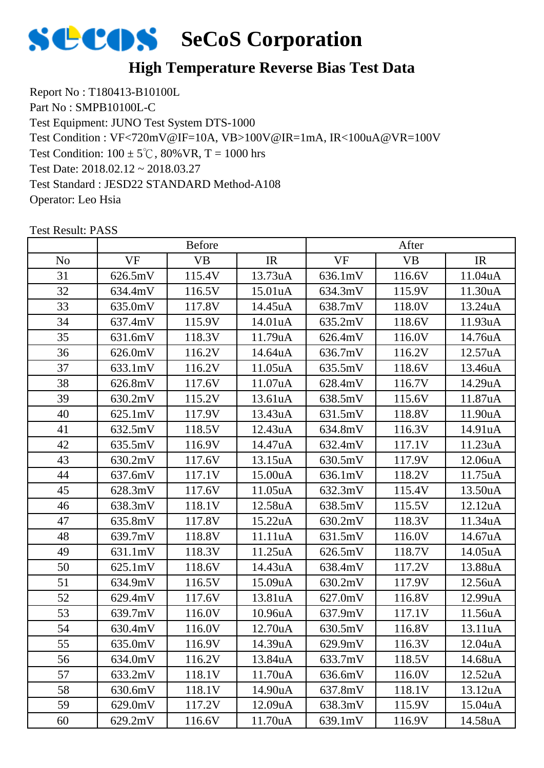

Report No : T180413-B10100L Part No : SMPB10100L-C Test Equipment: JUNO Test System DTS-1000 Test Condition:  $100 \pm 5^{\circ}$ C,  $80\%$  VR, T = 1000 hrs Test Date: 2018.02.12 ~ 2018.03.27 Test Standard : JESD22 STANDARD Method-A108 Operator: Leo Hsia Test Condition : VF<720mV@IF=10A, VB>100V@IR=1mA, IR<100uA@VR=100V

|                |           | <b>Before</b> |                      | After     |           |         |
|----------------|-----------|---------------|----------------------|-----------|-----------|---------|
| N <sub>o</sub> | <b>VF</b> | <b>VB</b>     | IR                   | <b>VF</b> | <b>VB</b> | IR      |
| 31             | 626.5mV   | 115.4V        | 13.73uA              | 636.1mV   | 116.6V    | 11.04uA |
| 32             | 634.4mV   | 116.5V        | 15.01uA              | 634.3mV   | 115.9V    | 11.30uA |
| 33             | 635.0mV   | 117.8V        | 14.45uA              | 638.7mV   | 118.0V    | 13.24uA |
| 34             | 637.4mV   | 115.9V        | 14.01uA              | 635.2mV   | 118.6V    | 11.93uA |
| 35             | 631.6mV   | 118.3V        | 11.79uA              | 626.4mV   | 116.0V    | 14.76uA |
| 36             | 626.0mV   | 116.2V        | 14.64uA              | 636.7mV   | 116.2V    | 12.57uA |
| 37             | 633.1mV   | 116.2V        | 11.05uA              | 635.5mV   | 118.6V    | 13.46uA |
| 38             | 626.8mV   | 117.6V        | 11.07uA              | 628.4mV   | 116.7V    | 14.29uA |
| 39             | 630.2mV   | 115.2V        | 13.61uA              | 638.5mV   | 115.6V    | 11.87uA |
| 40             | 625.1mV   | 117.9V        | 13.43uA              | 631.5mV   | 118.8V    | 11.90uA |
| 41             | 632.5mV   | 118.5V        | 12.43uA              | 634.8mV   | 116.3V    | 14.91uA |
| 42             | 635.5mV   | 116.9V        | 14.47uA              | 632.4mV   | 117.1V    | 11.23uA |
| 43             | 630.2mV   | 117.6V        | 13.15uA              | 630.5mV   | 117.9V    | 12.06uA |
| 44             | 637.6mV   | 117.1V        | 15.00uA              | 636.1mV   | 118.2V    | 11.75uA |
| 45             | 628.3mV   | 117.6V        | 11.05uA              | 632.3mV   | 115.4V    | 13.50uA |
| 46             | 638.3mV   | 118.1V        | 12.58uA              | 638.5mV   | 115.5V    | 12.12uA |
| 47             | 635.8mV   | 117.8V        | 15.22uA              | 630.2mV   | 118.3V    | 11.34uA |
| 48             | 639.7mV   | 118.8V        | 11.11 <sub>u</sub> A | 631.5mV   | 116.0V    | 14.67uA |
| 49             | 631.1mV   | 118.3V        | 11.25uA              | 626.5mV   | 118.7V    | 14.05uA |
| 50             | 625.1mV   | 118.6V        | 14.43uA              | 638.4mV   | 117.2V    | 13.88uA |
| 51             | 634.9mV   | 116.5V        | 15.09uA              | 630.2mV   | 117.9V    | 12.56uA |
| 52             | 629.4mV   | 117.6V        | 13.81uA              | 627.0mV   | 116.8V    | 12.99uA |
| 53             | 639.7mV   | 116.0V        | 10.96uA              | 637.9mV   | 117.1V    | 11.56uA |
| 54             | 630.4mV   | 116.0V        | 12.70uA              | 630.5mV   | 116.8V    | 13.11uA |
| 55             | 635.0mV   | 116.9V        | 14.39uA              | 629.9mV   | 116.3V    | 12.04uA |
| 56             | 634.0mV   | 116.2V        | 13.84uA              | 633.7mV   | 118.5V    | 14.68uA |
| 57             | 633.2mV   | 118.1V        | 11.70uA              | 636.6mV   | 116.0V    | 12.52uA |
| 58             | 630.6mV   | 118.1V        | 14.90uA              | 637.8mV   | 118.1V    | 13.12uA |
| 59             | 629.0mV   | 117.2V        | 12.09uA              | 638.3mV   | 115.9V    | 15.04uA |
| 60             | 629.2mV   | 116.6V        | 11.70uA              | 639.1mV   | 116.9V    | 14.58uA |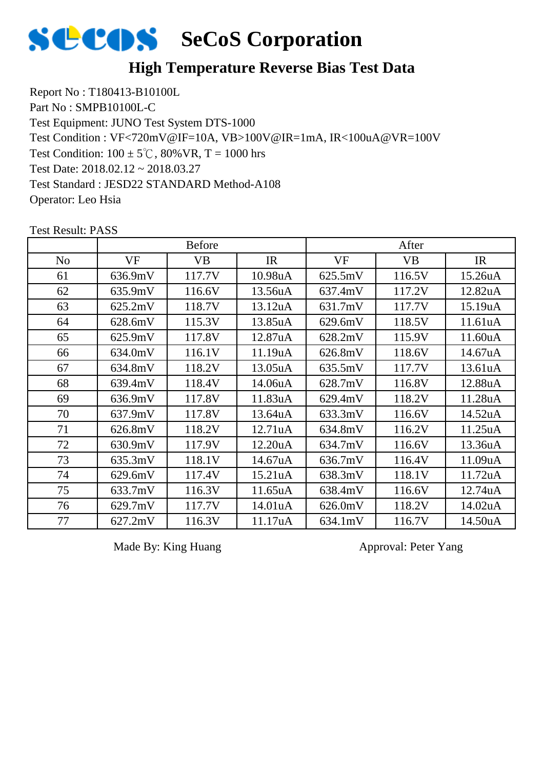

Report No : T180413-B10100L Part No : SMPB10100L-C Test Equipment: JUNO Test System DTS-1000 Test Condition:  $100 \pm 5^{\circ}$ C,  $80\%$  VR, T = 1000 hrs Test Date: 2018.02.12 ~ 2018.03.27 Test Standard : JESD22 STANDARD Method-A108 Operator: Leo Hsia Test Condition : VF<720mV@IF=10A, VB>100V@IR=1mA, IR<100uA@VR=100V

|                |           | <b>Before</b> |         |           | After     |         |
|----------------|-----------|---------------|---------|-----------|-----------|---------|
| N <sub>o</sub> | <b>VF</b> | VB            | IR      | <b>VF</b> | <b>VB</b> | IR      |
| 61             | 636.9mV   | 117.7V        | 10.98uA | 625.5mV   | 116.5V    | 15.26uA |
| 62             | 635.9mV   | 116.6V        | 13.56uA | 637.4mV   | 117.2V    | 12.82uA |
| 63             | 625.2mV   | 118.7V        | 13.12uA | 631.7mV   | 117.7V    | 15.19uA |
| 64             | 628.6mV   | 115.3V        | 13.85uA | 629.6mV   | 118.5V    | 11.61uA |
| 65             | 625.9mV   | 117.8V        | 12.87uA | 628.2mV   | 115.9V    | 11.60uA |
| 66             | 634.0mV   | 116.1V        | 11.19uA | 626.8mV   | 118.6V    | 14.67uA |
| 67             | 634.8mV   | 118.2V        | 13.05uA | 635.5mV   | 117.7V    | 13.61uA |
| 68             | 639.4mV   | 118.4V        | 14.06uA | 628.7mV   | 116.8V    | 12.88uA |
| 69             | 636.9mV   | 117.8V        | 11.83uA | 629.4mV   | 118.2V    | 11.28uA |
| 70             | 637.9mV   | 117.8V        | 13.64uA | 633.3mV   | 116.6V    | 14.52uA |
| 71             | 626.8mV   | 118.2V        | 12.71uA | 634.8mV   | 116.2V    | 11.25uA |
| 72             | 630.9mV   | 117.9V        | 12.20uA | 634.7mV   | 116.6V    | 13.36uA |
| 73             | 635.3mV   | 118.1V        | 14.67uA | 636.7mV   | 116.4V    | 11.09uA |
| 74             | 629.6mV   | 117.4V        | 15.21uA | 638.3mV   | 118.1V    | 11.72uA |
| 75             | 633.7mV   | 116.3V        | 11.65uA | 638.4mV   | 116.6V    | 12.74uA |
| 76             | 629.7mV   | 117.7V        | 14.01uA | 626.0mV   | 118.2V    | 14.02uA |
| 77             | 627.2mV   | 116.3V        | 11.17uA | 634.1mV   | 116.7V    | 14.50uA |

Test Result: PASS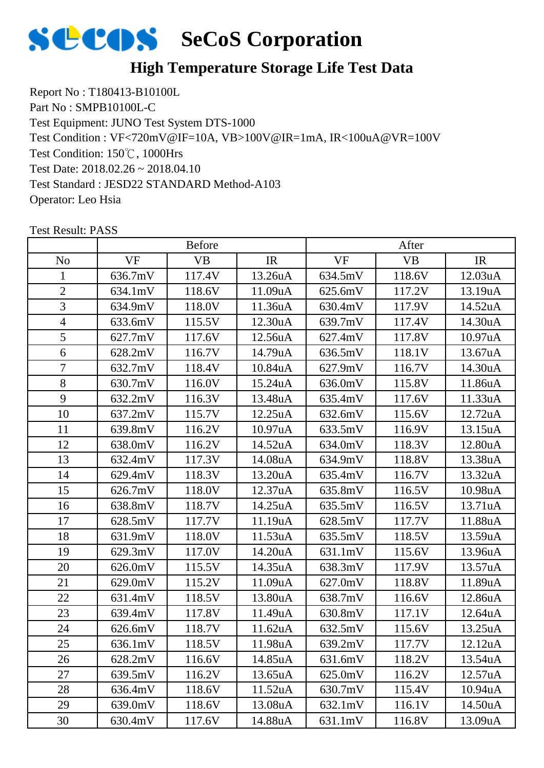

Report No : T180413-B10100L Part No : SMPB10100L-C Test Equipment: JUNO Test System DTS-1000 Test Condition: 150℃, 1000Hrs Test Date: 2018.02.26 ~ 2018.04.10 Test Standard : JESD22 STANDARD Method-A103 Operator: Leo Hsia Test Condition : VF<720mV@IF=10A, VB>100V@IR=1mA, IR<100uA@VR=100V

|                | <b>Before</b> |           |                      | After     |           |         |
|----------------|---------------|-----------|----------------------|-----------|-----------|---------|
| N <sub>o</sub> | <b>VF</b>     | <b>VB</b> | IR                   | <b>VF</b> | <b>VB</b> | IR      |
| 1              | 636.7mV       | 117.4V    | 13.26uA              | 634.5mV   | 118.6V    | 12.03uA |
| $\overline{2}$ | 634.1mV       | 118.6V    | 11.09uA              | 625.6mV   | 117.2V    | 13.19uA |
| 3              | 634.9mV       | 118.0V    | 11.36uA              | 630.4mV   | 117.9V    | 14.52uA |
| $\overline{4}$ | 633.6mV       | 115.5V    | 12.30uA              | 639.7mV   | 117.4V    | 14.30uA |
| 5              | 627.7mV       | 117.6V    | 12.56uA              | 627.4mV   | 117.8V    | 10.97uA |
| 6              | 628.2mV       | 116.7V    | 14.79uA              | 636.5mV   | 118.1V    | 13.67uA |
| 7              | 632.7mV       | 118.4V    | 10.84uA              | 627.9mV   | 116.7V    | 14.30uA |
| 8              | 630.7mV       | 116.0V    | 15.24uA              | 636.0mV   | 115.8V    | 11.86uA |
| 9              | 632.2mV       | 116.3V    | 13.48uA              | 635.4mV   | 117.6V    | 11.33uA |
| 10             | 637.2mV       | 115.7V    | 12.25uA              | 632.6mV   | 115.6V    | 12.72uA |
| 11             | 639.8mV       | 116.2V    | 10.97 <sub>u</sub> A | 633.5mV   | 116.9V    | 13.15uA |
| 12             | 638.0mV       | 116.2V    | 14.52uA              | 634.0mV   | 118.3V    | 12.80uA |
| 13             | 632.4mV       | 117.3V    | 14.08uA              | 634.9mV   | 118.8V    | 13.38uA |
| 14             | 629.4mV       | 118.3V    | 13.20uA              | 635.4mV   | 116.7V    | 13.32uA |
| 15             | 626.7mV       | 118.0V    | 12.37uA              | 635.8mV   | 116.5V    | 10.98uA |
| 16             | 638.8mV       | 118.7V    | 14.25uA              | 635.5mV   | 116.5V    | 13.71uA |
| 17             | 628.5mV       | 117.7V    | 11.19uA              | 628.5mV   | 117.7V    | 11.88uA |
| 18             | 631.9mV       | 118.0V    | 11.53 <sub>u</sub> A | 635.5mV   | 118.5V    | 13.59uA |
| 19             | 629.3mV       | 117.0V    | 14.20uA              | 631.1mV   | 115.6V    | 13.96uA |
| 20             | 626.0mV       | 115.5V    | 14.35uA              | 638.3mV   | 117.9V    | 13.57uA |
| 21             | 629.0mV       | 115.2V    | 11.09uA              | 627.0mV   | 118.8V    | 11.89uA |
| 22             | 631.4mV       | 118.5V    | 13.80uA              | 638.7mV   | 116.6V    | 12.86uA |
| 23             | 639.4mV       | 117.8V    | 11.49uA              | 630.8mV   | 117.1V    | 12.64uA |
| 24             | 626.6mV       | 118.7V    | 11.62uA              | 632.5mV   | 115.6V    | 13.25uA |
| 25             | 636.1mV       | 118.5V    | 11.98uA              | 639.2mV   | 117.7V    | 12.12uA |
| 26             | 628.2mV       | 116.6V    | 14.85uA              | 631.6mV   | 118.2V    | 13.54uA |
| 27             | 639.5mV       | 116.2V    | 13.65uA              | 625.0mV   | 116.2V    | 12.57uA |
| 28             | 636.4mV       | 118.6V    | 11.52uA              | 630.7mV   | 115.4V    | 10.94uA |
| 29             | 639.0mV       | 118.6V    | 13.08uA              | 632.1mV   | 116.1V    | 14.50uA |
| 30             | 630.4mV       | 117.6V    | 14.88uA              | 631.1mV   | 116.8V    | 13.09uA |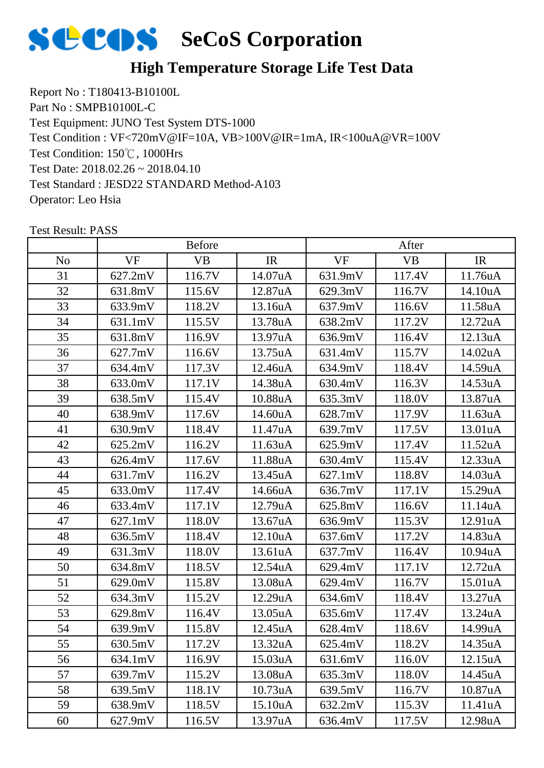

Report No : T180413-B10100L Part No : SMPB10100L-C Test Equipment: JUNO Test System DTS-1000 Test Condition: 150℃, 1000Hrs Test Date: 2018.02.26 ~ 2018.04.10 Test Standard : JESD22 STANDARD Method-A103 Operator: Leo Hsia Test Condition : VF<720mV@IF=10A, VB>100V@IR=1mA, IR<100uA@VR=100V

|                |           | <b>Before</b> |                      |           | After     |         |
|----------------|-----------|---------------|----------------------|-----------|-----------|---------|
| N <sub>o</sub> | <b>VF</b> | VB            | IR                   | <b>VF</b> | <b>VB</b> | IR      |
| 31             | 627.2mV   | 116.7V        | 14.07uA              | 631.9mV   | 117.4V    | 11.76uA |
| 32             | 631.8mV   | 115.6V        | 12.87uA              | 629.3mV   | 116.7V    | 14.10uA |
| 33             | 633.9mV   | 118.2V        | 13.16uA              | 637.9mV   | 116.6V    | 11.58uA |
| 34             | 631.1mV   | 115.5V        | 13.78uA              | 638.2mV   | 117.2V    | 12.72uA |
| 35             | 631.8mV   | 116.9V        | 13.97uA              | 636.9mV   | 116.4V    | 12.13uA |
| 36             | 627.7mV   | 116.6V        | 13.75uA              | 631.4mV   | 115.7V    | 14.02uA |
| 37             | 634.4mV   | 117.3V        | 12.46uA              | 634.9mV   | 118.4V    | 14.59uA |
| 38             | 633.0mV   | 117.1V        | 14.38uA              | 630.4mV   | 116.3V    | 14.53uA |
| 39             | 638.5mV   | 115.4V        | 10.88uA              | 635.3mV   | 118.0V    | 13.87uA |
| 40             | 638.9mV   | 117.6V        | 14.60uA              | 628.7mV   | 117.9V    | 11.63uA |
| 41             | 630.9mV   | 118.4V        | 11.47uA              | 639.7mV   | 117.5V    | 13.01uA |
| 42             | 625.2mV   | 116.2V        | 11.63uA              | 625.9mV   | 117.4V    | 11.52uA |
| 43             | 626.4mV   | 117.6V        | 11.88uA              | 630.4mV   | 115.4V    | 12.33uA |
| 44             | 631.7mV   | 116.2V        | 13.45uA              | 627.1mV   | 118.8V    | 14.03uA |
| 45             | 633.0mV   | 117.4V        | 14.66uA              | 636.7mV   | 117.1V    | 15.29uA |
| 46             | 633.4mV   | 117.1V        | 12.79uA              | 625.8mV   | 116.6V    | 11.14uA |
| 47             | 627.1mV   | 118.0V        | 13.67uA              | 636.9mV   | 115.3V    | 12.91uA |
| 48             | 636.5mV   | 118.4V        | 12.10uA              | 637.6mV   | 117.2V    | 14.83uA |
| 49             | 631.3mV   | 118.0V        | 13.61uA              | 637.7mV   | 116.4V    | 10.94uA |
| 50             | 634.8mV   | 118.5V        | 12.54uA              | 629.4mV   | 117.1V    | 12.72uA |
| 51             | 629.0mV   | 115.8V        | 13.08uA              | 629.4mV   | 116.7V    | 15.01uA |
| 52             | 634.3mV   | 115.2V        | 12.29uA              | 634.6mV   | 118.4V    | 13.27uA |
| 53             | 629.8mV   | 116.4V        | 13.05uA              | 635.6mV   | 117.4V    | 13.24uA |
| 54             | 639.9mV   | 115.8V        | 12.45uA              | 628.4mV   | 118.6V    | 14.99uA |
| 55             | 630.5mV   | 117.2V        | 13.32uA              | 625.4mV   | 118.2V    | 14.35uA |
| 56             | 634.1mV   | 116.9V        | 15.03 <sub>u</sub> A | 631.6mV   | 116.0V    | 12.15uA |
| 57             | 639.7mV   | 115.2V        | 13.08uA              | 635.3mV   | 118.0V    | 14.45uA |
| 58             | 639.5mV   | 118.1V        | 10.73uA              | 639.5mV   | 116.7V    | 10.87uA |
| 59             | 638.9mV   | 118.5V        | 15.10uA              | 632.2mV   | 115.3V    | 11.41uA |
| 60             | 627.9mV   | 116.5V        | 13.97uA              | 636.4mV   | 117.5V    | 12.98uA |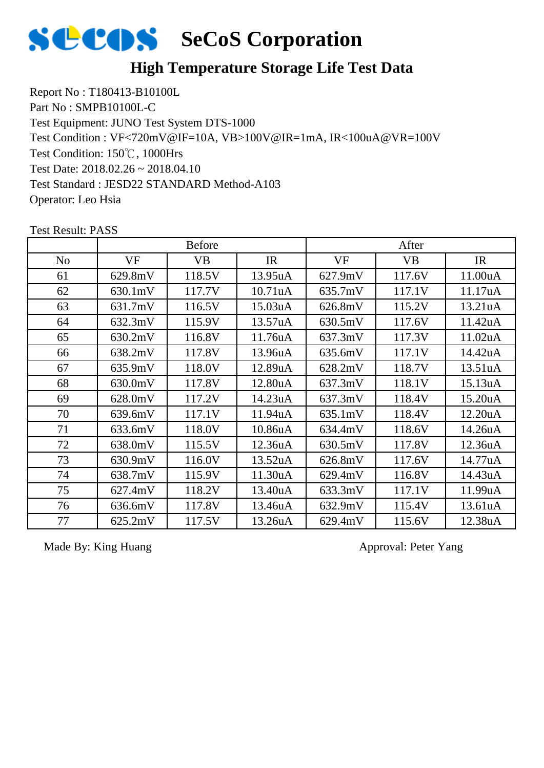

Report No : T180413-B10100L Part No : SMPB10100L-C Test Equipment: JUNO Test System DTS-1000 Test Condition: 150℃, 1000Hrs Test Date: 2018.02.26 ~ 2018.04.10 Test Standard : JESD22 STANDARD Method-A103 Operator: Leo Hsia Test Condition : VF<720mV@IF=10A, VB>100V@IR=1mA, IR<100uA@VR=100V

|                |         | <b>Before</b> |         |           | After     |         |
|----------------|---------|---------------|---------|-----------|-----------|---------|
| N <sub>o</sub> | VF      | <b>VB</b>     | IR      | <b>VF</b> | <b>VB</b> | IR      |
| 61             | 629.8mV | 118.5V        | 13.95uA | 627.9mV   | 117.6V    | 11.00uA |
| 62             | 630.1mV | 117.7V        | 10.71uA | 635.7mV   | 117.1V    | 11.17uA |
| 63             | 631.7mV | 116.5V        | 15.03uA | 626.8mV   | 115.2V    | 13.21uA |
| 64             | 632.3mV | 115.9V        | 13.57uA | 630.5mV   | 117.6V    | 11.42uA |
| 65             | 630.2mV | 116.8V        | 11.76uA | 637.3mV   | 117.3V    | 11.02uA |
| 66             | 638.2mV | 117.8V        | 13.96uA | 635.6mV   | 117.1V    | 14.42uA |
| 67             | 635.9mV | 118.0V        | 12.89uA | 628.2mV   | 118.7V    | 13.51uA |
| 68             | 630.0mV | 117.8V        | 12.80uA | 637.3mV   | 118.1V    | 15.13uA |
| 69             | 628.0mV | 117.2V        | 14.23uA | 637.3mV   | 118.4V    | 15.20uA |
| 70             | 639.6mV | 117.1V        | 11.94uA | 635.1mV   | 118.4V    | 12.20uA |
| 71             | 633.6mV | 118.0V        | 10.86uA | 634.4mV   | 118.6V    | 14.26uA |
| 72             | 638.0mV | 115.5V        | 12.36uA | 630.5mV   | 117.8V    | 12.36uA |
| 73             | 630.9mV | 116.0V        | 13.52uA | 626.8mV   | 117.6V    | 14.77uA |
| 74             | 638.7mV | 115.9V        | 11.30uA | 629.4mV   | 116.8V    | 14.43uA |
| 75             | 627.4mV | 118.2V        | 13.40uA | 633.3mV   | 117.1V    | 11.99uA |
| 76             | 636.6mV | 117.8V        | 13.46uA | 632.9mV   | 115.4V    | 13.61uA |
| 77             | 625.2mV | 117.5V        | 13.26uA | 629.4mV   | 115.6V    | 12.38uA |

Test Result: PASS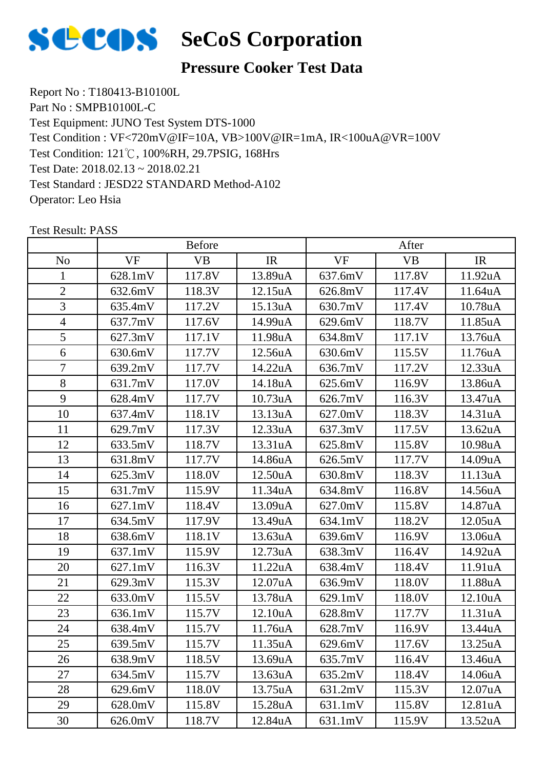

#### **Pressure Cooker Test Data**

Report No : T180413-B10100L Part No : SMPB10100L-C Test Equipment: JUNO Test System DTS-1000 Test Condition: 121℃, 100%RH, 29.7PSIG, 168Hrs Test Date: 2018.02.13 ~ 2018.02.21 Test Standard : JESD22 STANDARD Method-A102 Operator: Leo Hsia Test Condition : VF<720mV@IF=10A, VB>100V@IR=1mA, IR<100uA@VR=100V

|                |                   | <b>Before</b> |         |           | After     |                      |
|----------------|-------------------|---------------|---------|-----------|-----------|----------------------|
| N <sub>o</sub> | <b>VF</b>         | <b>VB</b>     | IR      | <b>VF</b> | <b>VB</b> | IR                   |
| 1              | 628.1mV           | 117.8V        | 13.89uA | 637.6mV   | 117.8V    | 11.92uA              |
| $\overline{2}$ | 632.6mV           | 118.3V        | 12.15uA | 626.8mV   | 117.4V    | 11.64uA              |
| 3              | 635.4mV           | 117.2V        | 15.13uA | 630.7mV   | 117.4V    | 10.78uA              |
| $\overline{4}$ | 637.7mV           | 117.6V        | 14.99uA | 629.6mV   | 118.7V    | 11.85uA              |
| 5              | 627.3mV           | 117.1V        | 11.98uA | 634.8mV   | 117.1V    | 13.76uA              |
| 6              | 630.6mV           | 117.7V        | 12.56uA | 630.6mV   | 115.5V    | 11.76uA              |
| $\overline{7}$ | 639.2mV           | 117.7V        | 14.22uA | 636.7mV   | 117.2V    | 12.33uA              |
| 8              | 631.7mV           | 117.0V        | 14.18uA | 625.6mV   | 116.9V    | 13.86uA              |
| 9              | 628.4mV           | 117.7V        | 10.73uA | 626.7mV   | 116.3V    | 13.47uA              |
| 10             | 637.4mV           | 118.1V        | 13.13uA | 627.0mV   | 118.3V    | 14.31uA              |
| 11             | 629.7mV           | 117.3V        | 12.33uA | 637.3mV   | 117.5V    | 13.62uA              |
| 12             | 633.5mV           | 118.7V        | 13.31uA | 625.8mV   | 115.8V    | 10.98uA              |
| 13             | 631.8mV           | 117.7V        | 14.86uA | 626.5mV   | 117.7V    | 14.09uA              |
| 14             | 625.3mV           | 118.0V        | 12.50uA | 630.8mV   | 118.3V    | 11.13uA              |
| 15             | 631.7mV           | 115.9V        | 11.34uA | 634.8mV   | 116.8V    | 14.56uA              |
| 16             | $627.1 \text{mV}$ | 118.4V        | 13.09uA | 627.0mV   | 115.8V    | 14.87uA              |
| 17             | 634.5mV           | 117.9V        | 13.49uA | 634.1mV   | 118.2V    | 12.05 <sub>u</sub> A |
| 18             | 638.6mV           | 118.1V        | 13.63uA | 639.6mV   | 116.9V    | 13.06uA              |
| 19             | 637.1mV           | 115.9V        | 12.73uA | 638.3mV   | 116.4V    | 14.92uA              |
| 20             | $627.1 \text{mV}$ | 116.3V        | 11.22uA | 638.4mV   | 118.4V    | 11.91uA              |
| 21             | 629.3mV           | 115.3V        | 12.07uA | 636.9mV   | 118.0V    | 11.88uA              |
| 22             | 633.0mV           | 115.5V        | 13.78uA | 629.1mV   | 118.0V    | 12.10uA              |
| 23             | 636.1mV           | 115.7V        | 12.10uA | 628.8mV   | 117.7V    | 11.31uA              |
| 24             | 638.4mV           | 115.7V        | 11.76uA | 628.7mV   | 116.9V    | 13.44uA              |
| 25             | 639.5mV           | 115.7V        | 11.35uA | 629.6mV   | 117.6V    | 13.25uA              |
| 26             | 638.9mV           | 118.5V        | 13.69uA | 635.7mV   | 116.4V    | 13.46uA              |
| 27             | 634.5mV           | 115.7V        | 13.63uA | 635.2mV   | 118.4V    | 14.06uA              |
| 28             | 629.6mV           | 118.0V        | 13.75uA | 631.2mV   | 115.3V    | 12.07uA              |
| 29             | 628.0mV           | 115.8V        | 15.28uA | 631.1mV   | 115.8V    | 12.81uA              |
| 30             | 626.0mV           | 118.7V        | 12.84uA | 631.1mV   | 115.9V    | 13.52uA              |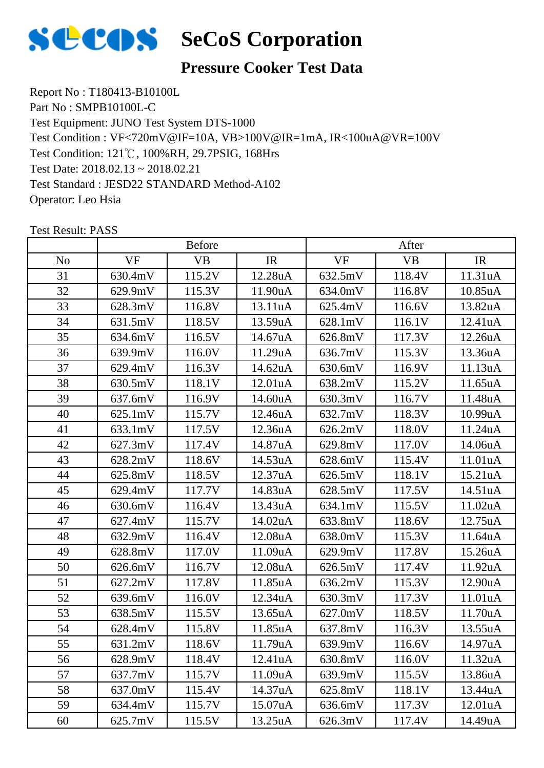

#### **Pressure Cooker Test Data**

Report No : T180413-B10100L Part No : SMPB10100L-C Test Equipment: JUNO Test System DTS-1000 Test Condition: 121℃, 100%RH, 29.7PSIG, 168Hrs Test Date: 2018.02.13 ~ 2018.02.21 Test Standard : JESD22 STANDARD Method-A102 Operator: Leo Hsia Test Condition : VF<720mV@IF=10A, VB>100V@IR=1mA, IR<100uA@VR=100V

|                |           | <b>Before</b> |                      |           | After     |         |
|----------------|-----------|---------------|----------------------|-----------|-----------|---------|
| N <sub>o</sub> | <b>VF</b> | <b>VB</b>     | IR                   | <b>VF</b> | <b>VB</b> | IR      |
| 31             | 630.4mV   | 115.2V        | 12.28uA              | 632.5mV   | 118.4V    | 11.31uA |
| 32             | 629.9mV   | 115.3V        | 11.90uA              | 634.0mV   | 116.8V    | 10.85uA |
| 33             | 628.3mV   | 116.8V        | 13.11uA              | 625.4mV   | 116.6V    | 13.82uA |
| 34             | 631.5mV   | 118.5V        | 13.59uA              | 628.1mV   | 116.1V    | 12.41uA |
| 35             | 634.6mV   | 116.5V        | 14.67uA              | 626.8mV   | 117.3V    | 12.26uA |
| 36             | 639.9mV   | 116.0V        | 11.29uA              | 636.7mV   | 115.3V    | 13.36uA |
| 37             | 629.4mV   | 116.3V        | 14.62uA              | 630.6mV   | 116.9V    | 11.13uA |
| 38             | 630.5mV   | 118.1V        | 12.01 <sub>u</sub> A | 638.2mV   | 115.2V    | 11.65uA |
| 39             | 637.6mV   | 116.9V        | 14.60uA              | 630.3mV   | 116.7V    | 11.48uA |
| 40             | 625.1mV   | 115.7V        | 12.46uA              | 632.7mV   | 118.3V    | 10.99uA |
| 41             | 633.1mV   | 117.5V        | 12.36uA              | 626.2mV   | 118.0V    | 11.24uA |
| 42             | 627.3mV   | 117.4V        | 14.87uA              | 629.8mV   | 117.0V    | 14.06uA |
| 43             | 628.2mV   | 118.6V        | 14.53uA              | 628.6mV   | 115.4V    | 11.01uA |
| 44             | 625.8mV   | 118.5V        | 12.37uA              | 626.5mV   | 118.1V    | 15.21uA |
| 45             | 629.4mV   | 117.7V        | 14.83uA              | 628.5mV   | 117.5V    | 14.51uA |
| 46             | 630.6mV   | 116.4V        | 13.43uA              | 634.1mV   | 115.5V    | 11.02uA |
| 47             | 627.4mV   | 115.7V        | 14.02uA              | 633.8mV   | 118.6V    | 12.75uA |
| 48             | 632.9mV   | 116.4V        | 12.08uA              | 638.0mV   | 115.3V    | 11.64uA |
| 49             | 628.8mV   | 117.0V        | 11.09uA              | 629.9mV   | 117.8V    | 15.26uA |
| 50             | 626.6mV   | 116.7V        | 12.08uA              | 626.5mV   | 117.4V    | 11.92uA |
| 51             | 627.2mV   | 117.8V        | 11.85uA              | 636.2mV   | 115.3V    | 12.90uA |
| 52             | 639.6mV   | 116.0V        | 12.34uA              | 630.3mV   | 117.3V    | 11.01uA |
| 53             | 638.5mV   | 115.5V        | 13.65uA              | 627.0mV   | 118.5V    | 11.70uA |
| 54             | 628.4mV   | 115.8V        | 11.85uA              | 637.8mV   | 116.3V    | 13.55uA |
| 55             | 631.2mV   | 118.6V        | 11.79uA              | 639.9mV   | 116.6V    | 14.97uA |
| 56             | 628.9mV   | 118.4V        | 12.41 <sub>u</sub> A | 630.8mV   | 116.0V    | 11.32uA |
| 57             | 637.7mV   | 115.7V        | 11.09uA              | 639.9mV   | 115.5V    | 13.86uA |
| 58             | 637.0mV   | 115.4V        | 14.37uA              | 625.8mV   | 118.1V    | 13.44uA |
| 59             | 634.4mV   | 115.7V        | 15.07uA              | 636.6mV   | 117.3V    | 12.01uA |
| 60             | 625.7mV   | 115.5V        | 13.25uA              | 626.3mV   | 117.4V    | 14.49uA |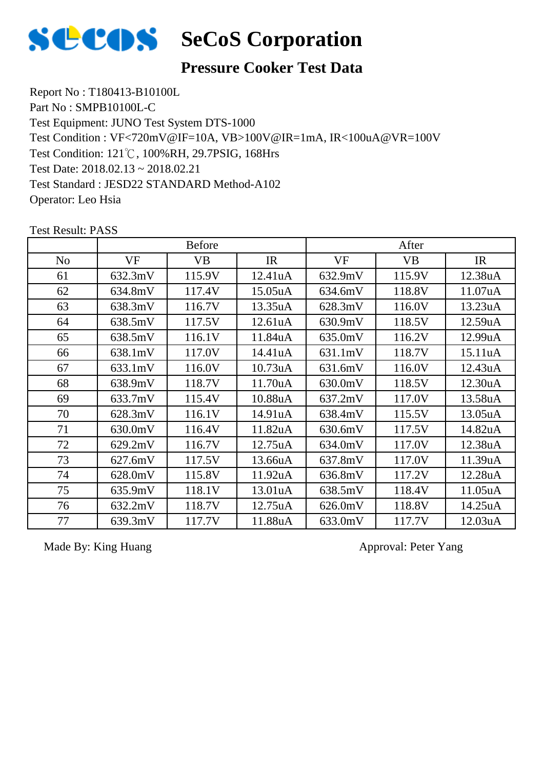

#### **Pressure Cooker Test Data**

Report No : T180413-B10100L Part No : SMPB10100L-C Test Equipment: JUNO Test System DTS-1000 Test Condition: 121℃, 100%RH, 29.7PSIG, 168Hrs Test Date: 2018.02.13 ~ 2018.02.21 Test Standard : JESD22 STANDARD Method-A102 Operator: Leo Hsia Test Condition : VF<720mV@IF=10A, VB>100V@IR=1mA, IR<100uA@VR=100V

|                |         | <b>Before</b> |         |         | After     |         |
|----------------|---------|---------------|---------|---------|-----------|---------|
| N <sub>o</sub> | VF      | <b>VB</b>     | IR      | VF      | <b>VB</b> | IR      |
| 61             | 632.3mV | 115.9V        | 12.41uA | 632.9mV | 115.9V    | 12.38uA |
| 62             | 634.8mV | 117.4V        | 15.05uA | 634.6mV | 118.8V    | 11.07uA |
| 63             | 638.3mV | 116.7V        | 13.35uA | 628.3mV | 116.0V    | 13.23uA |
| 64             | 638.5mV | 117.5V        | 12.61uA | 630.9mV | 118.5V    | 12.59uA |
| 65             | 638.5mV | 116.1V        | 11.84uA | 635.0mV | 116.2V    | 12.99uA |
| 66             | 638.1mV | 117.0V        | 14.41uA | 631.1mV | 118.7V    | 15.11uA |
| 67             | 633.1mV | 116.0V        | 10.73uA | 631.6mV | 116.0V    | 12.43uA |
| 68             | 638.9mV | 118.7V        | 11.70uA | 630.0mV | 118.5V    | 12.30uA |
| 69             | 633.7mV | 115.4V        | 10.88uA | 637.2mV | 117.0V    | 13.58uA |
| 70             | 628.3mV | 116.1V        | 14.91uA | 638.4mV | 115.5V    | 13.05uA |
| 71             | 630.0mV | 116.4V        | 11.82uA | 630.6mV | 117.5V    | 14.82uA |
| 72             | 629.2mV | 116.7V        | 12.75uA | 634.0mV | 117.0V    | 12.38uA |
| 73             | 627.6mV | 117.5V        | 13.66uA | 637.8mV | 117.0V    | 11.39uA |
| 74             | 628.0mV | 115.8V        | 11.92uA | 636.8mV | 117.2V    | 12.28uA |
| 75             | 635.9mV | 118.1V        | 13.01uA | 638.5mV | 118.4V    | 11.05uA |
| 76             | 632.2mV | 118.7V        | 12.75uA | 626.0mV | 118.8V    | 14.25uA |
| 77             | 639.3mV | 117.7V        | 11.88uA | 633.0mV | 117.7V    | 12.03uA |

Test Result: PASS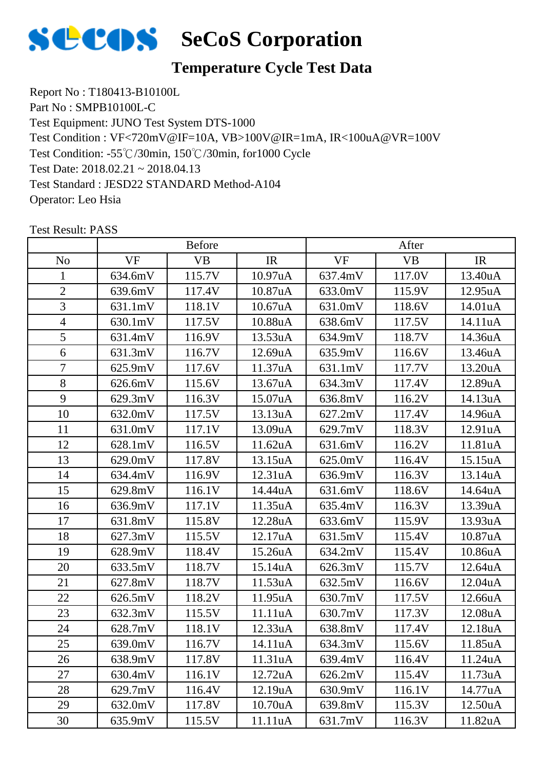

#### **Temperature Cycle Test Data**

Report No : T180413-B10100L Part No : SMPB10100L-C Test Equipment: JUNO Test System DTS-1000 Test Condition: -55℃/30min, 150℃/30min, for1000 Cycle Test Date: 2018.02.21 ~ 2018.04.13 Test Standard : JESD22 STANDARD Method-A104 Operator: Leo Hsia Test Condition : VF<720mV@IF=10A, VB>100V@IR=1mA, IR<100uA@VR=100V

|                |           | <b>Before</b> |                      | After     |           |                      |
|----------------|-----------|---------------|----------------------|-----------|-----------|----------------------|
| N <sub>o</sub> | <b>VF</b> | <b>VB</b>     | IR                   | <b>VF</b> | <b>VB</b> | IR                   |
| 1              | 634.6mV   | 115.7V        | 10.97uA              | 637.4mV   | 117.0V    | 13.40uA              |
| $\mathbf{2}$   | 639.6mV   | 117.4V        | 10.87uA              | 633.0mV   | 115.9V    | 12.95uA              |
| 3              | 631.1mV   | 118.1V        | 10.67 <sub>u</sub> A | 631.0mV   | 118.6V    | 14.01uA              |
| $\overline{4}$ | 630.1mV   | 117.5V        | 10.88uA              | 638.6mV   | 117.5V    | 14.11uA              |
| 5              | 631.4mV   | 116.9V        | 13.53uA              | 634.9mV   | 118.7V    | 14.36uA              |
| 6              | 631.3mV   | 116.7V        | 12.69uA              | 635.9mV   | 116.6V    | 13.46uA              |
| $\overline{7}$ | 625.9mV   | 117.6V        | 11.37uA              | 631.1mV   | 117.7V    | 13.20uA              |
| 8              | 626.6mV   | 115.6V        | 13.67uA              | 634.3mV   | 117.4V    | 12.89uA              |
| 9              | 629.3mV   | 116.3V        | 15.07uA              | 636.8mV   | 116.2V    | 14.13uA              |
| 10             | 632.0mV   | 117.5V        | 13.13uA              | 627.2mV   | 117.4V    | 14.96uA              |
| 11             | 631.0mV   | 117.1V        | 13.09uA              | 629.7mV   | 118.3V    | 12.91 <sub>u</sub> A |
| 12             | 628.1mV   | 116.5V        | 11.62uA              | 631.6mV   | 116.2V    | 11.81uA              |
| 13             | 629.0mV   | 117.8V        | 13.15uA              | 625.0mV   | 116.4V    | 15.15uA              |
| 14             | 634.4mV   | 116.9V        | 12.31 <sub>u</sub> A | 636.9mV   | 116.3V    | 13.14uA              |
| 15             | 629.8mV   | 116.1V        | 14.44uA              | 631.6mV   | 118.6V    | 14.64uA              |
| 16             | 636.9mV   | 117.1V        | 11.35uA              | 635.4mV   | 116.3V    | 13.39uA              |
| 17             | 631.8mV   | 115.8V        | 12.28uA              | 633.6mV   | 115.9V    | 13.93uA              |
| 18             | 627.3mV   | 115.5V        | 12.17uA              | 631.5mV   | 115.4V    | 10.87uA              |
| 19             | 628.9mV   | 118.4V        | 15.26uA              | 634.2mV   | 115.4V    | 10.86uA              |
| 20             | 633.5mV   | 118.7V        | 15.14uA              | 626.3mV   | 115.7V    | 12.64uA              |
| 21             | 627.8mV   | 118.7V        | 11.53uA              | 632.5mV   | 116.6V    | 12.04uA              |
| 22             | 626.5mV   | 118.2V        | 11.95uA              | 630.7mV   | 117.5V    | 12.66uA              |
| 23             | 632.3mV   | 115.5V        | 11.11uA              | 630.7mV   | 117.3V    | 12.08uA              |
| 24             | 628.7mV   | 118.1V        | 12.33uA              | 638.8mV   | 117.4V    | 12.18uA              |
| 25             | 639.0mV   | 116.7V        | 14.11uA              | 634.3mV   | 115.6V    | 11.85uA              |
| 26             | 638.9mV   | 117.8V        | 11.31uA              | 639.4mV   | 116.4V    | 11.24uA              |
| 27             | 630.4mV   | 116.1V        | 12.72uA              | 626.2mV   | 115.4V    | 11.73uA              |
| 28             | 629.7mV   | 116.4V        | 12.19uA              | 630.9mV   | 116.1V    | 14.77uA              |
| 29             | 632.0mV   | 117.8V        | 10.70uA              | 639.8mV   | 115.3V    | 12.50uA              |
| 30             | 635.9mV   | 115.5V        | 11.11uA              | 631.7mV   | 116.3V    | 11.82uA              |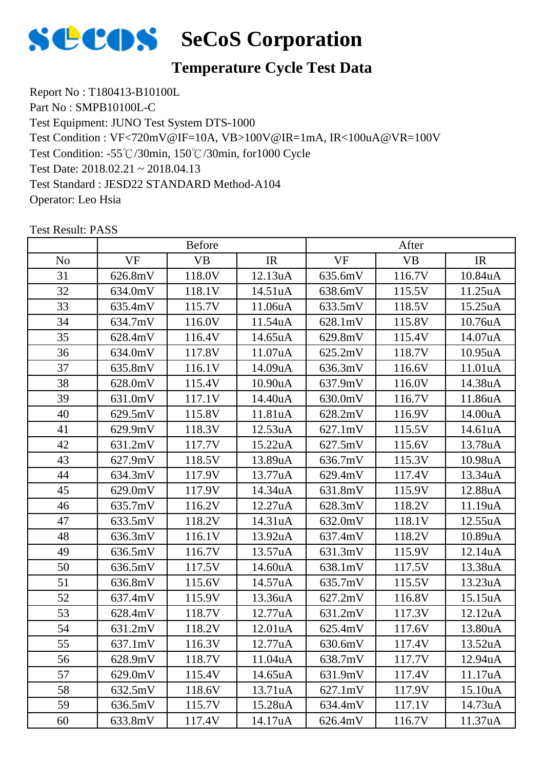

#### **Temperature Cycle Test Data**

Report No : T180413-B10100L Part No : SMPB10100L-C Test Equipment: JUNO Test System DTS-1000 Test Condition: -55℃/30min, 150℃/30min, for1000 Cycle Test Date: 2018.02.21 ~ 2018.04.13 Test Standard : JESD22 STANDARD Method-A104 Operator: Leo Hsia Test Condition : VF<720mV@IF=10A, VB>100V@IR=1mA, IR<100uA@VR=100V

|     |           | <b>Before</b> |         |           | After     |                      |
|-----|-----------|---------------|---------|-----------|-----------|----------------------|
| No. | <b>VF</b> | <b>VB</b>     | IR      | <b>VF</b> | <b>VB</b> | IR                   |
| 31  | 626.8mV   | 118.0V        | 12.13uA | 635.6mV   | 116.7V    | 10.84uA              |
| 32  | 634.0mV   | 118.1V        | 14.51uA | 638.6mV   | 115.5V    | 11.25uA              |
| 33  | 635.4mV   | 115.7V        | 11.06uA | 633.5mV   | 118.5V    | 15.25uA              |
| 34  | 634.7mV   | 116.0V        | 11.54uA | 628.1mV   | 115.8V    | 10.76uA              |
| 35  | 628.4mV   | 116.4V        | 14.65uA | 629.8mV   | 115.4V    | 14.07uA              |
| 36  | 634.0mV   | 117.8V        | 11.07uA | 625.2mV   | 118.7V    | 10.95uA              |
| 37  | 635.8mV   | 116.1V        | 14.09uA | 636.3mV   | 116.6V    | 11.01uA              |
| 38  | 628.0mV   | 115.4V        | 10.90uA | 637.9mV   | 116.0V    | 14.38uA              |
| 39  | 631.0mV   | 117.1V        | 14.40uA | 630.0mV   | 116.7V    | 11.86uA              |
| 40  | 629.5mV   | 115.8V        | 11.81uA | 628.2mV   | 116.9V    | 14.00uA              |
| 41  | 629.9mV   | 118.3V        | 12.53uA | 627.1mV   | 115.5V    | 14.61uA              |
| 42  | 631.2mV   | 117.7V        | 15.22uA | 627.5mV   | 115.6V    | 13.78uA              |
| 43  | 627.9mV   | 118.5V        | 13.89uA | 636.7mV   | 115.3V    | 10.98uA              |
| 44  | 634.3mV   | 117.9V        | 13.77uA | 629.4mV   | 117.4V    | 13.34uA              |
| 45  | 629.0mV   | 117.9V        | 14.34uA | 631.8mV   | 115.9V    | 12.88uA              |
| 46  | 635.7mV   | 116.2V        | 12.27uA | 628.3mV   | 118.2V    | 11.19uA              |
| 47  | 633.5mV   | 118.2V        | 14.31uA | 632.0mV   | 118.1V    | 12.55uA              |
| 48  | 636.3mV   | 116.1V        | 13.92uA | 637.4mV   | 118.2V    | 10.89uA              |
| 49  | 636.5mV   | 116.7V        | 13.57uA | 631.3mV   | 115.9V    | 12.14uA              |
| 50  | 636.5mV   | 117.5V        | 14.60uA | 638.1mV   | 117.5V    | 13.38uA              |
| 51  | 636.8mV   | 115.6V        | 14.57uA | 635.7mV   | 115.5V    | 13.23uA              |
| 52  | 637.4mV   | 115.9V        | 13.36uA | 627.2mV   | 116.8V    | 15.15uA              |
| 53  | 628.4mV   | 118.7V        | 12.77uA | 631.2mV   | 117.3V    | 12.12uA              |
| 54  | 631.2mV   | 118.2V        | 12.01uA | 625.4mV   | 117.6V    | 13.80uA              |
| 55  | 637.1mV   | 116.3V        | 12.77uA | 630.6mV   | 117.4V    | 13.52uA              |
| 56  | 628.9mV   | 118.7V        | 11.04uA | 638.7mV   | 117.7V    | 12.94 <sub>u</sub> A |
| 57  | 629.0mV   | 115.4V        | 14.65uA | 631.9mV   | 117.4V    | 11.17uA              |
| 58  | 632.5mV   | 118.6V        | 13.71uA | 627.1mV   | 117.9V    | 15.10uA              |
| 59  | 636.5mV   | 115.7V        | 15.28uA | 634.4mV   | 117.1V    | 14.73uA              |
| 60  | 633.8mV   | 117.4V        | 14.17uA | 626.4mV   | 116.7V    | 11.37uA              |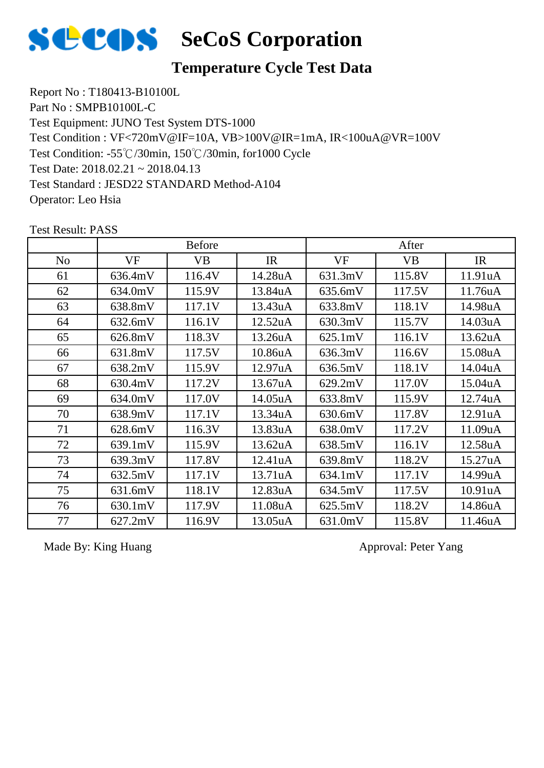

#### **Temperature Cycle Test Data**

Report No : T180413-B10100L Part No : SMPB10100L-C Test Equipment: JUNO Test System DTS-1000 Test Condition: -55℃/30min, 150℃/30min, for1000 Cycle Test Date: 2018.02.21 ~ 2018.04.13 Test Standard : JESD22 STANDARD Method-A104 Operator: Leo Hsia Test Condition : VF<720mV@IF=10A, VB>100V@IR=1mA, IR<100uA@VR=100V

|                |           | <b>Before</b> |                      |           | After     |                      |
|----------------|-----------|---------------|----------------------|-----------|-----------|----------------------|
| N <sub>o</sub> | <b>VF</b> | <b>VB</b>     | IR                   | <b>VF</b> | <b>VB</b> | IR                   |
| 61             | 636.4mV   | 116.4V        | 14.28uA              | 631.3mV   | 115.8V    | 11.91 <sub>u</sub> A |
| 62             | 634.0mV   | 115.9V        | 13.84uA              | 635.6mV   | 117.5V    | 11.76uA              |
| 63             | 638.8mV   | 117.1V        | 13.43uA              | 633.8mV   | 118.1V    | 14.98uA              |
| 64             | 632.6mV   | 116.1V        | 12.52uA              | 630.3mV   | 115.7V    | 14.03uA              |
| 65             | 626.8mV   | 118.3V        | 13.26uA              | 625.1mV   | 116.1V    | 13.62uA              |
| 66             | 631.8mV   | 117.5V        | 10.86uA              | 636.3mV   | 116.6V    | 15.08uA              |
| 67             | 638.2mV   | 115.9V        | 12.97 <sub>u</sub> A | 636.5mV   | 118.1V    | 14.04uA              |
| 68             | 630.4mV   | 117.2V        | 13.67uA              | 629.2mV   | 117.0V    | 15.04uA              |
| 69             | 634.0mV   | 117.0V        | 14.05uA              | 633.8mV   | 115.9V    | 12.74uA              |
| 70             | 638.9mV   | 117.1V        | 13.34uA              | 630.6mV   | 117.8V    | 12.91 <sub>u</sub> A |
| 71             | 628.6mV   | 116.3V        | 13.83uA              | 638.0mV   | 117.2V    | 11.09uA              |
| 72             | 639.1mV   | 115.9V        | 13.62uA              | 638.5mV   | 116.1V    | 12.58uA              |
| 73             | 639.3mV   | 117.8V        | 12.41uA              | 639.8mV   | 118.2V    | 15.27uA              |
| 74             | 632.5mV   | 117.1V        | 13.71uA              | 634.1mV   | 117.1V    | 14.99uA              |
| 75             | 631.6mV   | 118.1V        | 12.83uA              | 634.5mV   | 117.5V    | 10.91 <sub>u</sub> A |
| 76             | 630.1mV   | 117.9V        | 11.08uA              | 625.5mV   | 118.2V    | 14.86uA              |
| 77             | 627.2mV   | 116.9V        | 13.05uA              | 631.0mV   | 115.8V    | 11.46uA              |

Test Result: PASS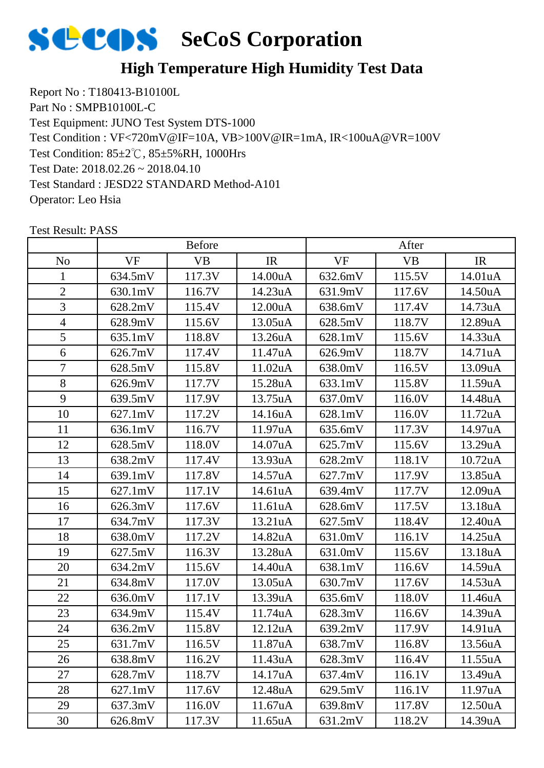

Report No : T180413-B10100L Part No : SMPB10100L-C Test Equipment: JUNO Test System DTS-1000 Test Condition: 85±2℃, 85±5%RH, 1000Hrs Test Date: 2018.02.26 ~ 2018.04.10 Test Standard : JESD22 STANDARD Method-A101 Operator: Leo Hsia Test Condition : VF<720mV@IF=10A, VB>100V@IR=1mA, IR<100uA@VR=100V

|                |                   | <b>Before</b> |         |           | After     |         |
|----------------|-------------------|---------------|---------|-----------|-----------|---------|
| N <sub>o</sub> | <b>VF</b>         | <b>VB</b>     | IR      | <b>VF</b> | <b>VB</b> | IR      |
| 1              | 634.5mV           | 117.3V        | 14.00uA | 632.6mV   | 115.5V    | 14.01uA |
| $\overline{2}$ | 630.1mV           | 116.7V        | 14.23uA | 631.9mV   | 117.6V    | 14.50uA |
| 3              | 628.2mV           | 115.4V        | 12.00uA | 638.6mV   | 117.4V    | 14.73uA |
| $\overline{4}$ | 628.9mV           | 115.6V        | 13.05uA | 628.5mV   | 118.7V    | 12.89uA |
| 5              | 635.1mV           | 118.8V        | 13.26uA | 628.1mV   | 115.6V    | 14.33uA |
| 6              | 626.7mV           | 117.4V        | 11.47uA | 626.9mV   | 118.7V    | 14.71uA |
| 7              | 628.5mV           | 115.8V        | 11.02uA | 638.0mV   | 116.5V    | 13.09uA |
| 8              | 626.9mV           | 117.7V        | 15.28uA | 633.1mV   | 115.8V    | 11.59uA |
| 9              | 639.5mV           | 117.9V        | 13.75uA | 637.0mV   | 116.0V    | 14.48uA |
| 10             | $627.1 \text{mV}$ | 117.2V        | 14.16uA | 628.1mV   | 116.0V    | 11.72uA |
| 11             | 636.1mV           | 116.7V        | 11.97uA | 635.6mV   | 117.3V    | 14.97uA |
| 12             | 628.5mV           | 118.0V        | 14.07uA | 625.7mV   | 115.6V    | 13.29uA |
| 13             | 638.2mV           | 117.4V        | 13.93uA | 628.2mV   | 118.1V    | 10.72uA |
| 14             | 639.1mV           | 117.8V        | 14.57uA | 627.7mV   | 117.9V    | 13.85uA |
| 15             | $627.1 \text{mV}$ | 117.1V        | 14.61uA | 639.4mV   | 117.7V    | 12.09uA |
| 16             | 626.3mV           | 117.6V        | 11.61uA | 628.6mV   | 117.5V    | 13.18uA |
| 17             | 634.7mV           | 117.3V        | 13.21uA | 627.5mV   | 118.4V    | 12.40uA |
| 18             | 638.0mV           | 117.2V        | 14.82uA | 631.0mV   | 116.1V    | 14.25uA |
| 19             | 627.5mV           | 116.3V        | 13.28uA | 631.0mV   | 115.6V    | 13.18uA |
| 20             | 634.2mV           | 115.6V        | 14.40uA | 638.1mV   | 116.6V    | 14.59uA |
| 21             | 634.8mV           | 117.0V        | 13.05uA | 630.7mV   | 117.6V    | 14.53uA |
| 22             | 636.0mV           | 117.1V        | 13.39uA | 635.6mV   | 118.0V    | 11.46uA |
| 23             | 634.9mV           | 115.4V        | 11.74uA | 628.3mV   | 116.6V    | 14.39uA |
| 24             | 636.2mV           | 115.8V        | 12.12uA | 639.2mV   | 117.9V    | 14.91uA |
| 25             | 631.7mV           | 116.5V        | 11.87uA | 638.7mV   | 116.8V    | 13.56uA |
| 26             | 638.8mV           | 116.2V        | 11.43uA | 628.3mV   | 116.4V    | 11.55uA |
| 27             | 628.7mV           | 118.7V        | 14.17uA | 637.4mV   | 116.1V    | 13.49uA |
| 28             | 627.1mV           | 117.6V        | 12.48uA | 629.5mV   | 116.1V    | 11.97uA |
| 29             | 637.3mV           | 116.0V        | 11.67uA | 639.8mV   | 117.8V    | 12.50uA |
| 30             | 626.8mV           | 117.3V        | 11.65uA | 631.2mV   | 118.2V    | 14.39uA |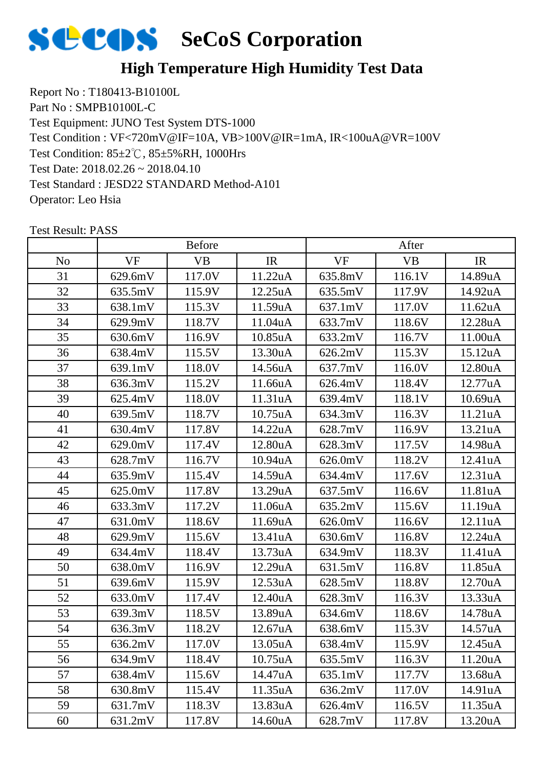

Report No : T180413-B10100L Part No : SMPB10100L-C Test Equipment: JUNO Test System DTS-1000 Test Condition: 85±2℃, 85±5%RH, 1000Hrs Test Date: 2018.02.26 ~ 2018.04.10 Test Standard : JESD22 STANDARD Method-A101 Operator: Leo Hsia Test Condition : VF<720mV@IF=10A, VB>100V@IR=1mA, IR<100uA@VR=100V

|                |           | <b>Before</b> |                      |           | After     |                      |
|----------------|-----------|---------------|----------------------|-----------|-----------|----------------------|
| N <sub>o</sub> | <b>VF</b> | <b>VB</b>     | IR                   | <b>VF</b> | <b>VB</b> | IR                   |
| 31             | 629.6mV   | 117.0V        | 11.22uA              | 635.8mV   | 116.1V    | 14.89uA              |
| 32             | 635.5mV   | 115.9V        | 12.25uA              | 635.5mV   | 117.9V    | 14.92uA              |
| 33             | 638.1mV   | 115.3V        | 11.59uA              | 637.1mV   | 117.0V    | 11.62uA              |
| 34             | 629.9mV   | 118.7V        | 11.04uA              | 633.7mV   | 118.6V    | 12.28uA              |
| 35             | 630.6mV   | 116.9V        | 10.85uA              | 633.2mV   | 116.7V    | 11.00uA              |
| 36             | 638.4mV   | 115.5V        | 13.30uA              | 626.2mV   | 115.3V    | 15.12 <sub>u</sub> A |
| 37             | 639.1mV   | 118.0V        | 14.56uA              | 637.7mV   | 116.0V    | 12.80uA              |
| 38             | 636.3mV   | 115.2V        | 11.66uA              | 626.4mV   | 118.4V    | 12.77uA              |
| 39             | 625.4mV   | 118.0V        | 11.31uA              | 639.4mV   | 118.1V    | 10.69uA              |
| 40             | 639.5mV   | 118.7V        | 10.75uA              | 634.3mV   | 116.3V    | 11.21uA              |
| 41             | 630.4mV   | 117.8V        | 14.22uA              | 628.7mV   | 116.9V    | 13.21uA              |
| 42             | 629.0mV   | 117.4V        | 12.80uA              | 628.3mV   | 117.5V    | 14.98uA              |
| 43             | 628.7mV   | 116.7V        | 10.94 <sub>u</sub> A | 626.0mV   | 118.2V    | 12.41uA              |
| 44             | 635.9mV   | 115.4V        | 14.59uA              | 634.4mV   | 117.6V    | 12.31uA              |
| 45             | 625.0mV   | 117.8V        | 13.29uA              | 637.5mV   | 116.6V    | 11.81uA              |
| 46             | 633.3mV   | 117.2V        | 11.06uA              | 635.2mV   | 115.6V    | 11.19uA              |
| 47             | 631.0mV   | 118.6V        | 11.69uA              | 626.0mV   | 116.6V    | 12.11uA              |
| 48             | 629.9mV   | 115.6V        | 13.41uA              | 630.6mV   | 116.8V    | 12.24uA              |
| 49             | 634.4mV   | 118.4V        | 13.73uA              | 634.9mV   | 118.3V    | 11.41uA              |
| 50             | 638.0mV   | 116.9V        | 12.29uA              | 631.5mV   | 116.8V    | 11.85uA              |
| 51             | 639.6mV   | 115.9V        | 12.53uA              | 628.5mV   | 118.8V    | 12.70uA              |
| 52             | 633.0mV   | 117.4V        | 12.40uA              | 628.3mV   | 116.3V    | 13.33uA              |
| 53             | 639.3mV   | 118.5V        | 13.89uA              | 634.6mV   | 118.6V    | 14.78uA              |
| 54             | 636.3mV   | 118.2V        | 12.67uA              | 638.6mV   | 115.3V    | 14.57uA              |
| 55             | 636.2mV   | 117.0V        | 13.05uA              | 638.4mV   | 115.9V    | 12.45uA              |
| 56             | 634.9mV   | 118.4V        | 10.75 <sub>u</sub> A | 635.5mV   | 116.3V    | 11.20uA              |
| 57             | 638.4mV   | 115.6V        | 14.47uA              | 635.1mV   | 117.7V    | 13.68uA              |
| 58             | 630.8mV   | 115.4V        | 11.35uA              | 636.2mV   | 117.0V    | 14.91uA              |
| 59             | 631.7mV   | 118.3V        | 13.83uA              | 626.4mV   | 116.5V    | 11.35uA              |
| 60             | 631.2mV   | 117.8V        | 14.60uA              | 628.7mV   | 117.8V    | 13.20uA              |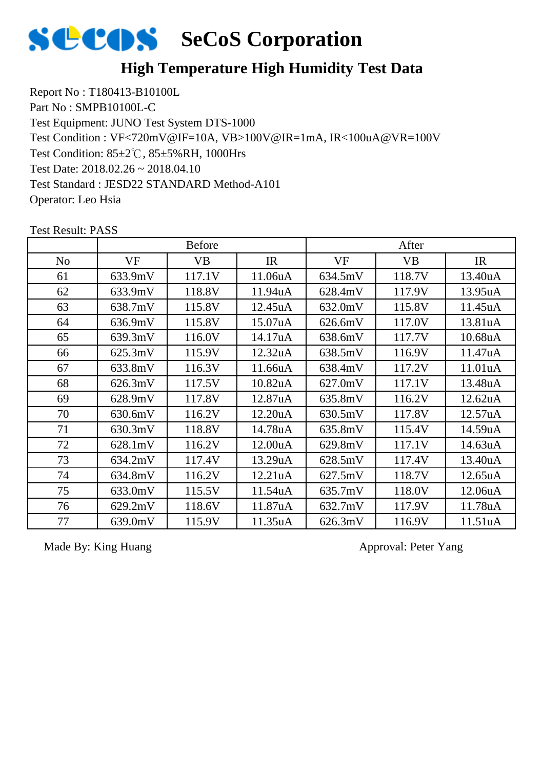

Report No : T180413-B10100L Part No : SMPB10100L-C Test Equipment: JUNO Test System DTS-1000 Test Condition: 85±2℃, 85±5%RH, 1000Hrs Test Date: 2018.02.26 ~ 2018.04.10 Test Standard : JESD22 STANDARD Method-A101 Operator: Leo Hsia Test Condition : VF<720mV@IF=10A, VB>100V@IR=1mA, IR<100uA@VR=100V

|                |         | <b>Before</b> |         |         | After     |                      |
|----------------|---------|---------------|---------|---------|-----------|----------------------|
| N <sub>0</sub> | VF      | <b>VB</b>     | IR      | VF      | <b>VB</b> | IR                   |
| 61             | 633.9mV | 117.1V        | 11.06uA | 634.5mV | 118.7V    | 13.40uA              |
| 62             | 633.9mV | 118.8V        | 11.94uA | 628.4mV | 117.9V    | 13.95uA              |
| 63             | 638.7mV | 115.8V        | 12.45uA | 632.0mV | 115.8V    | 11.45uA              |
| 64             | 636.9mV | 115.8V        | 15.07uA | 626.6mV | 117.0V    | 13.81uA              |
| 65             | 639.3mV | 116.0V        | 14.17uA | 638.6mV | 117.7V    | 10.68uA              |
| 66             | 625.3mV | 115.9V        | 12.32uA | 638.5mV | 116.9V    | 11.47uA              |
| 67             | 633.8mV | 116.3V        | 11.66uA | 638.4mV | 117.2V    | 11.01 <sub>u</sub> A |
| 68             | 626.3mV | 117.5V        | 10.82uA | 627.0mV | 117.1V    | 13.48uA              |
| 69             | 628.9mV | 117.8V        | 12.87uA | 635.8mV | 116.2V    | 12.62uA              |
| 70             | 630.6mV | 116.2V        | 12.20uA | 630.5mV | 117.8V    | 12.57uA              |
| 71             | 630.3mV | 118.8V        | 14.78uA | 635.8mV | 115.4V    | 14.59uA              |
| 72             | 628.1mV | 116.2V        | 12.00uA | 629.8mV | 117.1V    | 14.63uA              |
| 73             | 634.2mV | 117.4V        | 13.29uA | 628.5mV | 117.4V    | 13.40uA              |
| 74             | 634.8mV | 116.2V        | 12.21uA | 627.5mV | 118.7V    | 12.65uA              |
| 75             | 633.0mV | 115.5V        | 11.54uA | 635.7mV | 118.0V    | 12.06uA              |
| 76             | 629.2mV | 118.6V        | 11.87uA | 632.7mV | 117.9V    | 11.78uA              |
| 77             | 639.0mV | 115.9V        | 11.35uA | 626.3mV | 116.9V    | 11.51uA              |

Test Result: PASS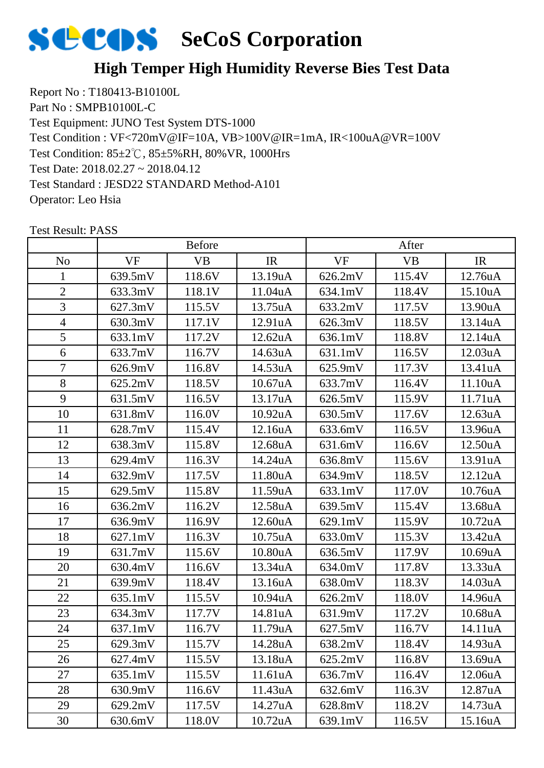#### **High Temper High Humidity Reverse Bies Test Data**

Report No : T180413-B10100L Part No : SMPB10100L-C Test Equipment: JUNO Test System DTS-1000 Test Condition: 85±2℃, 85±5%RH, 80%VR, 1000Hrs Test Date: 2018.02.27 ~ 2018.04.12 Test Standard : JESD22 STANDARD Method-A101 Operator: Leo Hsia Test Condition : VF<720mV@IF=10A, VB>100V@IR=1mA, IR<100uA@VR=100V

|                |                   | <b>Before</b> |                      |           | After     |         |
|----------------|-------------------|---------------|----------------------|-----------|-----------|---------|
| N <sub>o</sub> | <b>VF</b>         | <b>VB</b>     | IR                   | <b>VF</b> | <b>VB</b> | IR      |
| 1              | 639.5mV           | 118.6V        | 13.19uA              | 626.2mV   | 115.4V    | 12.76uA |
| $\overline{2}$ | 633.3mV           | 118.1V        | 11.04 <sub>u</sub> A | 634.1mV   | 118.4V    | 15.10uA |
| 3              | 627.3mV           | 115.5V        | 13.75uA              | 633.2mV   | 117.5V    | 13.90uA |
| $\overline{4}$ | 630.3mV           | 117.1V        | 12.91 <sub>u</sub> A | 626.3mV   | 118.5V    | 13.14uA |
| 5              | 633.1mV           | 117.2V        | 12.62uA              | 636.1mV   | 118.8V    | 12.14uA |
| 6              | 633.7mV           | 116.7V        | 14.63uA              | 631.1mV   | 116.5V    | 12.03uA |
| $\overline{7}$ | 626.9mV           | 116.8V        | 14.53uA              | 625.9mV   | 117.3V    | 13.41uA |
| 8              | 625.2mV           | 118.5V        | 10.67 <sub>u</sub> A | 633.7mV   | 116.4V    | 11.10uA |
| 9              | 631.5mV           | 116.5V        | 13.17uA              | 626.5mV   | 115.9V    | 11.71uA |
| 10             | 631.8mV           | 116.0V        | 10.92uA              | 630.5mV   | 117.6V    | 12.63uA |
| 11             | 628.7mV           | 115.4V        | 12.16uA              | 633.6mV   | 116.5V    | 13.96uA |
| 12             | 638.3mV           | 115.8V        | 12.68uA              | 631.6mV   | 116.6V    | 12.50uA |
| 13             | 629.4mV           | 116.3V        | 14.24uA              | 636.8mV   | 115.6V    | 13.91uA |
| 14             | 632.9mV           | 117.5V        | 11.80uA              | 634.9mV   | 118.5V    | 12.12uA |
| 15             | 629.5mV           | 115.8V        | 11.59uA              | 633.1mV   | 117.0V    | 10.76uA |
| 16             | 636.2mV           | 116.2V        | 12.58uA              | 639.5mV   | 115.4V    | 13.68uA |
| 17             | 636.9mV           | 116.9V        | 12.60uA              | 629.1mV   | 115.9V    | 10.72uA |
| 18             | $627.1 \text{mV}$ | 116.3V        | 10.75uA              | 633.0mV   | 115.3V    | 13.42uA |
| 19             | 631.7mV           | 115.6V        | 10.80uA              | 636.5mV   | 117.9V    | 10.69uA |
| 20             | 630.4mV           | 116.6V        | 13.34uA              | 634.0mV   | 117.8V    | 13.33uA |
| 21             | 639.9mV           | 118.4V        | 13.16uA              | 638.0mV   | 118.3V    | 14.03uA |
| 22             | 635.1mV           | 115.5V        | 10.94uA              | 626.2mV   | 118.0V    | 14.96uA |
| 23             | 634.3mV           | 117.7V        | 14.81uA              | 631.9mV   | 117.2V    | 10.68uA |
| 24             | 637.1mV           | 116.7V        | 11.79uA              | 627.5mV   | 116.7V    | 14.11uA |
| 25             | 629.3mV           | 115.7V        | 14.28uA              | 638.2mV   | 118.4V    | 14.93uA |
| 26             | 627.4mV           | 115.5V        | 13.18uA              | 625.2mV   | 116.8V    | 13.69uA |
| 27             | 635.1mV           | 115.5V        | 11.61uA              | 636.7mV   | 116.4V    | 12.06uA |
| 28             | 630.9mV           | 116.6V        | 11.43uA              | 632.6mV   | 116.3V    | 12.87uA |
| 29             | 629.2mV           | 117.5V        | 14.27uA              | 628.8mV   | 118.2V    | 14.73uA |
| 30             | 630.6mV           | 118.0V        | 10.72uA              | 639.1mV   | 116.5V    | 15.16uA |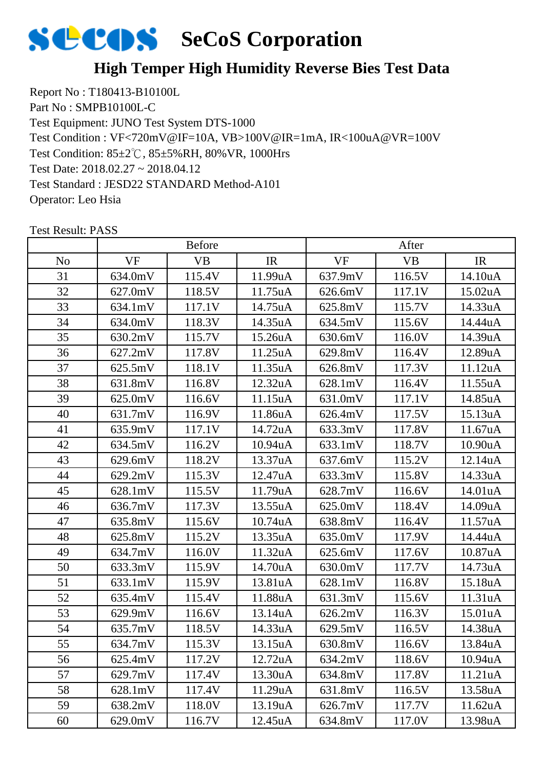#### **High Temper High Humidity Reverse Bies Test Data**

Report No : T180413-B10100L Part No : SMPB10100L-C Test Equipment: JUNO Test System DTS-1000 Test Condition: 85±2℃, 85±5%RH, 80%VR, 1000Hrs Test Date: 2018.02.27 ~ 2018.04.12 Test Standard : JESD22 STANDARD Method-A101 Operator: Leo Hsia Test Condition : VF<720mV@IF=10A, VB>100V@IR=1mA, IR<100uA@VR=100V

|                |           | <b>Before</b> |                      |           | After     |                      |
|----------------|-----------|---------------|----------------------|-----------|-----------|----------------------|
| N <sub>o</sub> | <b>VF</b> | <b>VB</b>     | IR                   | <b>VF</b> | <b>VB</b> | IR                   |
| 31             | 634.0mV   | 115.4V        | 11.99uA              | 637.9mV   | 116.5V    | 14.10uA              |
| 32             | 627.0mV   | 118.5V        | 11.75uA              | 626.6mV   | 117.1V    | 15.02uA              |
| 33             | 634.1mV   | 117.1V        | 14.75uA              | 625.8mV   | 115.7V    | 14.33uA              |
| 34             | 634.0mV   | 118.3V        | 14.35uA              | 634.5mV   | 115.6V    | 14.44uA              |
| 35             | 630.2mV   | 115.7V        | 15.26uA              | 630.6mV   | 116.0V    | 14.39uA              |
| 36             | 627.2mV   | 117.8V        | 11.25uA              | 629.8mV   | 116.4V    | 12.89uA              |
| 37             | 625.5mV   | 118.1V        | 11.35uA              | 626.8mV   | 117.3V    | 11.12uA              |
| 38             | 631.8mV   | 116.8V        | 12.32uA              | 628.1mV   | 116.4V    | 11.55uA              |
| 39             | 625.0mV   | 116.6V        | 11.15uA              | 631.0mV   | 117.1V    | 14.85uA              |
| 40             | 631.7mV   | 116.9V        | 11.86uA              | 626.4mV   | 117.5V    | 15.13uA              |
| 41             | 635.9mV   | 117.1V        | 14.72uA              | 633.3mV   | 117.8V    | 11.67uA              |
| 42             | 634.5mV   | 116.2V        | 10.94uA              | 633.1mV   | 118.7V    | 10.90uA              |
| 43             | 629.6mV   | 118.2V        | 13.37uA              | 637.6mV   | 115.2V    | 12.14uA              |
| 44             | 629.2mV   | 115.3V        | 12.47uA              | 633.3mV   | 115.8V    | 14.33uA              |
| 45             | 628.1mV   | 115.5V        | 11.79uA              | 628.7mV   | 116.6V    | 14.01uA              |
| 46             | 636.7mV   | 117.3V        | 13.55uA              | 625.0mV   | 118.4V    | 14.09uA              |
| 47             | 635.8mV   | 115.6V        | 10.74uA              | 638.8mV   | 116.4V    | 11.57uA              |
| 48             | 625.8mV   | 115.2V        | 13.35uA              | 635.0mV   | 117.9V    | 14.44uA              |
| 49             | 634.7mV   | 116.0V        | 11.32uA              | 625.6mV   | 117.6V    | 10.87uA              |
| 50             | 633.3mV   | 115.9V        | 14.70uA              | 630.0mV   | 117.7V    | 14.73uA              |
| 51             | 633.1mV   | 115.9V        | 13.81uA              | 628.1mV   | 116.8V    | 15.18uA              |
| 52             | 635.4mV   | 115.4V        | 11.88uA              | 631.3mV   | 115.6V    | 11.31uA              |
| 53             | 629.9mV   | 116.6V        | 13.14uA              | 626.2mV   | 116.3V    | 15.01uA              |
| 54             | 635.7mV   | 118.5V        | 14.33uA              | 629.5mV   | 116.5V    | 14.38uA              |
| 55             | 634.7mV   | 115.3V        | 13.15uA              | 630.8mV   | 116.6V    | 13.84uA              |
| 56             | 625.4mV   | 117.2V        | 12.72 <sub>u</sub> A | 634.2mV   | 118.6V    | 10.94 <sub>u</sub> A |
| 57             | 629.7mV   | 117.4V        | 13.30uA              | 634.8mV   | 117.8V    | 11.21uA              |
| 58             | 628.1mV   | 117.4V        | 11.29uA              | 631.8mV   | 116.5V    | 13.58uA              |
| 59             | 638.2mV   | 118.0V        | 13.19uA              | 626.7mV   | 117.7V    | 11.62uA              |
| 60             | 629.0mV   | 116.7V        | 12.45uA              | 634.8mV   | 117.0V    | 13.98uA              |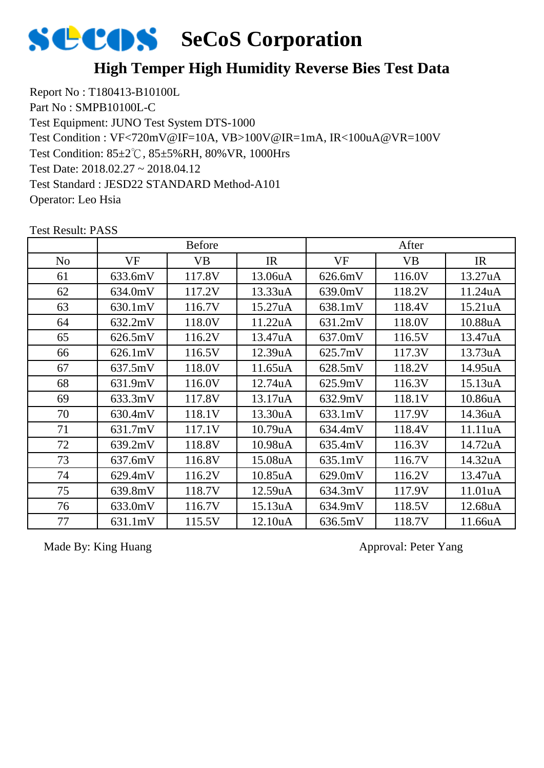#### **High Temper High Humidity Reverse Bies Test Data**

Report No : T180413-B10100L Part No : SMPB10100L-C Test Equipment: JUNO Test System DTS-1000 Test Condition: 85±2℃, 85±5%RH, 80%VR, 1000Hrs Test Date: 2018.02.27 ~ 2018.04.12 Test Standard : JESD22 STANDARD Method-A101 Operator: Leo Hsia Test Condition : VF<720mV@IF=10A, VB>100V@IR=1mA, IR<100uA@VR=100V

|                |         | <b>Before</b> |         |         | After     |                      |
|----------------|---------|---------------|---------|---------|-----------|----------------------|
| N <sub>o</sub> | VF      | <b>VB</b>     | IR      | VF      | <b>VB</b> | IR                   |
| 61             | 633.6mV | 117.8V        | 13.06uA | 626.6mV | 116.0V    | 13.27 <sub>u</sub> A |
| 62             | 634.0mV | 117.2V        | 13.33uA | 639.0mV | 118.2V    | 11.24uA              |
| 63             | 630.1mV | 116.7V        | 15.27uA | 638.1mV | 118.4V    | 15.21 <sub>u</sub> A |
| 64             | 632.2mV | 118.0V        | 11.22uA | 631.2mV | 118.0V    | 10.88uA              |
| 65             | 626.5mV | 116.2V        | 13.47uA | 637.0mV | 116.5V    | 13.47uA              |
| 66             | 626.1mV | 116.5V        | 12.39uA | 625.7mV | 117.3V    | 13.73uA              |
| 67             | 637.5mV | 118.0V        | 11.65uA | 628.5mV | 118.2V    | 14.95uA              |
| 68             | 631.9mV | 116.0V        | 12.74uA | 625.9mV | 116.3V    | 15.13uA              |
| 69             | 633.3mV | 117.8V        | 13.17uA | 632.9mV | 118.1V    | 10.86uA              |
| 70             | 630.4mV | 118.1V        | 13.30uA | 633.1mV | 117.9V    | 14.36uA              |
| 71             | 631.7mV | 117.1V        | 10.79uA | 634.4mV | 118.4V    | 11.11uA              |
| 72             | 639.2mV | 118.8V        | 10.98uA | 635.4mV | 116.3V    | 14.72uA              |
| 73             | 637.6mV | 116.8V        | 15.08uA | 635.1mV | 116.7V    | 14.32uA              |
| 74             | 629.4mV | 116.2V        | 10.85uA | 629.0mV | 116.2V    | 13.47uA              |
| 75             | 639.8mV | 118.7V        | 12.59uA | 634.3mV | 117.9V    | 11.01uA              |
| 76             | 633.0mV | 116.7V        | 15.13uA | 634.9mV | 118.5V    | 12.68uA              |
| 77             | 631.1mV | 115.5V        | 12.10uA | 636.5mV | 118.7V    | 11.66uA              |

Test Result: PASS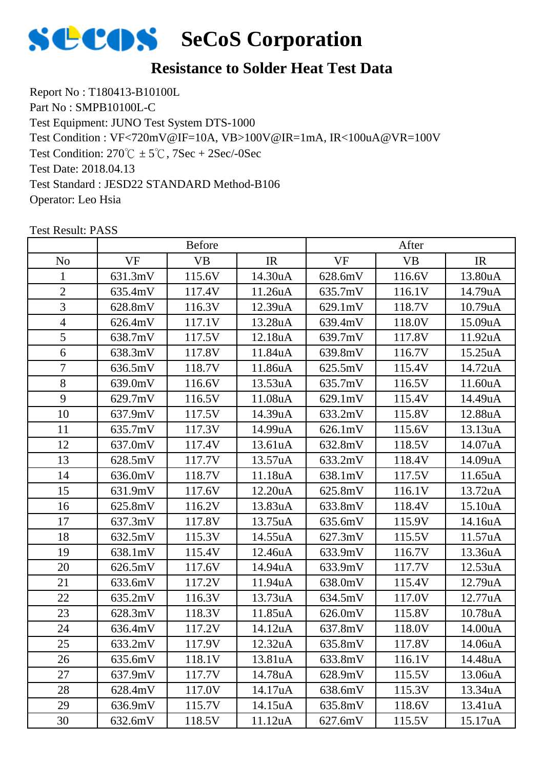

Report No : T180413-B10100L Part No : SMPB10100L-C Test Equipment: JUNO Test System DTS-1000 Test Condition:  $270^{\circ}\text{C} \pm 5^{\circ}\text{C}$ ,  $7\text{Sec} + 2\text{Sec}$ /-0Sec Test Date: 2018.04.13 Test Standard : JESD22 STANDARD Method-B106 Operator: Leo Hsia Test Condition : VF<720mV@IF=10A, VB>100V@IR=1mA, IR<100uA@VR=100V

|                |           | <b>Before</b> |         |           | After     |         |
|----------------|-----------|---------------|---------|-----------|-----------|---------|
| N <sub>o</sub> | <b>VF</b> | <b>VB</b>     | IR      | <b>VF</b> | <b>VB</b> | IR      |
| $\mathbf{1}$   | 631.3mV   | 115.6V        | 14.30uA | 628.6mV   | 116.6V    | 13.80uA |
| $\overline{2}$ | 635.4mV   | 117.4V        | 11.26uA | 635.7mV   | 116.1V    | 14.79uA |
| 3              | 628.8mV   | 116.3V        | 12.39uA | 629.1mV   | 118.7V    | 10.79uA |
| $\overline{4}$ | 626.4mV   | 117.1V        | 13.28uA | 639.4mV   | 118.0V    | 15.09uA |
| 5              | 638.7mV   | 117.5V        | 12.18uA | 639.7mV   | 117.8V    | 11.92uA |
| 6              | 638.3mV   | 117.8V        | 11.84uA | 639.8mV   | 116.7V    | 15.25uA |
| $\overline{7}$ | 636.5mV   | 118.7V        | 11.86uA | 625.5mV   | 115.4V    | 14.72uA |
| 8              | 639.0mV   | 116.6V        | 13.53uA | 635.7mV   | 116.5V    | 11.60uA |
| 9              | 629.7mV   | 116.5V        | 11.08uA | 629.1mV   | 115.4V    | 14.49uA |
| 10             | 637.9mV   | 117.5V        | 14.39uA | 633.2mV   | 115.8V    | 12.88uA |
| 11             | 635.7mV   | 117.3V        | 14.99uA | 626.1mV   | 115.6V    | 13.13uA |
| 12             | 637.0mV   | 117.4V        | 13.61uA | 632.8mV   | 118.5V    | 14.07uA |
| 13             | 628.5mV   | 117.7V        | 13.57uA | 633.2mV   | 118.4V    | 14.09uA |
| 14             | 636.0mV   | 118.7V        | 11.18uA | 638.1mV   | 117.5V    | 11.65uA |
| 15             | 631.9mV   | 117.6V        | 12.20uA | 625.8mV   | 116.1V    | 13.72uA |
| 16             | 625.8mV   | 116.2V        | 13.83uA | 633.8mV   | 118.4V    | 15.10uA |
| 17             | 637.3mV   | 117.8V        | 13.75uA | 635.6mV   | 115.9V    | 14.16uA |
| 18             | 632.5mV   | 115.3V        | 14.55uA | 627.3mV   | 115.5V    | 11.57uA |
| 19             | 638.1mV   | 115.4V        | 12.46uA | 633.9mV   | 116.7V    | 13.36uA |
| 20             | 626.5mV   | 117.6V        | 14.94uA | 633.9mV   | 117.7V    | 12.53uA |
| 21             | 633.6mV   | 117.2V        | 11.94uA | 638.0mV   | 115.4V    | 12.79uA |
| 22             | 635.2mV   | 116.3V        | 13.73uA | 634.5mV   | 117.0V    | 12.77uA |
| 23             | 628.3mV   | 118.3V        | 11.85uA | 626.0mV   | 115.8V    | 10.78uA |
| 24             | 636.4mV   | 117.2V        | 14.12uA | 637.8mV   | 118.0V    | 14.00uA |
| 25             | 633.2mV   | 117.9V        | 12.32uA | 635.8mV   | 117.8V    | 14.06uA |
| 26             | 635.6mV   | 118.1V        | 13.81uA | 633.8mV   | 116.1V    | 14.48uA |
| 27             | 637.9mV   | 117.7V        | 14.78uA | 628.9mV   | 115.5V    | 13.06uA |
| 28             | 628.4mV   | 117.0V        | 14.17uA | 638.6mV   | 115.3V    | 13.34uA |
| 29             | 636.9mV   | 115.7V        | 14.15uA | 635.8mV   | 118.6V    | 13.41uA |
| 30             | 632.6mV   | 118.5V        | 11.12uA | 627.6mV   | 115.5V    | 15.17uA |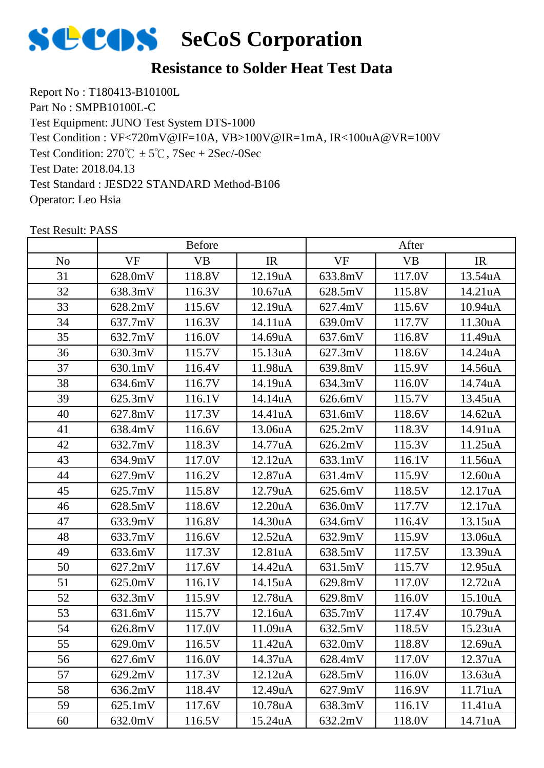

Report No : T180413-B10100L Part No : SMPB10100L-C Test Equipment: JUNO Test System DTS-1000 Test Condition:  $270^{\circ}\text{C} \pm 5^{\circ}\text{C}$ ,  $7\text{Sec} + 2\text{Sec}$ /-0Sec Test Date: 2018.04.13 Test Standard : JESD22 STANDARD Method-B106 Operator: Leo Hsia Test Condition : VF<720mV@IF=10A, VB>100V@IR=1mA, IR<100uA@VR=100V

|                |           | <b>Before</b> |         |           | After     |                      |
|----------------|-----------|---------------|---------|-----------|-----------|----------------------|
| N <sub>o</sub> | <b>VF</b> | <b>VB</b>     | IR      | <b>VF</b> | <b>VB</b> | IR                   |
| 31             | 628.0mV   | 118.8V        | 12.19uA | 633.8mV   | 117.0V    | 13.54uA              |
| 32             | 638.3mV   | 116.3V        | 10.67uA | 628.5mV   | 115.8V    | 14.21uA              |
| 33             | 628.2mV   | 115.6V        | 12.19uA | 627.4mV   | 115.6V    | 10.94uA              |
| 34             | 637.7mV   | 116.3V        | 14.11uA | 639.0mV   | 117.7V    | 11.30uA              |
| 35             | 632.7mV   | 116.0V        | 14.69uA | 637.6mV   | 116.8V    | 11.49uA              |
| 36             | 630.3mV   | 115.7V        | 15.13uA | 627.3mV   | 118.6V    | 14.24uA              |
| 37             | 630.1mV   | 116.4V        | 11.98uA | 639.8mV   | 115.9V    | 14.56uA              |
| 38             | 634.6mV   | 116.7V        | 14.19uA | 634.3mV   | 116.0V    | 14.74uA              |
| 39             | 625.3mV   | 116.1V        | 14.14uA | 626.6mV   | 115.7V    | 13.45uA              |
| 40             | 627.8mV   | 117.3V        | 14.41uA | 631.6mV   | 118.6V    | 14.62uA              |
| 41             | 638.4mV   | 116.6V        | 13.06uA | 625.2mV   | 118.3V    | 14.91uA              |
| 42             | 632.7mV   | 118.3V        | 14.77uA | 626.2mV   | 115.3V    | 11.25uA              |
| 43             | 634.9mV   | 117.0V        | 12.12uA | 633.1mV   | 116.1V    | 11.56uA              |
| 44             | 627.9mV   | 116.2V        | 12.87uA | 631.4mV   | 115.9V    | 12.60uA              |
| 45             | 625.7mV   | 115.8V        | 12.79uA | 625.6mV   | 118.5V    | 12.17uA              |
| 46             | 628.5mV   | 118.6V        | 12.20uA | 636.0mV   | 117.7V    | 12.17uA              |
| 47             | 633.9mV   | 116.8V        | 14.30uA | 634.6mV   | 116.4V    | 13.15uA              |
| 48             | 633.7mV   | 116.6V        | 12.52uA | 632.9mV   | 115.9V    | 13.06uA              |
| 49             | 633.6mV   | 117.3V        | 12.81uA | 638.5mV   | 117.5V    | 13.39uA              |
| 50             | 627.2mV   | 117.6V        | 14.42uA | 631.5mV   | 115.7V    | 12.95uA              |
| 51             | 625.0mV   | 116.1V        | 14.15uA | 629.8mV   | 117.0V    | 12.72uA              |
| 52             | 632.3mV   | 115.9V        | 12.78uA | 629.8mV   | 116.0V    | 15.10uA              |
| 53             | 631.6mV   | 115.7V        | 12.16uA | 635.7mV   | 117.4V    | 10.79uA              |
| 54             | 626.8mV   | 117.0V        | 11.09uA | 632.5mV   | 118.5V    | 15.23uA              |
| 55             | 629.0mV   | 116.5V        | 11.42uA | 632.0mV   | 118.8V    | 12.69uA              |
| 56             | 627.6mV   | 116.0V        | 14.37uA | 628.4mV   | 117.0V    | 12.37 <sub>u</sub> A |
| 57             | 629.2mV   | 117.3V        | 12.12uA | 628.5mV   | 116.0V    | 13.63uA              |
| 58             | 636.2mV   | 118.4V        | 12.49uA | 627.9mV   | 116.9V    | 11.71uA              |
| 59             | 625.1mV   | 117.6V        | 10.78uA | 638.3mV   | 116.1V    | 11.41uA              |
| 60             | 632.0mV   | 116.5V        | 15.24uA | 632.2mV   | 118.0V    | 14.71uA              |